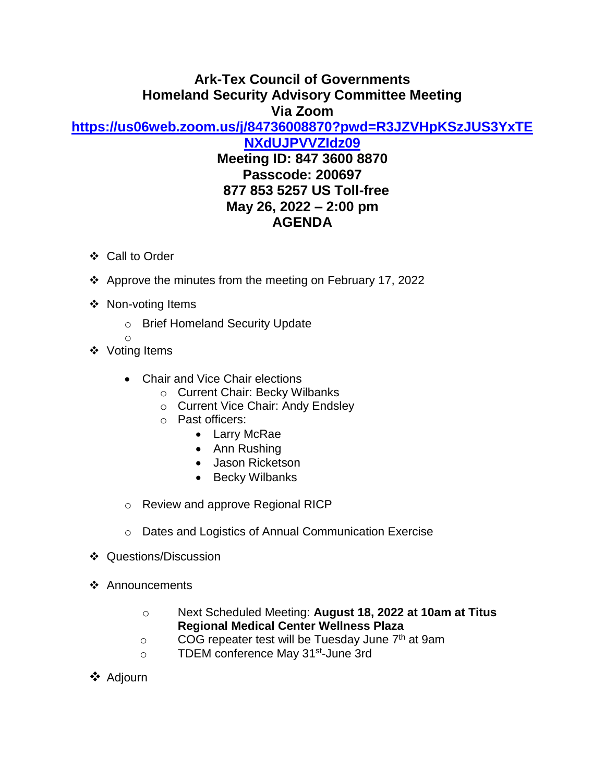## **Ark-Tex Council of Governments Homeland Security Advisory Committee Meeting Via Zoom**

**[https://us06web.zoom.us/j/84736008870?pwd=R3JZVHpKSzJUS3YxTE](https://us06web.zoom.us/j/84736008870?pwd=R3JZVHpKSzJUS3YxTENXdUJPVVZIdz09)**

**[NXdUJPVVZIdz09](https://us06web.zoom.us/j/84736008870?pwd=R3JZVHpKSzJUS3YxTENXdUJPVVZIdz09) Meeting ID: 847 3600 8870 Passcode: 200697 877 853 5257 US Toll-free May 26, 2022 – 2:00 pm AGENDA**

- ❖ Call to Order
- ❖ Approve the minutes from the meeting on February 17, 2022
- ❖ Non-voting Items
	- o Brief Homeland Security Update
	- o
- ❖ Voting Items
	- Chair and Vice Chair elections
		- o Current Chair: Becky Wilbanks
		- o Current Vice Chair: Andy Endsley
		- o Past officers:
			- Larry McRae
			- Ann Rushing
			- Jason Ricketson
			- Becky Wilbanks
	- o Review and approve Regional RICP
	- o Dates and Logistics of Annual Communication Exercise
- ❖ Questions/Discussion
- ❖ Announcements
	- o Next Scheduled Meeting: **August 18, 2022 at 10am at Titus Regional Medical Center Wellness Plaza**
	- $\circ$  COG repeater test will be Tuesday June  $7<sup>th</sup>$  at 9am
	- o TDEM conference May 31<sup>st</sup>-June 3rd
- ❖ Adjourn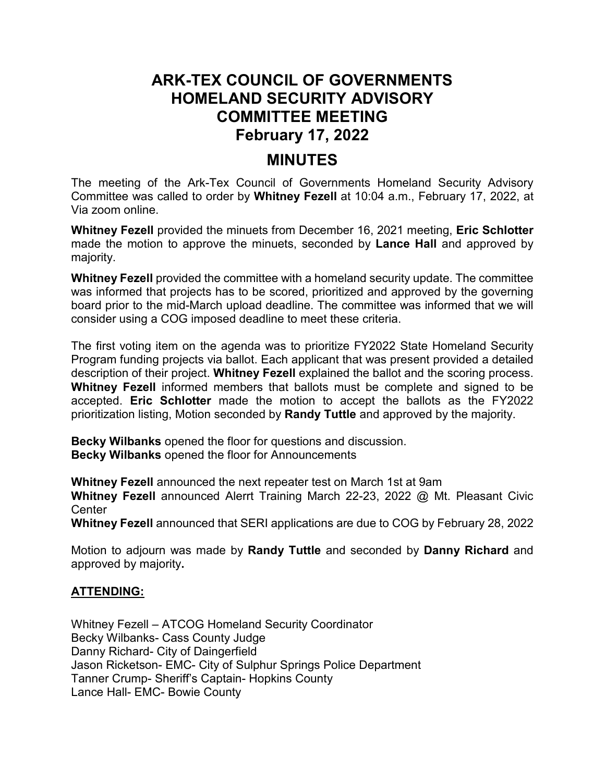## **ARK-TEX COUNCIL OF GOVERNMENTS HOMELAND SECURITY ADVISORY COMMITTEE MEETING February 17, 2022**

## **MINUTES**

The meeting of the Ark-Tex Council of Governments Homeland Security Advisory Committee was called to order by **Whitney Fezell** at 10:04 a.m., February 17, 2022, at Via zoom online.

**Whitney Fezell** provided the minuets from December 16, 2021 meeting, **Eric Schlotter** made the motion to approve the minuets, seconded by **Lance Hall** and approved by majority.

**Whitney Fezell** provided the committee with a homeland security update. The committee was informed that projects has to be scored, prioritized and approved by the governing board prior to the mid-March upload deadline. The committee was informed that we will consider using a COG imposed deadline to meet these criteria.

The first voting item on the agenda was to prioritize FY2022 State Homeland Security Program funding projects via ballot. Each applicant that was present provided a detailed description of their project. **Whitney Fezell** explained the ballot and the scoring process. **Whitney Fezell** informed members that ballots must be complete and signed to be accepted. **Eric Schlotter** made the motion to accept the ballots as the FY2022 prioritization listing, Motion seconded by **Randy Tuttle** and approved by the majority.

**Becky Wilbanks** opened the floor for questions and discussion. **Becky Wilbanks** opened the floor for Announcements

**Whitney Fezell** announced the next repeater test on March 1st at 9am

**Whitney Fezell** announced Alerrt Training March 22-23, 2022 @ Mt. Pleasant Civic **Center** 

**Whitney Fezell** announced that SERI applications are due to COG by February 28, 2022

Motion to adjourn was made by **Randy Tuttle** and seconded by **Danny Richard** and approved by majority**.**

## **ATTENDING:**

Whitney Fezell – ATCOG Homeland Security Coordinator Becky Wilbanks- Cass County Judge Danny Richard- City of Daingerfield Jason Ricketson- EMC- City of Sulphur Springs Police Department Tanner Crump- Sheriff's Captain- Hopkins County Lance Hall- EMC- Bowie County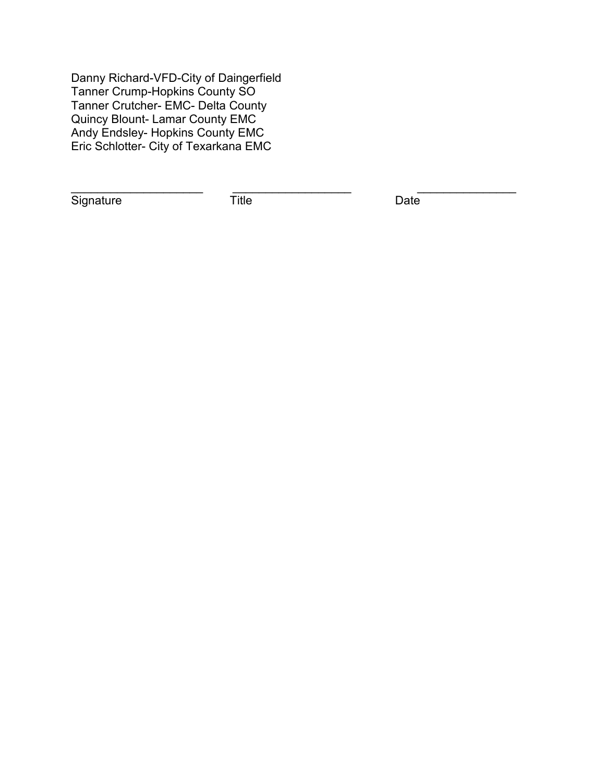Danny Richard-VFD-City of Daingerfield Tanner Crump-Hopkins County SO Tanner Crutcher- EMC- Delta County Quincy Blount- Lamar County EMC Andy Endsley- Hopkins County EMC Eric Schlotter- City of Texarkana EMC

Signature Title Date

\_\_\_\_\_\_\_\_\_\_\_\_\_\_\_\_\_\_\_\_ \_\_\_\_\_\_\_\_\_\_\_\_\_\_\_\_\_\_ \_\_\_\_\_\_\_\_\_\_\_\_\_\_\_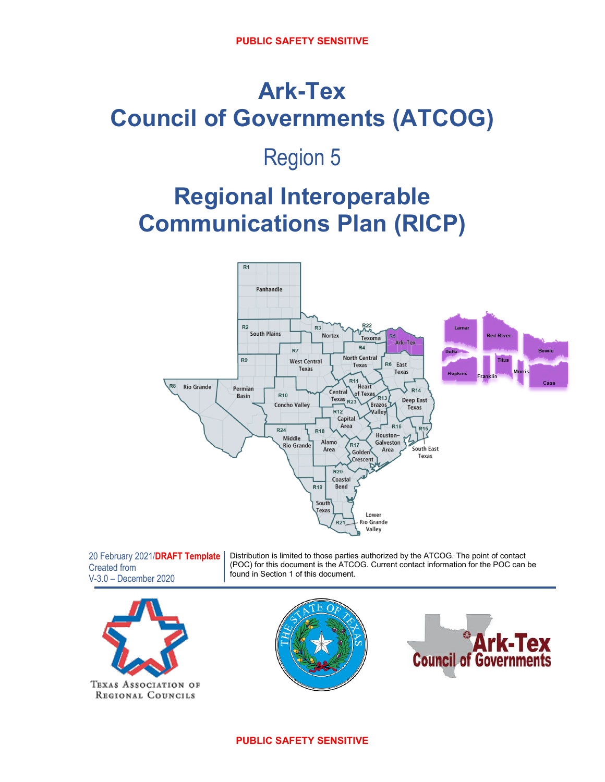# **Ark-Tex Council of Governments (ATCOG)**

## Region 5

## **Regional Interoperable Communications Plan (RICP)**



20 February 2021/**DRAFT Template** Created from V-3.0 – December 2020 Distribution is limited to those parties authorized by the ATCOG. The point of contact (POC) for this document is the ATCOG. Current contact information for the POC can be found in Section 1 of this document.





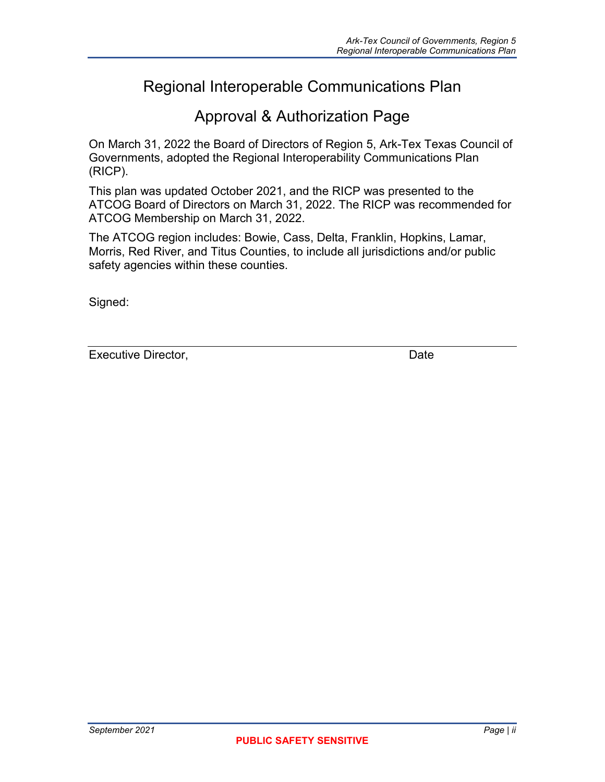## Regional Interoperable Communications Plan

## Approval & Authorization Page

On March 31, 2022 the Board of Directors of Region 5, Ark-Tex Texas Council of Governments, adopted the Regional Interoperability Communications Plan (RICP).

This plan was updated October 2021, and the RICP was presented to the ATCOG Board of Directors on March 31, 2022. The RICP was recommended for ATCOG Membership on March 31, 2022.

The ATCOG region includes: Bowie, Cass, Delta, Franklin, Hopkins, Lamar, Morris, Red River, and Titus Counties, to include all jurisdictions and/or public safety agencies within these counties.

Signed:

Executive Director, **Date**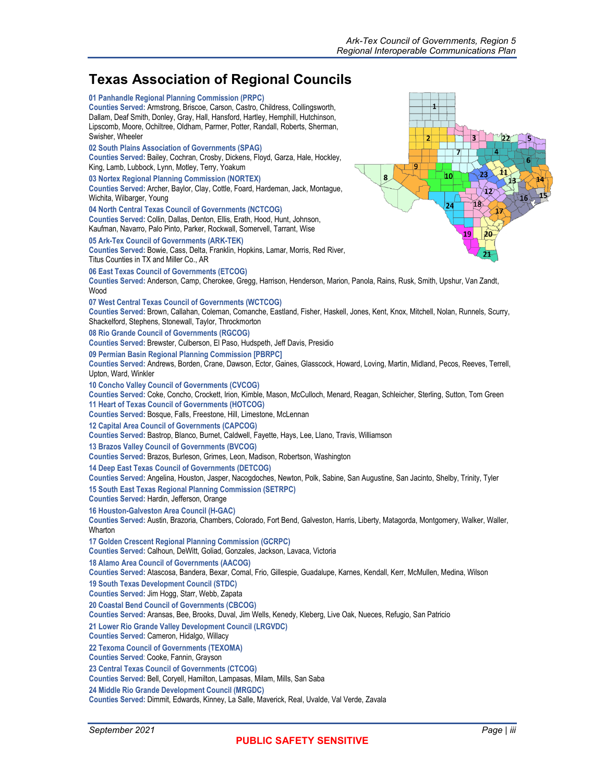## **Texas Association of Regional Councils**

| <b>TUADO AUGULIUM UNIVERSITAT UDUNUM</b>                                                                                                                                                                                                                                                                                                                                                           |
|----------------------------------------------------------------------------------------------------------------------------------------------------------------------------------------------------------------------------------------------------------------------------------------------------------------------------------------------------------------------------------------------------|
| 01 Panhandle Regional Planning Commission (PRPC)<br>$\overline{\mathbf{1}}$<br>Counties Served: Armstrong, Briscoe, Carson, Castro, Childress, Collingsworth,<br>Dallam, Deaf Smith, Donley, Gray, Hall, Hansford, Hartley, Hemphill, Hutchinson,<br>Lipscomb, Moore, Ochiltree, Oldham, Parmer, Potter, Randall, Roberts, Sherman,<br>Swisher, Wheeler<br>$^v$ 22<br>$\overline{\mathbf{3}}$<br>2 |
| 02 South Plains Association of Governments (SPAG)<br>7<br>4<br>Counties Served: Bailey, Cochran, Crosby, Dickens, Floyd, Garza, Hale, Hockley,<br>6<br>9<br>King, Lamb, Lubbock, Lynn, Motley, Terry, Yoakum<br>A1<br>23<br>10<br>8<br>03 Nortex Regional Planning Commission (NORTEX)<br>13                                                                                                       |
| Counties Served: Archer, Baylor, Clay, Cottle, Foard, Hardeman, Jack, Montague,<br>ધે2ે<br>Wichita, Wilbarger, Young<br>16<br>18<br>24<br>04 North Central Texas Council of Governments (NCTCOG)                                                                                                                                                                                                   |
| Counties Served: Collin, Dallas, Denton, Ellis, Erath, Hood, Hunt, Johnson,<br>Kaufman, Navarro, Palo Pinto, Parker, Rockwall, Somervell, Tarrant, Wise<br>20<br>19                                                                                                                                                                                                                                |
| 05 Ark-Tex Council of Governments (ARK-TEK)<br>Counties Served: Bowie, Cass, Delta, Franklin, Hopkins, Lamar, Morris, Red River,<br>21.<br>Titus Counties in TX and Miller Co., AR                                                                                                                                                                                                                 |
| 06 East Texas Council of Governments (ETCOG)<br>Counties Served: Anderson, Camp, Cherokee, Gregg, Harrison, Henderson, Marion, Panola, Rains, Rusk, Smith, Upshur, Van Zandt,<br>Wood                                                                                                                                                                                                              |
| 07 West Central Texas Council of Governments (WCTCOG)<br>Counties Served: Brown, Callahan, Coleman, Comanche, Eastland, Fisher, Haskell, Jones, Kent, Knox, Mitchell, Nolan, Runnels, Scurry,<br>Shackelford, Stephens, Stonewall, Taylor, Throckmorton                                                                                                                                            |
| 08 Rio Grande Council of Governments (RGCOG)<br>Counties Served: Brewster, Culberson, El Paso, Hudspeth, Jeff Davis, Presidio                                                                                                                                                                                                                                                                      |
| 09 Permian Basin Regional Planning Commission [PBRPC]<br>Counties Served: Andrews, Borden, Crane, Dawson, Ector, Gaines, Glasscock, Howard, Loving, Martin, Midland, Pecos, Reeves, Terrell,<br>Upton, Ward, Winkler                                                                                                                                                                               |
| 10 Concho Valley Council of Governments (CVCOG)<br>Counties Served: Coke, Concho, Crockett, Irion, Kimble, Mason, McCulloch, Menard, Reagan, Schleicher, Sterling, Sutton, Tom Green<br>11 Heart of Texas Council of Governments (HOTCOG)<br>Counties Served: Bosque, Falls, Freestone, Hill, Limestone, McLennan                                                                                  |
| 12 Capital Area Council of Governments (CAPCOG)<br>Counties Served: Bastrop, Blanco, Burnet, Caldwell, Fayette, Hays, Lee, Llano, Travis, Williamson                                                                                                                                                                                                                                               |
| 13 Brazos Valley Council of Governments (BVCOG)<br>Counties Served: Brazos, Burleson, Grimes, Leon, Madison, Robertson, Washington                                                                                                                                                                                                                                                                 |
| 14 Deep East Texas Council of Governments (DETCOG)<br>Counties Served: Angelina, Houston, Jasper, Nacogdoches, Newton, Polk, Sabine, San Augustine, San Jacinto, Shelby, Trinity, Tyler                                                                                                                                                                                                            |
| 15 South East Texas Regional Planning Commission (SETRPC)<br>Counties Served: Hardin, Jefferson, Orange                                                                                                                                                                                                                                                                                            |
| 16 Houston-Galveston Area Council (H-GAC)<br>Counties Served: Austin, Brazoria, Chambers, Colorado, Fort Bend, Galveston, Harris, Liberty, Matagorda, Montgomery, Walker, Waller,<br>Wharton                                                                                                                                                                                                       |
| 17 Golden Crescent Regional Planning Commission (GCRPC)<br>Counties Served: Calhoun, DeWitt, Goliad, Gonzales, Jackson, Lavaca, Victoria                                                                                                                                                                                                                                                           |
| 18 Alamo Area Council of Governments (AACOG)<br>Counties Served: Atascosa, Bandera, Bexar, Comal, Frio, Gillespie, Guadalupe, Karnes, Kendall, Kerr, McMullen, Medina, Wilson                                                                                                                                                                                                                      |
| 19 South Texas Development Council (STDC)<br>Counties Served: Jim Hogg, Starr, Webb, Zapata                                                                                                                                                                                                                                                                                                        |
| 20 Coastal Bend Council of Governments (CBCOG)<br>Counties Served: Aransas, Bee, Brooks, Duval, Jim Wells, Kenedy, Kleberg, Live Oak, Nueces, Refugio, San Patricio                                                                                                                                                                                                                                |
| 21 Lower Rio Grande Valley Development Council (LRGVDC)<br>Counties Served: Cameron, Hidalgo, Willacy                                                                                                                                                                                                                                                                                              |
| 22 Texoma Council of Governments (TEXOMA)<br>Counties Served: Cooke, Fannin, Grayson                                                                                                                                                                                                                                                                                                               |
| 23 Central Texas Council of Governments (CTCOG)<br>Counties Served: Bell, Coryell, Hamilton, Lampasas, Milam, Mills, San Saba                                                                                                                                                                                                                                                                      |
| 24 Middle Rio Grande Development Council (MRGDC)<br>Counties Served: Dimmit, Edwards, Kinney, La Salle, Maverick, Real, Uvalde, Val Verde, Zavala                                                                                                                                                                                                                                                  |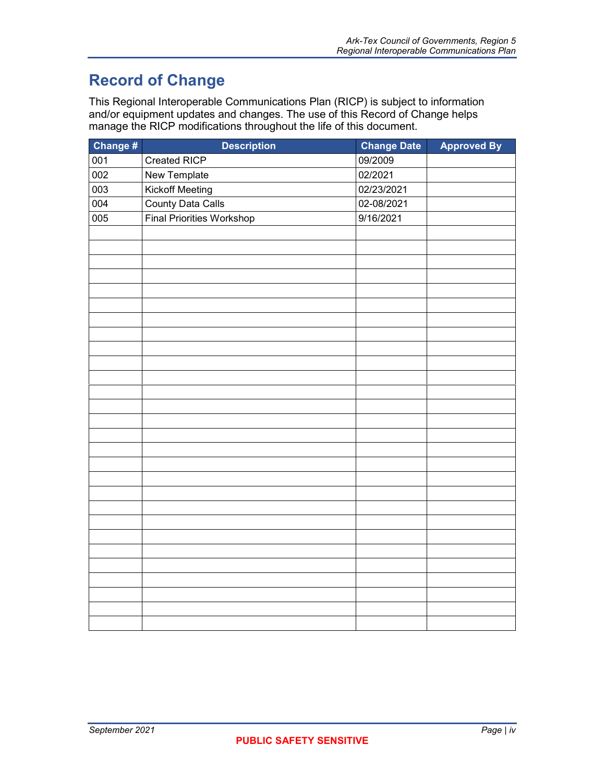## **Record of Change**

This Regional Interoperable Communications Plan (RICP) is subject to information and/or equipment updates and changes. The use of this Record of Change helps manage the RICP modifications throughout the life of this document.

| Change # | <b>Description</b>               | <b>Change Date</b> | <b>Approved By</b> |
|----------|----------------------------------|--------------------|--------------------|
| 001      | Created RICP                     | 09/2009            |                    |
| 002      | New Template                     | 02/2021            |                    |
| 003      | Kickoff Meeting                  | 02/23/2021         |                    |
| 004      | <b>County Data Calls</b>         | 02-08/2021         |                    |
| 005      | <b>Final Priorities Workshop</b> | 9/16/2021          |                    |
|          |                                  |                    |                    |
|          |                                  |                    |                    |
|          |                                  |                    |                    |
|          |                                  |                    |                    |
|          |                                  |                    |                    |
|          |                                  |                    |                    |
|          |                                  |                    |                    |
|          |                                  |                    |                    |
|          |                                  |                    |                    |
|          |                                  |                    |                    |
|          |                                  |                    |                    |
|          |                                  |                    |                    |
|          |                                  |                    |                    |
|          |                                  |                    |                    |
|          |                                  |                    |                    |
|          |                                  |                    |                    |
|          |                                  |                    |                    |
|          |                                  |                    |                    |
|          |                                  |                    |                    |
|          |                                  |                    |                    |
|          |                                  |                    |                    |
|          |                                  |                    |                    |
|          |                                  |                    |                    |
|          |                                  |                    |                    |
|          |                                  |                    |                    |
|          |                                  |                    |                    |
|          |                                  |                    |                    |
|          |                                  |                    |                    |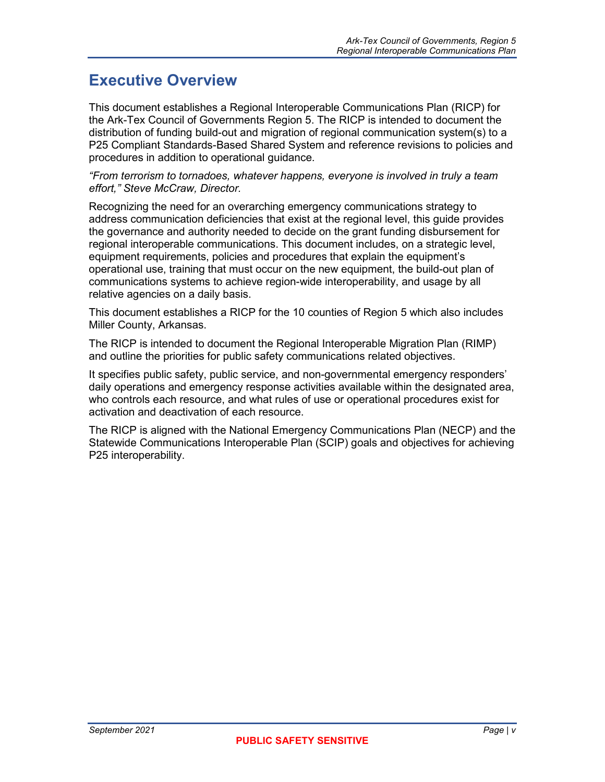## **Executive Overview**

This document establishes a Regional Interoperable Communications Plan (RICP) for the Ark-Tex Council of Governments Region 5. The RICP is intended to document the distribution of funding build-out and migration of regional communication system(s) to a P25 Compliant Standards-Based Shared System and reference revisions to policies and procedures in addition to operational guidance.

*"From terrorism to tornadoes, whatever happens, everyone is involved in truly a team effort," Steve McCraw, Director.*

Recognizing the need for an overarching emergency communications strategy to address communication deficiencies that exist at the regional level, this guide provides the governance and authority needed to decide on the grant funding disbursement for regional interoperable communications. This document includes, on a strategic level, equipment requirements, policies and procedures that explain the equipment's operational use, training that must occur on the new equipment, the build-out plan of communications systems to achieve region-wide interoperability, and usage by all relative agencies on a daily basis.

This document establishes a RICP for the 10 counties of Region 5 which also includes Miller County, Arkansas.

The RICP is intended to document the Regional Interoperable Migration Plan (RIMP) and outline the priorities for public safety communications related objectives.

It specifies public safety, public service, and non-governmental emergency responders' daily operations and emergency response activities available within the designated area, who controls each resource, and what rules of use or operational procedures exist for activation and deactivation of each resource.

The RICP is aligned with the National Emergency Communications Plan (NECP) and the Statewide Communications Interoperable Plan (SCIP) goals and objectives for achieving P25 interoperability.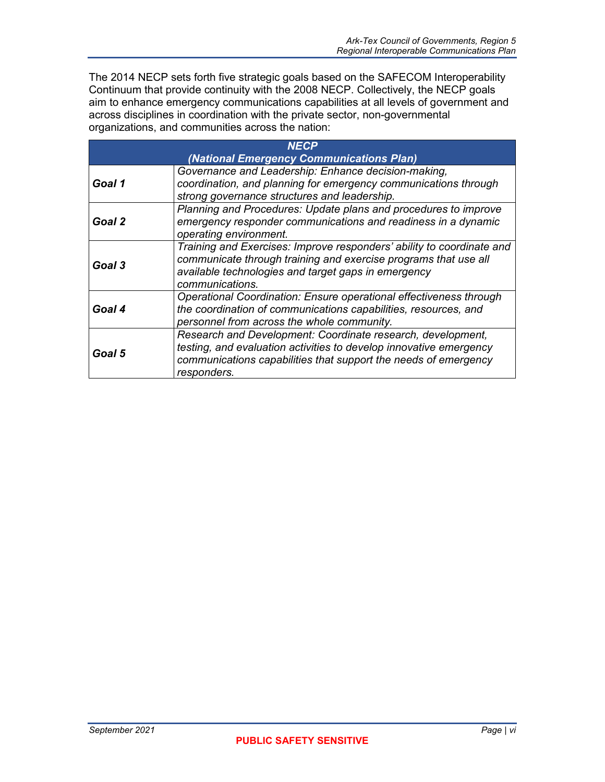The 2014 NECP sets forth five strategic goals based on the SAFECOM Interoperability Continuum that provide continuity with the 2008 NECP. Collectively, the NECP goals aim to enhance emergency communications capabilities at all levels of government and across disciplines in coordination with the private sector, non-governmental organizations, and communities across the nation:

| <b>NECP</b> |                                                                                                                                                                                                                     |  |
|-------------|---------------------------------------------------------------------------------------------------------------------------------------------------------------------------------------------------------------------|--|
|             | (National Emergency Communications Plan)                                                                                                                                                                            |  |
| Goal 1      | Governance and Leadership: Enhance decision-making,<br>coordination, and planning for emergency communications through<br>strong governance structures and leadership.                                              |  |
| Goal 2      | Planning and Procedures: Update plans and procedures to improve<br>emergency responder communications and readiness in a dynamic<br>operating environment.                                                          |  |
| Goal 3      | Training and Exercises: Improve responders' ability to coordinate and<br>communicate through training and exercise programs that use all<br>available technologies and target gaps in emergency<br>communications.  |  |
| Goal 4      | Operational Coordination: Ensure operational effectiveness through<br>the coordination of communications capabilities, resources, and<br>personnel from across the whole community.                                 |  |
| Goal 5      | Research and Development: Coordinate research, development,<br>testing, and evaluation activities to develop innovative emergency<br>communications capabilities that support the needs of emergency<br>responders. |  |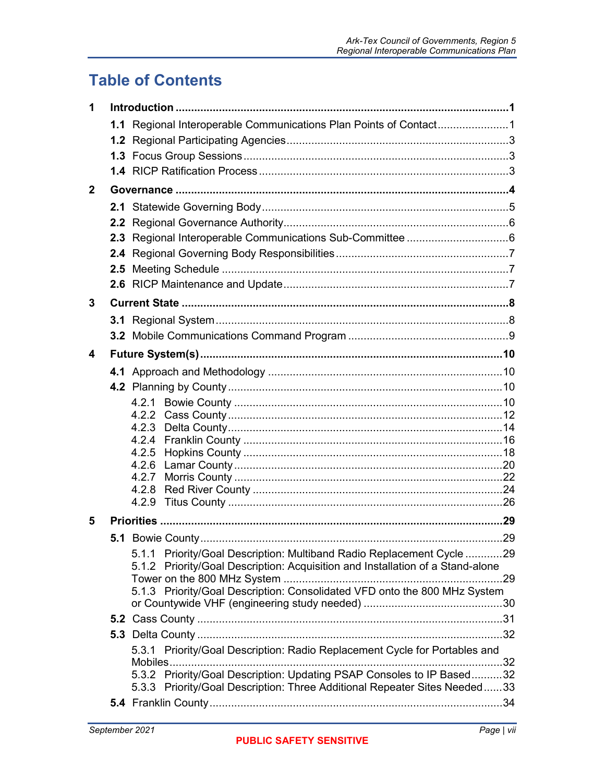## **Table of Contents**

| 1            |                                                                                |  |
|--------------|--------------------------------------------------------------------------------|--|
|              | 1.1 Regional Interoperable Communications Plan Points of Contact1              |  |
|              |                                                                                |  |
|              |                                                                                |  |
|              |                                                                                |  |
| $\mathbf{2}$ |                                                                                |  |
|              |                                                                                |  |
|              |                                                                                |  |
|              |                                                                                |  |
|              |                                                                                |  |
|              |                                                                                |  |
|              |                                                                                |  |
| 3            |                                                                                |  |
|              |                                                                                |  |
|              |                                                                                |  |
| 4            |                                                                                |  |
|              |                                                                                |  |
|              |                                                                                |  |
|              |                                                                                |  |
|              |                                                                                |  |
|              | 4.2.3                                                                          |  |
|              | 4.2.4                                                                          |  |
|              | 4.2.5                                                                          |  |
|              |                                                                                |  |
|              |                                                                                |  |
|              |                                                                                |  |
| 5            |                                                                                |  |
|              |                                                                                |  |
|              | 5.1.1 Priority/Goal Description: Multiband Radio Replacement Cycle 29          |  |
|              | 5.1.2 Priority/Goal Description: Acquisition and Installation of a Stand-alone |  |
|              | 5.1.3 Priority/Goal Description: Consolidated VFD onto the 800 MHz System      |  |
|              |                                                                                |  |
|              |                                                                                |  |
|              |                                                                                |  |
|              | 5.3.1 Priority/Goal Description: Radio Replacement Cycle for Portables and     |  |
|              | 5.3.2 Priority/Goal Description: Updating PSAP Consoles to IP Based32          |  |
|              | 5.3.3 Priority/Goal Description: Three Additional Repeater Sites Needed33      |  |
|              |                                                                                |  |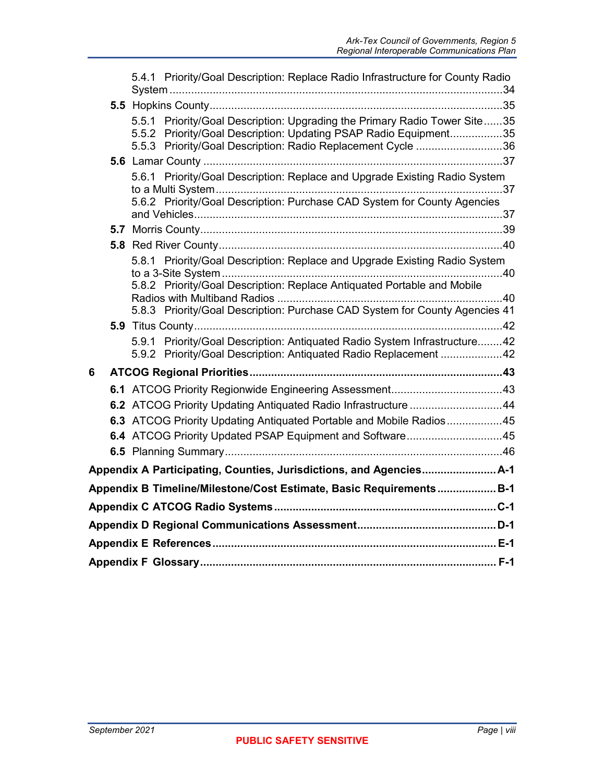|   | 5.4.1 Priority/Goal Description: Replace Radio Infrastructure for County Radio                                                                                                                               |  |
|---|--------------------------------------------------------------------------------------------------------------------------------------------------------------------------------------------------------------|--|
|   |                                                                                                                                                                                                              |  |
|   | 5.5.1 Priority/Goal Description: Upgrading the Primary Radio Tower Site35<br>5.5.2 Priority/Goal Description: Updating PSAP Radio Equipment35<br>5.5.3 Priority/Goal Description: Radio Replacement Cycle 36 |  |
|   |                                                                                                                                                                                                              |  |
|   | 5.6.1 Priority/Goal Description: Replace and Upgrade Existing Radio System<br>5.6.2 Priority/Goal Description: Purchase CAD System for County Agencies                                                       |  |
|   |                                                                                                                                                                                                              |  |
|   |                                                                                                                                                                                                              |  |
|   | 5.8.1 Priority/Goal Description: Replace and Upgrade Existing Radio System<br>5.8.2 Priority/Goal Description: Replace Antiquated Portable and Mobile                                                        |  |
|   | 5.8.3 Priority/Goal Description: Purchase CAD System for County Agencies 41                                                                                                                                  |  |
|   |                                                                                                                                                                                                              |  |
|   | 5.9.1 Priority/Goal Description: Antiquated Radio System Infrastructure42<br>5.9.2 Priority/Goal Description: Antiquated Radio Replacement 42                                                                |  |
| 6 |                                                                                                                                                                                                              |  |
|   |                                                                                                                                                                                                              |  |
|   | 6.2 ATCOG Priority Updating Antiquated Radio Infrastructure 44                                                                                                                                               |  |
|   | 6.3 ATCOG Priority Updating Antiquated Portable and Mobile Radios45                                                                                                                                          |  |
|   | 6.4 ATCOG Priority Updated PSAP Equipment and Software45                                                                                                                                                     |  |
|   |                                                                                                                                                                                                              |  |
|   | Appendix A Participating, Counties, Jurisdictions, and Agencies A-1                                                                                                                                          |  |
|   | Appendix B Timeline/Milestone/Cost Estimate, Basic Requirements B-1                                                                                                                                          |  |
|   |                                                                                                                                                                                                              |  |
|   |                                                                                                                                                                                                              |  |
|   |                                                                                                                                                                                                              |  |
|   |                                                                                                                                                                                                              |  |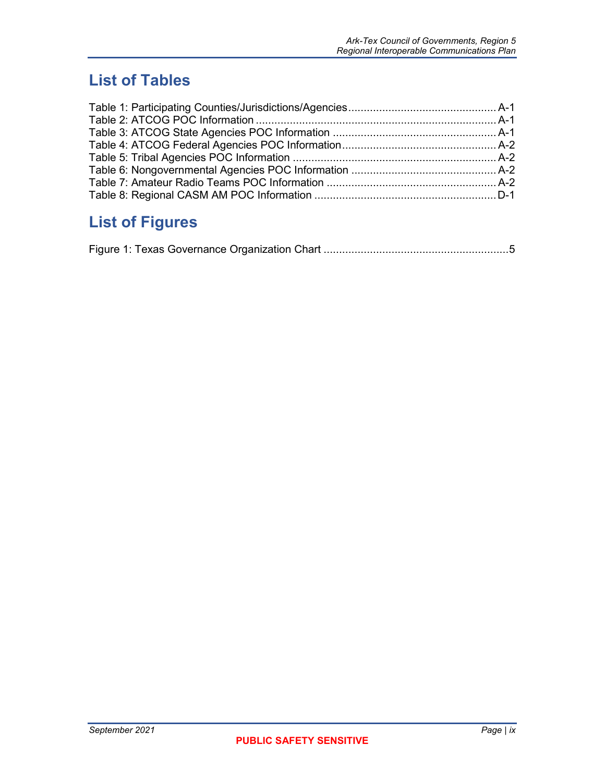## **List of Tables**

## **List of Figures**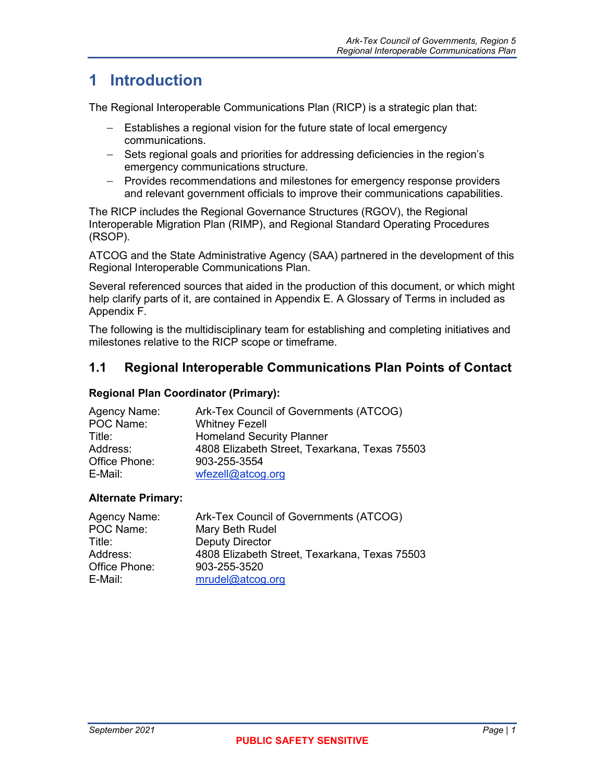## <span id="page-12-0"></span>**1 Introduction**

The Regional Interoperable Communications Plan (RICP) is a strategic plan that:

- − Establishes a regional vision for the future state of local emergency communications.
- − Sets regional goals and priorities for addressing deficiencies in the region's emergency communications structure.
- − Provides recommendations and milestones for emergency response providers and relevant government officials to improve their communications capabilities.

The RICP includes the Regional Governance Structures (RGOV), the Regional Interoperable Migration Plan (RIMP), and Regional Standard Operating Procedures (RSOP).

ATCOG and the State Administrative Agency (SAA) partnered in the development of this Regional Interoperable Communications Plan.

Several referenced sources that aided in the production of this document, or which might help clarify parts of it, are contained in Appendix E. A Glossary of Terms in included as Appendix F.

The following is the multidisciplinary team for establishing and completing initiatives and milestones relative to the RICP scope or timeframe.

## <span id="page-12-1"></span>**1.1 Regional Interoperable Communications Plan Points of Contact**

#### **Regional Plan Coordinator (Primary):**

| Agency Name:  | Ark-Tex Council of Governments (ATCOG)        |
|---------------|-----------------------------------------------|
| POC Name:     | <b>Whitney Fezell</b>                         |
| Title:        | <b>Homeland Security Planner</b>              |
| Address:      | 4808 Elizabeth Street, Texarkana, Texas 75503 |
| Office Phone: | 903-255-3554                                  |
| E-Mail:       | wfezel@atcog.org                              |

#### **Alternate Primary:**

| Agency Name:  | Ark-Tex Council of Governments (ATCOG)        |
|---------------|-----------------------------------------------|
| POC Name:     | Mary Beth Rudel                               |
| Title:        | Deputy Director                               |
| Address:      | 4808 Elizabeth Street, Texarkana, Texas 75503 |
| Office Phone: | 903-255-3520                                  |
| E-Mail:       | mrudel@atcog.org                              |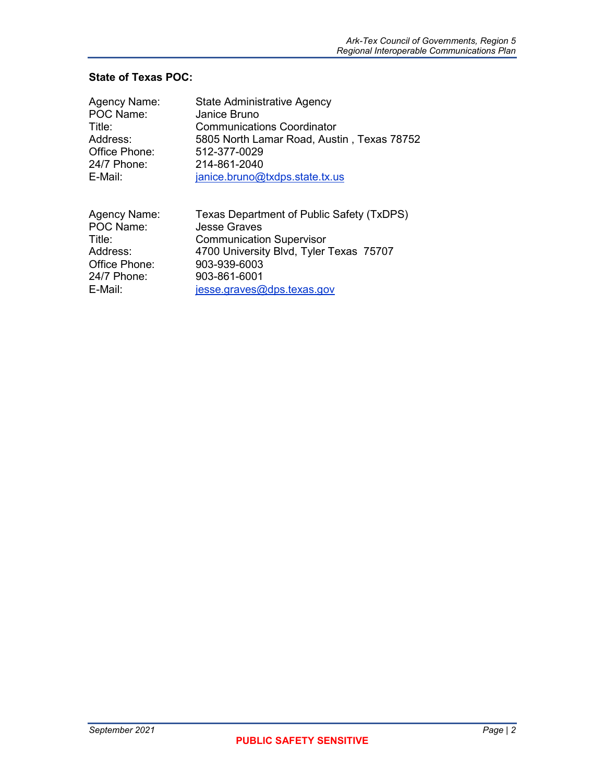### **State of Texas POC:**

| Agency Name:  | State Administrative Agency                |
|---------------|--------------------------------------------|
| POC Name:     | Janice Bruno                               |
| Title:        | Communications Coordinator                 |
| Address:      | 5805 North Lamar Road, Austin, Texas 78752 |
| Office Phone: | 512-377-0029                               |
| 24/7 Phone:   | 214-861-2040                               |
| E-Mail:       | janice.bruno@txdps.state.tx.us             |
| Agency Name:  | Texas Department of Public Safety (TxDPS)  |
| POC Name:     | <b>Jesse Graves</b>                        |
| Title:        | <b>Communication Supervisor</b>            |
| Address:      | 4700 University Blvd, Tyler Texas 75707    |
| Office Phone: | 903-939-6003                               |
| 24/7 Phone:   | 903-861-6001                               |
| E-Mail:       | jesse.graves@dps.texas.gov                 |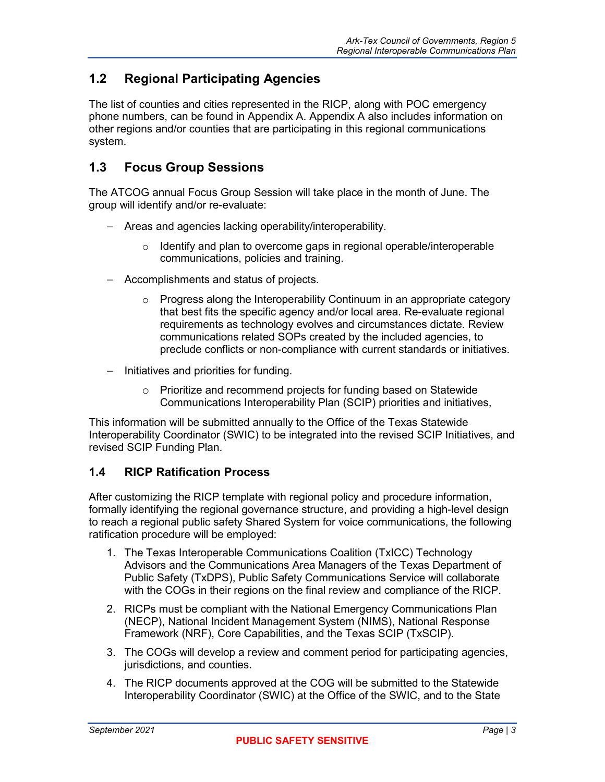## <span id="page-14-0"></span>**1.2 Regional Participating Agencies**

The list of counties and cities represented in the RICP, along with POC emergency phone numbers, can be found in [Appendix A.](#page-58-0) [Appendix A](#page-58-0) also includes information on other regions and/or counties that are participating in this regional communications system.

## <span id="page-14-1"></span>**1.3 Focus Group Sessions**

The ATCOG annual Focus Group Session will take place in the month of June. The group will identify and/or re-evaluate:

- − Areas and agencies lacking operability/interoperability.
	- $\circ$  Identify and plan to overcome gaps in regional operable/interoperable communications, policies and training.
- − Accomplishments and status of projects.
	- Progress along the Interoperability Continuum in an appropriate category that best fits the specific agency and/or local area. Re-evaluate regional requirements as technology evolves and circumstances dictate. Review communications related SOPs created by the included agencies, to preclude conflicts or non-compliance with current standards or initiatives.
- − Initiatives and priorities for funding.
	- o Prioritize and recommend projects for funding based on Statewide Communications Interoperability Plan (SCIP) priorities and initiatives,

This information will be submitted annually to the Office of the Texas Statewide Interoperability Coordinator (SWIC) to be integrated into the revised SCIP Initiatives, and revised SCIP Funding Plan.

#### <span id="page-14-2"></span>**1.4 RICP Ratification Process**

After customizing the RICP template with regional policy and procedure information, formally identifying the regional governance structure, and providing a high-level design to reach a regional public safety Shared System for voice communications, the following ratification procedure will be employed:

- 1. The Texas Interoperable Communications Coalition (TxICC) Technology Advisors and the Communications Area Managers of the Texas Department of Public Safety (TxDPS), Public Safety Communications Service will collaborate with the COGs in their regions on the final review and compliance of the RICP.
- 2. RICPs must be compliant with the National Emergency Communications Plan (NECP), National Incident Management System (NIMS), National Response Framework (NRF), Core Capabilities, and the Texas SCIP (TxSCIP).
- 3. The COGs will develop a review and comment period for participating agencies, jurisdictions, and counties.
- 4. The RICP documents approved at the COG will be submitted to the Statewide Interoperability Coordinator (SWIC) at the Office of the SWIC, and to the State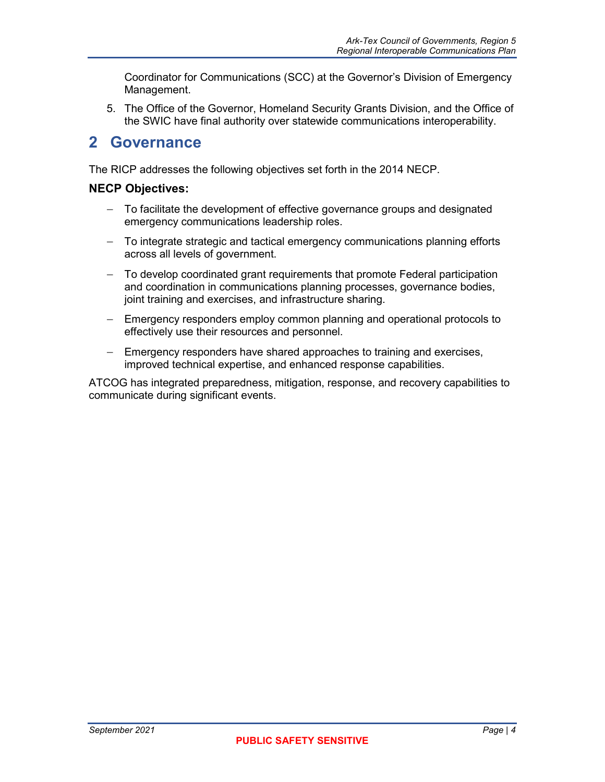Coordinator for Communications (SCC) at the Governor's Division of Emergency Management.

5. The Office of the Governor, Homeland Security Grants Division, and the Office of the SWIC have final authority over statewide communications interoperability.

## <span id="page-15-0"></span>**2 Governance**

The RICP addresses the following objectives set forth in the 2014 NECP.

#### **NECP Objectives:**

- − To facilitate the development of effective governance groups and designated emergency communications leadership roles.
- − To integrate strategic and tactical emergency communications planning efforts across all levels of government.
- − To develop coordinated grant requirements that promote Federal participation and coordination in communications planning processes, governance bodies, joint training and exercises, and infrastructure sharing.
- − Emergency responders employ common planning and operational protocols to effectively use their resources and personnel.
- − Emergency responders have shared approaches to training and exercises, improved technical expertise, and enhanced response capabilities.

ATCOG has integrated preparedness, mitigation, response, and recovery capabilities to communicate during significant events.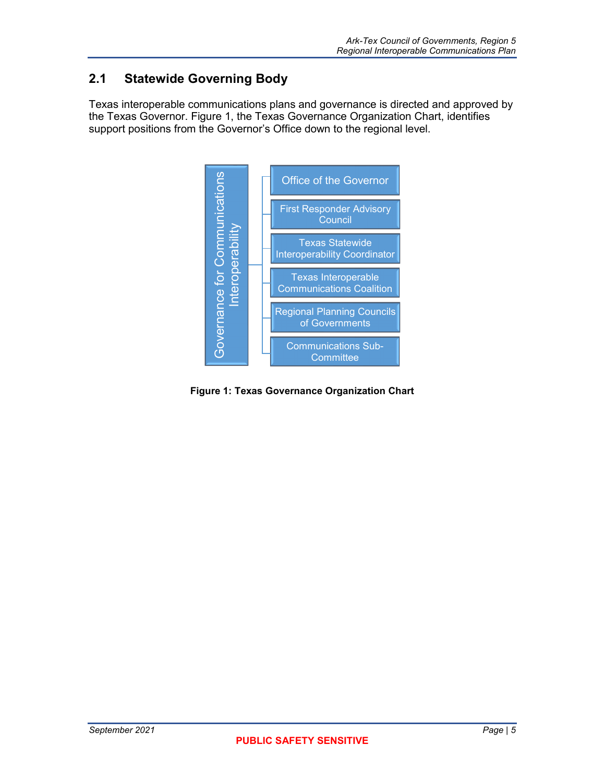## <span id="page-16-0"></span>**2.1 Statewide Governing Body**

Texas interoperable communications plans and governance is directed and approved by the Texas Governor. Figure 1, the Texas Governance Organization Chart, identifies support positions from the Governor's Office down to the regional level.



<span id="page-16-1"></span>**Figure 1: Texas Governance Organization Chart**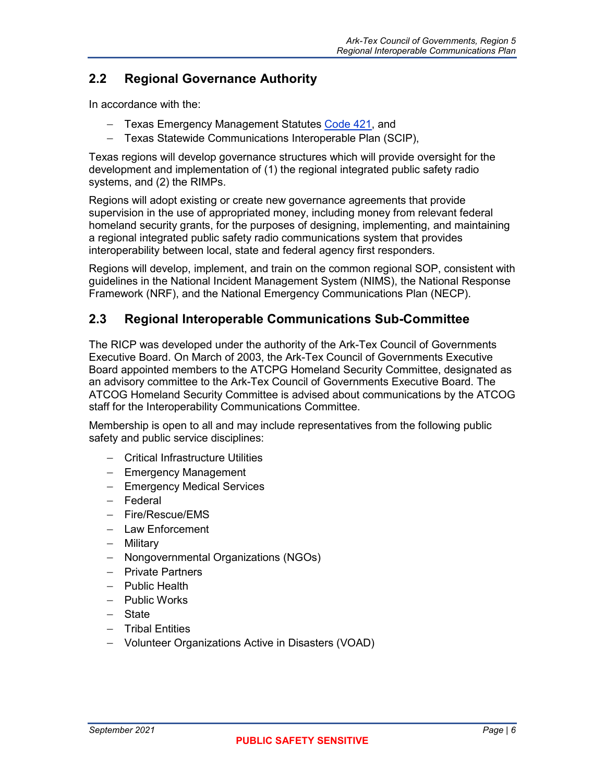## <span id="page-17-0"></span>**2.2 Regional Governance Authority**

In accordance with the:

- − Texas Emergency Management Statutes [Code 421,](http://www.dps.texas.gov/dem/GrantsResources/txEmerMgtStatutes.pdf) and
- − Texas Statewide Communications Interoperable Plan (SCIP),

Texas regions will develop governance structures which will provide oversight for the development and implementation of (1) the regional integrated public safety radio systems, and (2) the RIMPs.

Regions will adopt existing or create new governance agreements that provide supervision in the use of appropriated money, including money from relevant federal homeland security grants, for the purposes of designing, implementing, and maintaining a regional integrated public safety radio communications system that provides interoperability between local, state and federal agency first responders.

Regions will develop, implement, and train on the common regional SOP, consistent with guidelines in the National Incident Management System (NIMS), the National Response Framework (NRF), and the National Emergency Communications Plan (NECP).

## <span id="page-17-1"></span>**2.3 Regional Interoperable Communications Sub-Committee**

The RICP was developed under the authority of the Ark-Tex Council of Governments Executive Board. On March of 2003, the Ark-Tex Council of Governments Executive Board appointed members to the ATCPG Homeland Security Committee, designated as an advisory committee to the Ark-Tex Council of Governments Executive Board. The ATCOG Homeland Security Committee is advised about communications by the ATCOG staff for the Interoperability Communications Committee.

Membership is open to all and may include representatives from the following public safety and public service disciplines:

- − Critical Infrastructure Utilities
- − Emergency Management
- − Emergency Medical Services
- − Federal
- − Fire/Rescue/EMS
- − Law Enforcement
- − Military
- − Nongovernmental Organizations (NGOs)
- − Private Partners
- − Public Health
- − Public Works
- − State
- − Tribal Entities
- − Volunteer Organizations Active in Disasters (VOAD)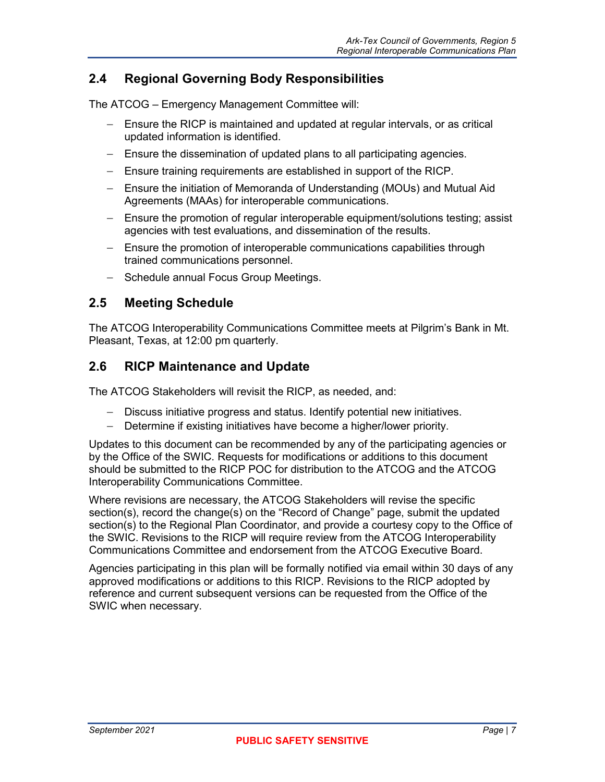## <span id="page-18-0"></span>**2.4 Regional Governing Body Responsibilities**

The ATCOG – Emergency Management Committee will:

- − Ensure the RICP is maintained and updated at regular intervals, or as critical updated information is identified.
- − Ensure the dissemination of updated plans to all participating agencies.
- − Ensure training requirements are established in support of the RICP.
- − Ensure the initiation of Memoranda of Understanding (MOUs) and Mutual Aid Agreements (MAAs) for interoperable communications.
- − Ensure the promotion of regular interoperable equipment/solutions testing; assist agencies with test evaluations, and dissemination of the results.
- − Ensure the promotion of interoperable communications capabilities through trained communications personnel.
- − Schedule annual Focus Group Meetings.

## <span id="page-18-1"></span>**2.5 Meeting Schedule**

The ATCOG Interoperability Communications Committee meets at Pilgrim's Bank in Mt. Pleasant, Texas, at 12:00 pm quarterly.

## <span id="page-18-2"></span>**2.6 RICP Maintenance and Update**

The ATCOG Stakeholders will revisit the RICP, as needed, and:

- − Discuss initiative progress and status. Identify potential new initiatives.
- − Determine if existing initiatives have become a higher/lower priority.

Updates to this document can be recommended by any of the participating agencies or by the Office of the SWIC. Requests for modifications or additions to this document should be submitted to the RICP POC for distribution to the ATCOG and the ATCOG Interoperability Communications Committee.

Where revisions are necessary, the ATCOG Stakeholders will revise the specific section(s), record the change(s) on the "Record of Change" page, submit the updated section(s) to the Regional Plan Coordinator, and provide a courtesy copy to the Office of the SWIC. Revisions to the RICP will require review from the ATCOG Interoperability Communications Committee and endorsement from the ATCOG Executive Board.

Agencies participating in this plan will be formally notified via email within 30 days of any approved modifications or additions to this RICP. Revisions to the RICP adopted by reference and current subsequent versions can be requested from the Office of the SWIC when necessary.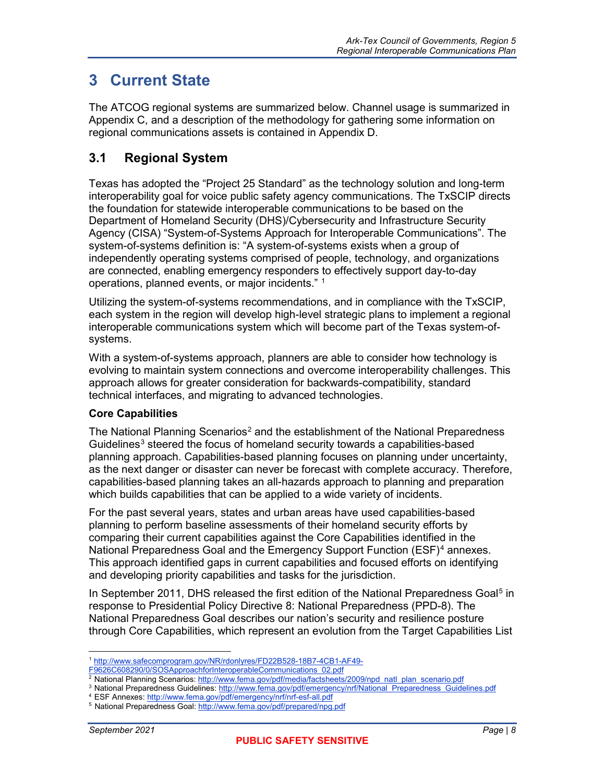## <span id="page-19-0"></span>**3 Current State**

The ATCOG regional systems are summarized below. Channel usage is summarized in Appendix C, and a description of the methodology for gathering some information on regional communications assets is contained in Appendix D.

## <span id="page-19-1"></span>**3.1 Regional System**

Texas has adopted the "Project 25 Standard" as the technology solution and long-term interoperability goal for voice public safety agency communications. The TxSCIP directs the foundation for statewide interoperable communications to be based on the Department of Homeland Security (DHS)/Cybersecurity and Infrastructure Security Agency (CISA) "System-of-Systems Approach for Interoperable Communications". The system-of-systems definition is: "A system-of-systems exists when a group of independently operating systems comprised of people, technology, and organizations are connected, enabling emergency responders to effectively support day-to-day operations, planned events, or major incidents."  $^{\rm 1}$  $^{\rm 1}$  $^{\rm 1}$ 

Utilizing the system-of-systems recommendations, and in compliance with the TxSCIP, each system in the region will develop high-level strategic plans to implement a regional interoperable communications system which will become part of the Texas system-ofsystems.

With a system-of-systems approach, planners are able to consider how technology is evolving to maintain system connections and overcome interoperability challenges. This approach allows for greater consideration for backwards-compatibility, standard technical interfaces, and migrating to advanced technologies.

#### **Core Capabilities**

The National Planning Scenarios<sup>[2](#page-19-3)</sup> and the establishment of the National Preparedness Guidelines<sup>[3](#page-19-4)</sup> steered the focus of homeland security towards a capabilities-based planning approach. Capabilities-based planning focuses on planning under uncertainty, as the next danger or disaster can never be forecast with complete accuracy. Therefore, capabilities-based planning takes an all-hazards approach to planning and preparation which builds capabilities that can be applied to a wide variety of incidents.

For the past several years, states and urban areas have used capabilities-based planning to perform baseline assessments of their homeland security efforts by comparing their current capabilities against the Core Capabilities identified in the National Preparedness Goal and the Emergency Support Function (ESF)<sup>[4](#page-19-5)</sup> annexes. This approach identified gaps in current capabilities and focused efforts on identifying and developing priority capabilities and tasks for the jurisdiction.

In September 2011, DHS released the first edition of the National Preparedness Goal<sup>[5](#page-19-6)</sup> in response to Presidential Policy Directive 8: National Preparedness (PPD-8). The National Preparedness Goal describes our nation's security and resilience posture through Core Capabilities, which represent an evolution from the Target Capabilities List

 $\overline{a}$ <sup>1</sup> [http://www.safecomprogram.gov/NR/rdonlyres/FD22B528-18B7-4CB1-AF49-](http://www.safecomprogram.gov/NR/rdonlyres/FD22B528-18B7-4CB1-AF49-F9626C608290/0/SOSApproachforInteroperableCommunications_02.pdf)

<span id="page-19-2"></span>

F9626C608290/0/SOSApproachforInteroperableCommunications\_02.pdf<br><sup>2</sup> National Planning Scenarios[: http://www.fema.gov/pdf/media/factsheets/2009/npd\\_natl\\_plan\\_scenario.pdf](http://www.fema.gov/pdf/media/factsheets/2009/npd_natl_plan_scenario.pdf)

<span id="page-19-4"></span><span id="page-19-3"></span><sup>&</sup>lt;sup>3</sup> National Preparedness Guidelines[: http://www.fema.gov/pdf/emergency/nrf/National\\_Preparedness\\_Guidelines.pdf](http://www.fema.gov/pdf/emergency/nrf/National_Preparedness_Guidelines.pdf)

<span id="page-19-6"></span><span id="page-19-5"></span><sup>4</sup> ESF Annexes:<http://www.fema.gov/pdf/emergency/nrf/nrf-esf-all.pdf>

<sup>5</sup> National Preparedness Goal:<http://www.fema.gov/pdf/prepared/npg.pdf>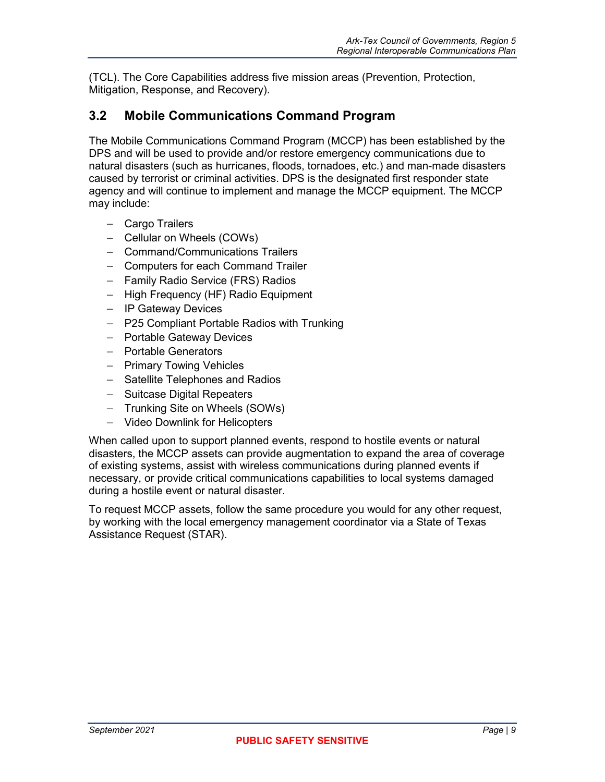(TCL). The Core Capabilities address five mission areas (Prevention, Protection, Mitigation, Response, and Recovery).

## <span id="page-20-0"></span>**3.2 Mobile Communications Command Program**

The Mobile Communications Command Program (MCCP) has been established by the DPS and will be used to provide and/or restore emergency communications due to natural disasters (such as hurricanes, floods, tornadoes, etc.) and man-made disasters caused by terrorist or criminal activities. DPS is the designated first responder state agency and will continue to implement and manage the MCCP equipment. The MCCP may include:

- − Cargo Trailers
- − Cellular on Wheels (COWs)
- − Command/Communications Trailers
- − Computers for each Command Trailer
- − Family Radio Service (FRS) Radios
- − High Frequency (HF) Radio Equipment
- − IP Gateway Devices
- − P25 Compliant Portable Radios with Trunking
- − Portable Gateway Devices
- − Portable Generators
- − Primary Towing Vehicles
- − Satellite Telephones and Radios
- − Suitcase Digital Repeaters
- − Trunking Site on Wheels (SOWs)
- − Video Downlink for Helicopters

When called upon to support planned events, respond to hostile events or natural disasters, the MCCP assets can provide augmentation to expand the area of coverage of existing systems, assist with wireless communications during planned events if necessary, or provide critical communications capabilities to local systems damaged during a hostile event or natural disaster.

To request MCCP assets, follow the same procedure you would for any other request, by working with the local emergency management coordinator via a State of Texas Assistance Request (STAR).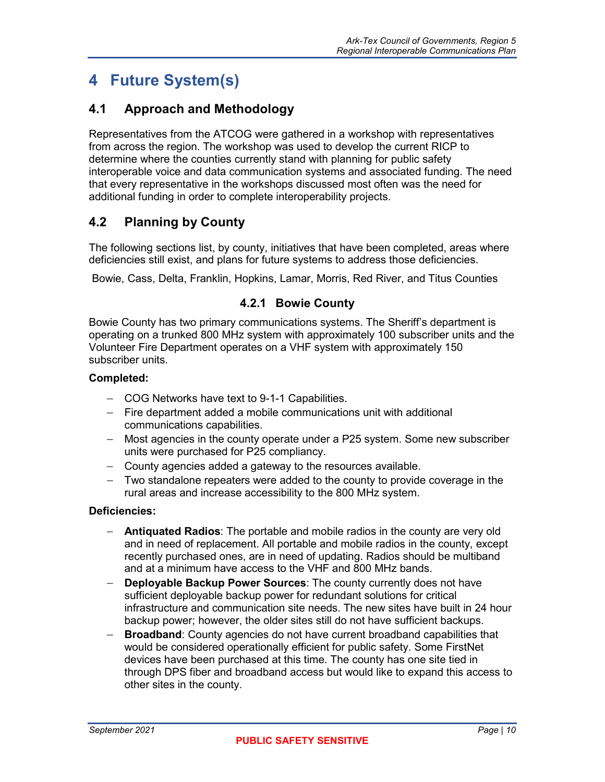## <span id="page-21-0"></span>**4 Future System(s)**

## <span id="page-21-1"></span>**4.1 Approach and Methodology**

Representatives from the ATCOG were gathered in a workshop with representatives from across the region. The workshop was used to develop the current RICP to determine where the counties currently stand with planning for public safety interoperable voice and data communication systems and associated funding. The need that every representative in the workshops discussed most often was the need for additional funding in order to complete interoperability projects.

## <span id="page-21-2"></span>**4.2 Planning by County**

The following sections list, by county, initiatives that have been completed, areas where deficiencies still exist, and plans for future systems to address those deficiencies.

<span id="page-21-3"></span>Bowie, Cass, Delta, Franklin, Hopkins, Lamar, Morris, Red River, and Titus Counties

#### **4.2.1 Bowie County**

Bowie County has two primary communications systems. The Sheriff's department is operating on a trunked 800 MHz system with approximately 100 subscriber units and the Volunteer Fire Department operates on a VHF system with approximately 150 subscriber units.

#### **Completed:**

- − COG Networks have text to 9-1-1 Capabilities.
- − Fire department added a mobile communications unit with additional communications capabilities.
- − Most agencies in the county operate under a P25 system. Some new subscriber units were purchased for P25 compliancy.
- − County agencies added a gateway to the resources available.
- − Two standalone repeaters were added to the county to provide coverage in the rural areas and increase accessibility to the 800 MHz system.

#### **Deficiencies:**

- − **Antiquated Radios**: The portable and mobile radios in the county are very old and in need of replacement. All portable and mobile radios in the county, except recently purchased ones, are in need of updating. Radios should be multiband and at a minimum have access to the VHF and 800 MHz bands.
- **Deployable Backup Power Sources:** The county currently does not have sufficient deployable backup power for redundant solutions for critical infrastructure and communication site needs. The new sites have built in 24 hour backup power; however, the older sites still do not have sufficient backups.
- **Broadband:** County agencies do not have current broadband capabilities that would be considered operationally efficient for public safety. Some FirstNet devices have been purchased at this time. The county has one site tied in through DPS fiber and broadband access but would like to expand this access to other sites in the county.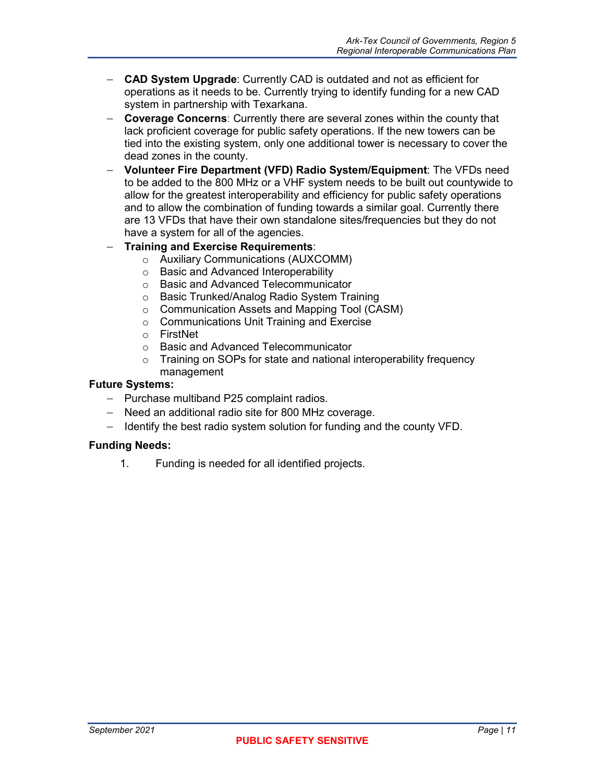- − **CAD System Upgrade**: Currently CAD is outdated and not as efficient for operations as it needs to be. Currently trying to identify funding for a new CAD system in partnership with Texarkana.
- − **Coverage Concerns**: Currently there are several zones within the county that lack proficient coverage for public safety operations. If the new towers can be tied into the existing system, only one additional tower is necessary to cover the dead zones in the county.
- − **Volunteer Fire Department (VFD) Radio System/Equipment**: The VFDs need to be added to the 800 MHz or a VHF system needs to be built out countywide to allow for the greatest interoperability and efficiency for public safety operations and to allow the combination of funding towards a similar goal. Currently there are 13 VFDs that have their own standalone sites/frequencies but they do not have a system for all of the agencies.

#### − **Training and Exercise Requirements**:

- o Auxiliary Communications (AUXCOMM)
- o Basic and Advanced Interoperability
- o Basic and Advanced Telecommunicator
- o Basic Trunked/Analog Radio System Training
- o Communication Assets and Mapping Tool (CASM)
- o Communications Unit Training and Exercise
- o FirstNet<br>o Basic an
- Basic and Advanced Telecommunicator
- o Training on SOPs for state and national interoperability frequency management

#### **Future Systems:**

- − Purchase multiband P25 complaint radios.
- − Need an additional radio site for 800 MHz coverage.
- − Identify the best radio system solution for funding and the county VFD.

#### **Funding Needs:**

1. Funding is needed for all identified projects.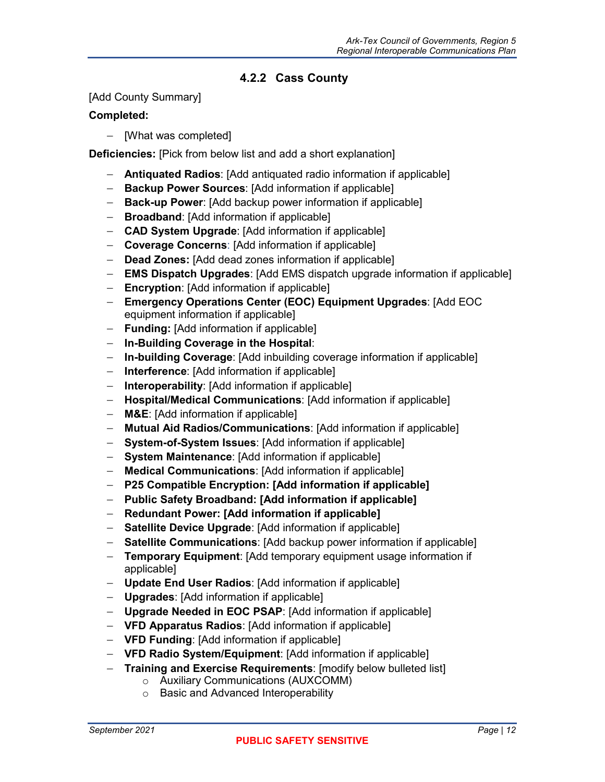### **4.2.2 Cass County**

#### <span id="page-23-0"></span>[Add County Summary]

#### **Completed:**

− [What was completed]

**Deficiencies:** [Pick from below list and add a short explanation]

- − **Antiquated Radios**: [Add antiquated radio information if applicable]
- − **Backup Power Sources**: [Add information if applicable]
- − **Back-up Power**: [Add backup power information if applicable]
- − **Broadband**: [Add information if applicable]
- − **CAD System Upgrade**: [Add information if applicable]
- − **Coverage Concerns**: [Add information if applicable]
- − **Dead Zones:** [Add dead zones information if applicable]
- − **EMS Dispatch Upgrades**: [Add EMS dispatch upgrade information if applicable]
- − **Encryption**: [Add information if applicable]
- − **Emergency Operations Center (EOC) Equipment Upgrades**: [Add EOC equipment information if applicable]
- − **Funding:** [Add information if applicable]
- − **In-Building Coverage in the Hospital**:
- − **In-building Coverage**: [Add inbuilding coverage information if applicable]
- − **Interference**: [Add information if applicable]
- − **Interoperability**: [Add information if applicable]
- − **Hospital/Medical Communications**: [Add information if applicable]
- − **M&E**: [Add information if applicable]
- − **Mutual Aid Radios/Communications**: [Add information if applicable]
- − **System-of-System Issues**: [Add information if applicable]
- − **System Maintenance**: [Add information if applicable]
- − **Medical Communications**: [Add information if applicable]
- − **P25 Compatible Encryption: [Add information if applicable]**
- − **Public Safety Broadband: [Add information if applicable]**
- − **Redundant Power: [Add information if applicable]**
- − **Satellite Device Upgrade**: [Add information if applicable]
- − **Satellite Communications**: [Add backup power information if applicable]
- − **Temporary Equipment**: [Add temporary equipment usage information if applicable]
- − **Update End User Radios**: [Add information if applicable]
- − **Upgrades**: [Add information if applicable]
- − **Upgrade Needed in EOC PSAP**: [Add information if applicable]
- − **VFD Apparatus Radios**: [Add information if applicable]
- − **VFD Funding**: [Add information if applicable]
- − **VFD Radio System/Equipment**: [Add information if applicable]
- − **Training and Exercise Requirements**: [modify below bulleted list]
	- o Auxiliary Communications (AUXCOMM)
	- o Basic and Advanced Interoperability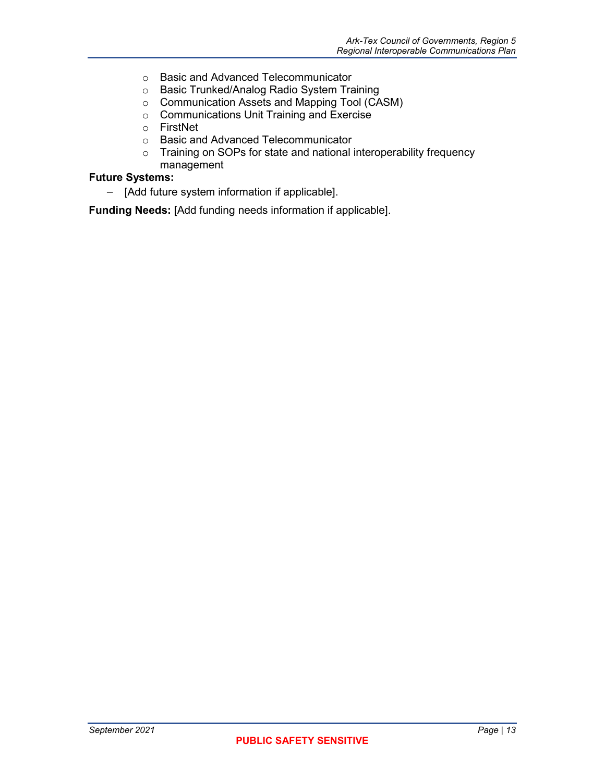- o Basic and Advanced Telecommunicator
- o Basic Trunked/Analog Radio System Training
- o Communication Assets and Mapping Tool (CASM)
- o Communications Unit Training and Exercise
- o FirstNet
- o Basic and Advanced Telecommunicator
- o Training on SOPs for state and national interoperability frequency management
- 

## **Future Systems:**

− [Add future system information if applicable].

**Funding Needs:** [Add funding needs information if applicable].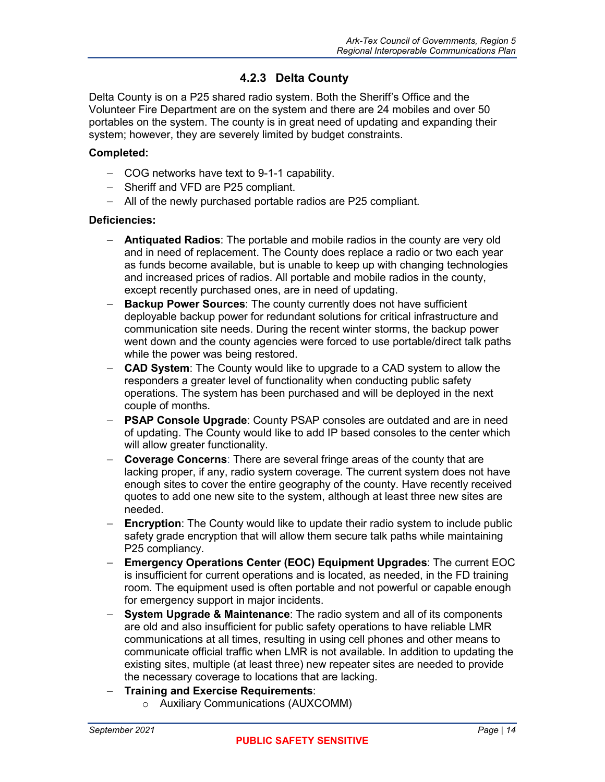#### **4.2.3 Delta County**

<span id="page-25-0"></span>Delta County is on a P25 shared radio system. Both the Sheriff's Office and the Volunteer Fire Department are on the system and there are 24 mobiles and over 50 portables on the system. The county is in great need of updating and expanding their system; however, they are severely limited by budget constraints.

#### **Completed:**

- − COG networks have text to 9-1-1 capability.
- − Sheriff and VFD are P25 compliant.
- − All of the newly purchased portable radios are P25 compliant.

#### **Deficiencies:**

- − **Antiquated Radios**: The portable and mobile radios in the county are very old and in need of replacement. The County does replace a radio or two each year as funds become available, but is unable to keep up with changing technologies and increased prices of radios. All portable and mobile radios in the county, except recently purchased ones, are in need of updating.
- **Backup Power Sources:** The county currently does not have sufficient deployable backup power for redundant solutions for critical infrastructure and communication site needs. During the recent winter storms, the backup power went down and the county agencies were forced to use portable/direct talk paths while the power was being restored.
- − **CAD System**: The County would like to upgrade to a CAD system to allow the responders a greater level of functionality when conducting public safety operations. The system has been purchased and will be deployed in the next couple of months.
- − **PSAP Console Upgrade**: County PSAP consoles are outdated and are in need of updating. The County would like to add IP based consoles to the center which will allow greater functionality.
- **Coverage Concerns:** There are several fringe areas of the county that are lacking proper, if any, radio system coverage. The current system does not have enough sites to cover the entire geography of the county. Have recently received quotes to add one new site to the system, although at least three new sites are needed.
- − **Encryption**: The County would like to update their radio system to include public safety grade encryption that will allow them secure talk paths while maintaining P25 compliancy.
- − **Emergency Operations Center (EOC) Equipment Upgrades**: The current EOC is insufficient for current operations and is located, as needed, in the FD training room. The equipment used is often portable and not powerful or capable enough for emergency support in major incidents.
- **System Upgrade & Maintenance:** The radio system and all of its components are old and also insufficient for public safety operations to have reliable LMR communications at all times, resulting in using cell phones and other means to communicate official traffic when LMR is not available. In addition to updating the existing sites, multiple (at least three) new repeater sites are needed to provide the necessary coverage to locations that are lacking.
- − **Training and Exercise Requirements**:
	- o Auxiliary Communications (AUXCOMM)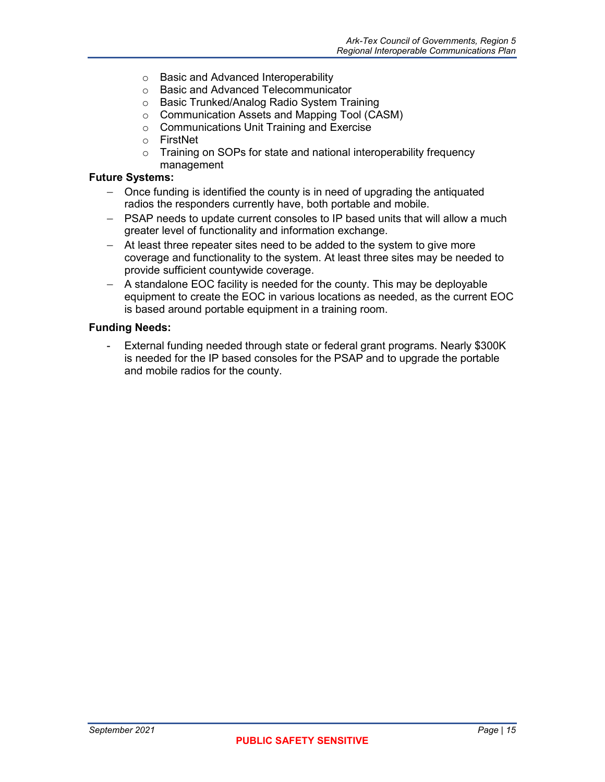- o Basic and Advanced Interoperability
- o Basic and Advanced Telecommunicator
- o Basic Trunked/Analog Radio System Training
- o Communication Assets and Mapping Tool (CASM)
- ⊙ Communications Unit Training and Exercise<br>○ FirstNet
- **FirstNet**
- o Training on SOPs for state and national interoperability frequency management

#### **Future Systems:**

- − Once funding is identified the county is in need of upgrading the antiquated radios the responders currently have, both portable and mobile.
- − PSAP needs to update current consoles to IP based units that will allow a much greater level of functionality and information exchange.
- − At least three repeater sites need to be added to the system to give more coverage and functionality to the system. At least three sites may be needed to provide sufficient countywide coverage.
- − A standalone EOC facility is needed for the county. This may be deployable equipment to create the EOC in various locations as needed, as the current EOC is based around portable equipment in a training room.

#### **Funding Needs:**

- External funding needed through state or federal grant programs. Nearly \$300K is needed for the IP based consoles for the PSAP and to upgrade the portable and mobile radios for the county.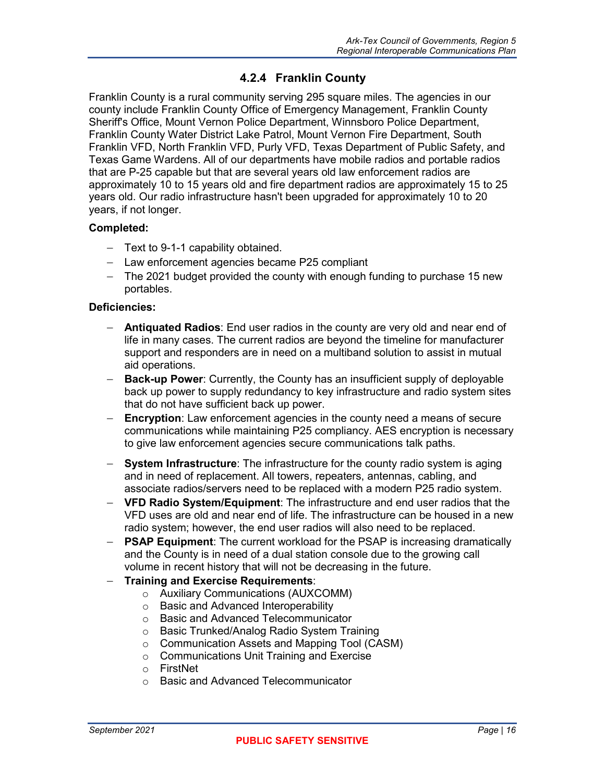## **4.2.4 Franklin County**

<span id="page-27-0"></span>Franklin County is a rural community serving 295 square miles. The agencies in our county include Franklin County Office of Emergency Management, Franklin County Sheriff's Office, Mount Vernon Police Department, Winnsboro Police Department, Franklin County Water District Lake Patrol, Mount Vernon Fire Department, South Franklin VFD, North Franklin VFD, Purly VFD, Texas Department of Public Safety, and Texas Game Wardens. All of our departments have mobile radios and portable radios that are P-25 capable but that are several years old law enforcement radios are approximately 10 to 15 years old and fire department radios are approximately 15 to 25 years old. Our radio infrastructure hasn't been upgraded for approximately 10 to 20 years, if not longer.

#### **Completed:**

- − Text to 9-1-1 capability obtained.
- − Law enforcement agencies became P25 compliant
- − The 2021 budget provided the county with enough funding to purchase 15 new portables.

#### **Deficiencies:**

- − **Antiquated Radios**: End user radios in the county are very old and near end of life in many cases. The current radios are beyond the timeline for manufacturer support and responders are in need on a multiband solution to assist in mutual aid operations.
- − **Back-up Power**: Currently, the County has an insufficient supply of deployable back up power to supply redundancy to key infrastructure and radio system sites that do not have sufficient back up power.
- − **Encryption**: Law enforcement agencies in the county need a means of secure communications while maintaining P25 compliancy. AES encryption is necessary to give law enforcement agencies secure communications talk paths.
- − **System Infrastructure**: The infrastructure for the county radio system is aging and in need of replacement. All towers, repeaters, antennas, cabling, and associate radios/servers need to be replaced with a modern P25 radio system.
- − **VFD Radio System/Equipment**: The infrastructure and end user radios that the VFD uses are old and near end of life. The infrastructure can be housed in a new radio system; however, the end user radios will also need to be replaced.
- **PSAP Equipment:** The current workload for the PSAP is increasing dramatically and the County is in need of a dual station console due to the growing call volume in recent history that will not be decreasing in the future.
- − **Training and Exercise Requirements**:
	- o Auxiliary Communications (AUXCOMM)
	- o Basic and Advanced Interoperability
	- o Basic and Advanced Telecommunicator
	- o Basic Trunked/Analog Radio System Training
	- o Communication Assets and Mapping Tool (CASM)
	- o Communications Unit Training and Exercise
	- o FirstNet
	- o Basic and Advanced Telecommunicator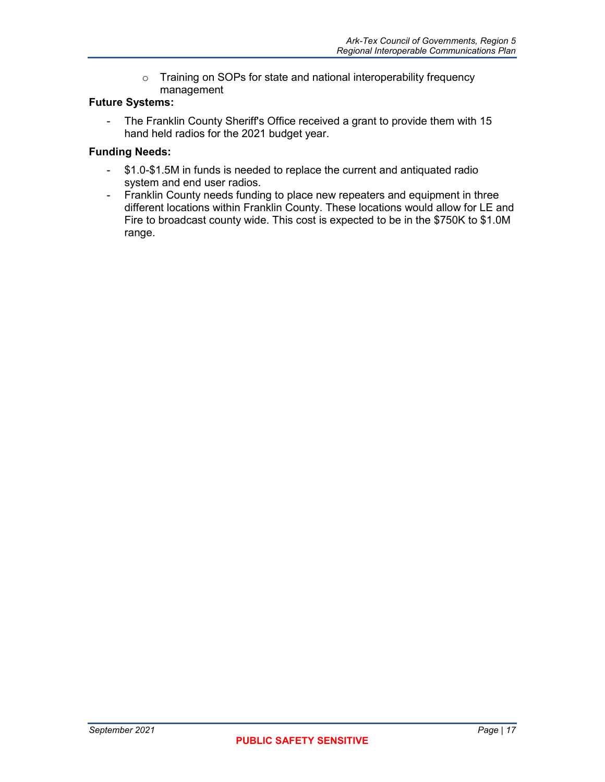o Training on SOPs for state and national interoperability frequency management

#### **Future Systems:**

- The Franklin County Sheriff's Office received a grant to provide them with 15 hand held radios for the 2021 budget year.

#### **Funding Needs:**

- \$1.0-\$1.5M in funds is needed to replace the current and antiquated radio system and end user radios.
- Franklin County needs funding to place new repeaters and equipment in three different locations within Franklin County. These locations would allow for LE and Fire to broadcast county wide. This cost is expected to be in the \$750K to \$1.0M range.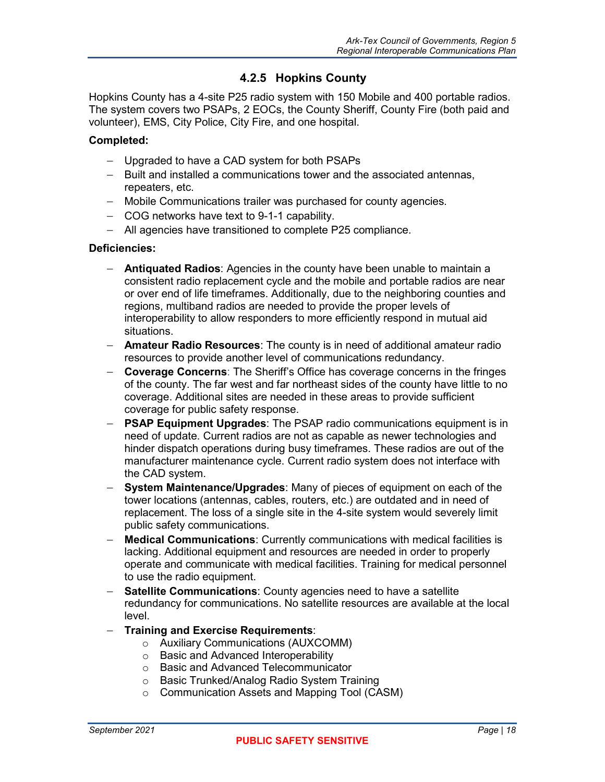### **4.2.5 Hopkins County**

<span id="page-29-0"></span>Hopkins County has a 4-site P25 radio system with 150 Mobile and 400 portable radios. The system covers two PSAPs, 2 EOCs, the County Sheriff, County Fire (both paid and volunteer), EMS, City Police, City Fire, and one hospital.

#### **Completed:**

- − Upgraded to have a CAD system for both PSAPs
- − Built and installed a communications tower and the associated antennas, repeaters, etc.
- − Mobile Communications trailer was purchased for county agencies.
- − COG networks have text to 9-1-1 capability.
- − All agencies have transitioned to complete P25 compliance.

#### **Deficiencies:**

- − **Antiquated Radios**: Agencies in the county have been unable to maintain a consistent radio replacement cycle and the mobile and portable radios are near or over end of life timeframes. Additionally, due to the neighboring counties and regions, multiband radios are needed to provide the proper levels of interoperability to allow responders to more efficiently respond in mutual aid situations.
- − **Amateur Radio Resources**: The county is in need of additional amateur radio resources to provide another level of communications redundancy.
- − **Coverage Concerns**: The Sheriff's Office has coverage concerns in the fringes of the county. The far west and far northeast sides of the county have little to no coverage. Additional sites are needed in these areas to provide sufficient coverage for public safety response.
- − **PSAP Equipment Upgrades**: The PSAP radio communications equipment is in need of update. Current radios are not as capable as newer technologies and hinder dispatch operations during busy timeframes. These radios are out of the manufacturer maintenance cycle. Current radio system does not interface with the CAD system.
- − **System Maintenance/Upgrades**: Many of pieces of equipment on each of the tower locations (antennas, cables, routers, etc.) are outdated and in need of replacement. The loss of a single site in the 4-site system would severely limit public safety communications.
- − **Medical Communications**: Currently communications with medical facilities is lacking. Additional equipment and resources are needed in order to properly operate and communicate with medical facilities. Training for medical personnel to use the radio equipment.
- − **Satellite Communications**: County agencies need to have a satellite redundancy for communications. No satellite resources are available at the local level.
- − **Training and Exercise Requirements**:
	- o Auxiliary Communications (AUXCOMM)
	- o Basic and Advanced Interoperability
	- o Basic and Advanced Telecommunicator
	- o Basic Trunked/Analog Radio System Training
	- o Communication Assets and Mapping Tool (CASM)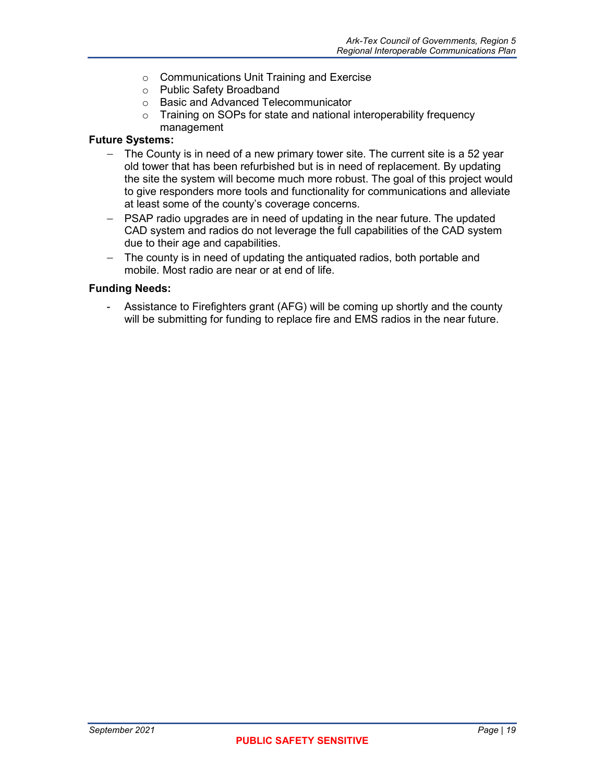- o Communications Unit Training and Exercise
- o Public Safety Broadband
- o Basic and Advanced Telecommunicator
- o Training on SOPs for state and national interoperability frequency management

#### **Future Systems:**

- − The County is in need of a new primary tower site. The current site is a 52 year old tower that has been refurbished but is in need of replacement. By updating the site the system will become much more robust. The goal of this project would to give responders more tools and functionality for communications and alleviate at least some of the county's coverage concerns.
- − PSAP radio upgrades are in need of updating in the near future. The updated CAD system and radios do not leverage the full capabilities of the CAD system due to their age and capabilities.
- − The county is in need of updating the antiquated radios, both portable and mobile. Most radio are near or at end of life.

#### **Funding Needs:**

- Assistance to Firefighters grant (AFG) will be coming up shortly and the county will be submitting for funding to replace fire and EMS radios in the near future.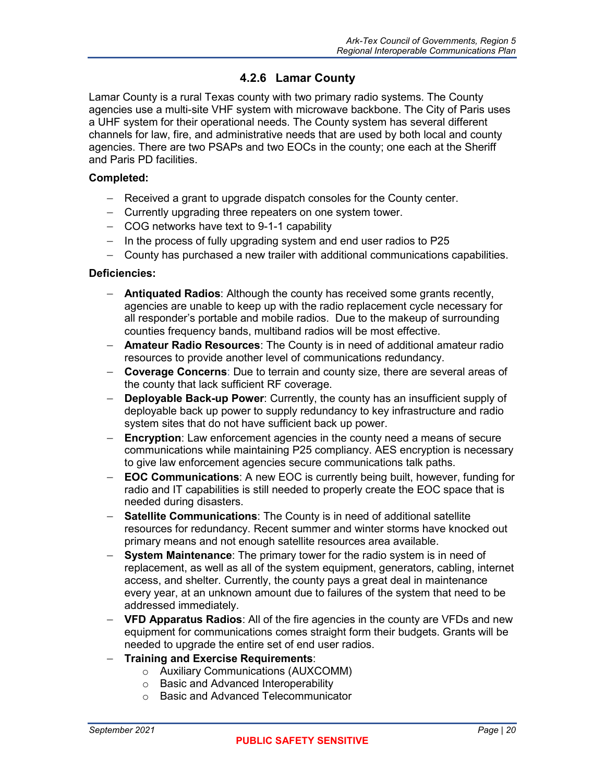## **4.2.6 Lamar County**

<span id="page-31-0"></span>Lamar County is a rural Texas county with two primary radio systems. The County agencies use a multi-site VHF system with microwave backbone. The City of Paris uses a UHF system for their operational needs. The County system has several different channels for law, fire, and administrative needs that are used by both local and county agencies. There are two PSAPs and two EOCs in the county; one each at the Sheriff and Paris PD facilities.

#### **Completed:**

- − Received a grant to upgrade dispatch consoles for the County center.
- − Currently upgrading three repeaters on one system tower.
- − COG networks have text to 9-1-1 capability
- − In the process of fully upgrading system and end user radios to P25
- − County has purchased a new trailer with additional communications capabilities.

#### **Deficiencies:**

- − **Antiquated Radios**: Although the county has received some grants recently, agencies are unable to keep up with the radio replacement cycle necessary for all responder's portable and mobile radios. Due to the makeup of surrounding counties frequency bands, multiband radios will be most effective.
- − **Amateur Radio Resources**: The County is in need of additional amateur radio resources to provide another level of communications redundancy.
- − **Coverage Concerns**: Due to terrain and county size, there are several areas of the county that lack sufficient RF coverage.
- − **Deployable Back-up Power**: Currently, the county has an insufficient supply of deployable back up power to supply redundancy to key infrastructure and radio system sites that do not have sufficient back up power.
- **Encryption**: Law enforcement agencies in the county need a means of secure communications while maintaining P25 compliancy. AES encryption is necessary to give law enforcement agencies secure communications talk paths.
- − **EOC Communications**: A new EOC is currently being built, however, funding for radio and IT capabilities is still needed to properly create the EOC space that is needed during disasters.
- − **Satellite Communications**: The County is in need of additional satellite resources for redundancy. Recent summer and winter storms have knocked out primary means and not enough satellite resources area available.
- − **System Maintenance**: The primary tower for the radio system is in need of replacement, as well as all of the system equipment, generators, cabling, internet access, and shelter. Currently, the county pays a great deal in maintenance every year, at an unknown amount due to failures of the system that need to be addressed immediately.
- − **VFD Apparatus Radios**: All of the fire agencies in the county are VFDs and new equipment for communications comes straight form their budgets. Grants will be needed to upgrade the entire set of end user radios.
- − **Training and Exercise Requirements**:
	- o Auxiliary Communications (AUXCOMM)
	- o Basic and Advanced Interoperability
	- o Basic and Advanced Telecommunicator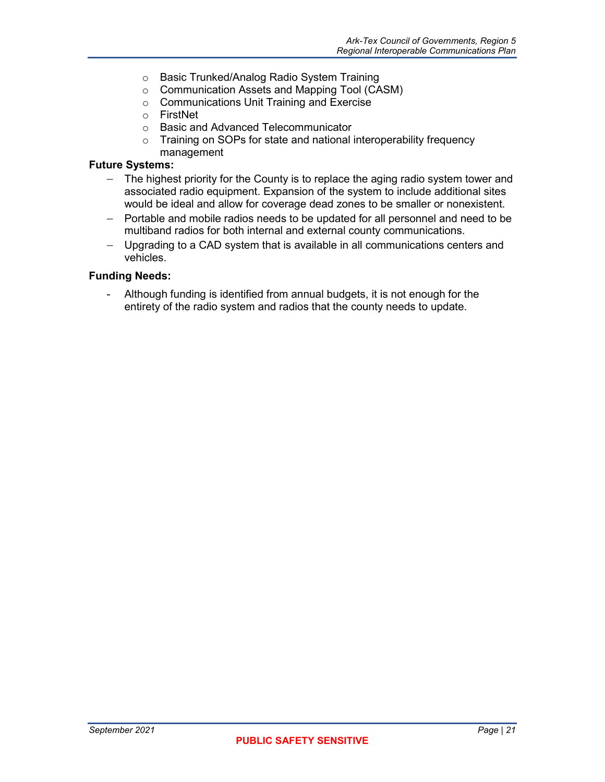- o Basic Trunked/Analog Radio System Training
- o Communication Assets and Mapping Tool (CASM)
- o Communications Unit Training and Exercise
- o FirstNet
- o Basic and Advanced Telecommunicator
- o Training on SOPs for state and national interoperability frequency management

#### **Future Systems:**

- − The highest priority for the County is to replace the aging radio system tower and associated radio equipment. Expansion of the system to include additional sites would be ideal and allow for coverage dead zones to be smaller or nonexistent.
- − Portable and mobile radios needs to be updated for all personnel and need to be multiband radios for both internal and external county communications.
- − Upgrading to a CAD system that is available in all communications centers and vehicles.

#### **Funding Needs:**

- Although funding is identified from annual budgets, it is not enough for the entirety of the radio system and radios that the county needs to update.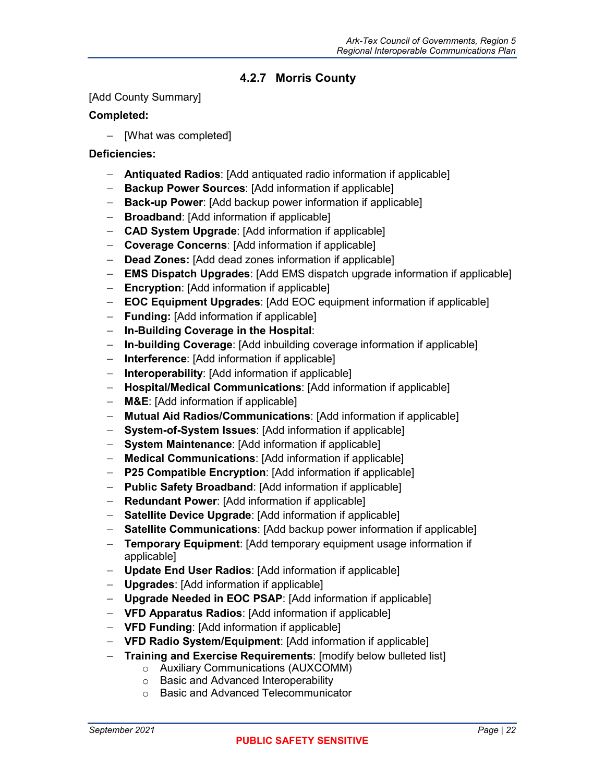## **4.2.7 Morris County**

#### <span id="page-33-0"></span>[Add County Summary]

#### **Completed:**

− [What was completed]

#### **Deficiencies:**

- − **Antiquated Radios**: [Add antiquated radio information if applicable]
- − **Backup Power Sources**: [Add information if applicable]
- − **Back-up Power**: [Add backup power information if applicable]
- − **Broadband**: [Add information if applicable]
- − **CAD System Upgrade**: [Add information if applicable]
- − **Coverage Concerns**: [Add information if applicable]
- − **Dead Zones:** [Add dead zones information if applicable]
- − **EMS Dispatch Upgrades**: [Add EMS dispatch upgrade information if applicable]
- − **Encryption**: [Add information if applicable]
- − **EOC Equipment Upgrades**: [Add EOC equipment information if applicable]
- − **Funding:** [Add information if applicable]
- − **In-Building Coverage in the Hospital**:
- − **In-building Coverage**: [Add inbuilding coverage information if applicable]
- − **Interference**: [Add information if applicable]
- − **Interoperability**: [Add information if applicable]
- − **Hospital/Medical Communications**: [Add information if applicable]
- − **M&E**: [Add information if applicable]
- − **Mutual Aid Radios/Communications**: [Add information if applicable]
- − **System-of-System Issues**: [Add information if applicable]
- − **System Maintenance**: [Add information if applicable]
- − **Medical Communications**: [Add information if applicable]
- − **P25 Compatible Encryption**: [Add information if applicable]
- − **Public Safety Broadband**: [Add information if applicable]
- − **Redundant Power**: [Add information if applicable]
- − **Satellite Device Upgrade**: [Add information if applicable]
- − **Satellite Communications**: [Add backup power information if applicable]
- − **Temporary Equipment**: [Add temporary equipment usage information if applicable]
- − **Update End User Radios**: [Add information if applicable]
- − **Upgrades**: [Add information if applicable]
- − **Upgrade Needed in EOC PSAP**: [Add information if applicable]
- − **VFD Apparatus Radios**: [Add information if applicable]
- − **VFD Funding**: [Add information if applicable]
- − **VFD Radio System/Equipment**: [Add information if applicable]
- − **Training and Exercise Requirements**: [modify below bulleted list]
	- o Auxiliary Communications (AUXCOMM)
	- o Basic and Advanced Interoperability
	- o Basic and Advanced Telecommunicator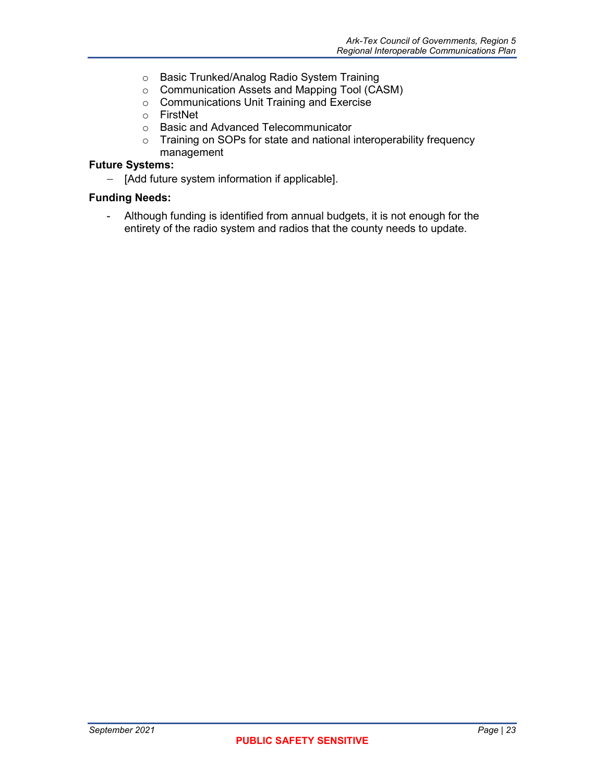- o Basic Trunked/Analog Radio System Training
- o Communication Assets and Mapping Tool (CASM)
- o Communications Unit Training and Exercise
- o FirstNet
- o Basic and Advanced Telecommunicator
- o Training on SOPs for state and national interoperability frequency management

#### **Future Systems:**

− [Add future system information if applicable].

#### **Funding Needs:**

- Although funding is identified from annual budgets, it is not enough for the entirety of the radio system and radios that the county needs to update.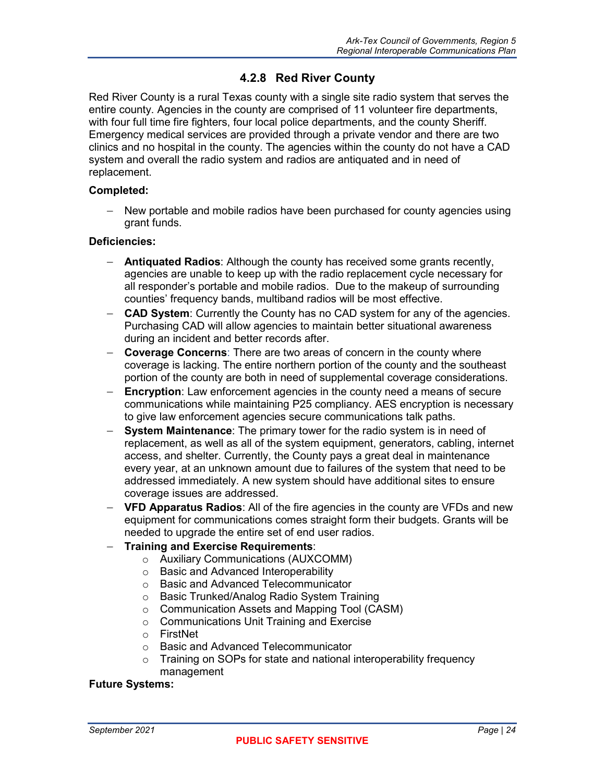### **4.2.8 Red River County**

<span id="page-35-0"></span>Red River County is a rural Texas county with a single site radio system that serves the entire county. Agencies in the county are comprised of 11 volunteer fire departments, with four full time fire fighters, four local police departments, and the county Sheriff. Emergency medical services are provided through a private vendor and there are two clinics and no hospital in the county. The agencies within the county do not have a CAD system and overall the radio system and radios are antiquated and in need of replacement.

#### **Completed:**

− New portable and mobile radios have been purchased for county agencies using grant funds.

#### **Deficiencies:**

- − **Antiquated Radios**: Although the county has received some grants recently, agencies are unable to keep up with the radio replacement cycle necessary for all responder's portable and mobile radios. Due to the makeup of surrounding counties' frequency bands, multiband radios will be most effective.
- **CAD System:** Currently the County has no CAD system for any of the agencies. Purchasing CAD will allow agencies to maintain better situational awareness during an incident and better records after.
- − **Coverage Concerns**: There are two areas of concern in the county where coverage is lacking. The entire northern portion of the county and the southeast portion of the county are both in need of supplemental coverage considerations.
- − **Encryption**: Law enforcement agencies in the county need a means of secure communications while maintaining P25 compliancy. AES encryption is necessary to give law enforcement agencies secure communications talk paths.
- − **System Maintenance**: The primary tower for the radio system is in need of replacement, as well as all of the system equipment, generators, cabling, internet access, and shelter. Currently, the County pays a great deal in maintenance every year, at an unknown amount due to failures of the system that need to be addressed immediately. A new system should have additional sites to ensure coverage issues are addressed.
- − **VFD Apparatus Radios**: All of the fire agencies in the county are VFDs and new equipment for communications comes straight form their budgets. Grants will be needed to upgrade the entire set of end user radios.

#### − **Training and Exercise Requirements**:

- o Auxiliary Communications (AUXCOMM)
- o Basic and Advanced Interoperability
- o Basic and Advanced Telecommunicator
- o Basic Trunked/Analog Radio System Training
- o Communication Assets and Mapping Tool (CASM)
- o Communications Unit Training and Exercise
- o FirstNet<br>o Basic an
- Basic and Advanced Telecommunicator
- o Training on SOPs for state and national interoperability frequency management

#### **Future Systems:**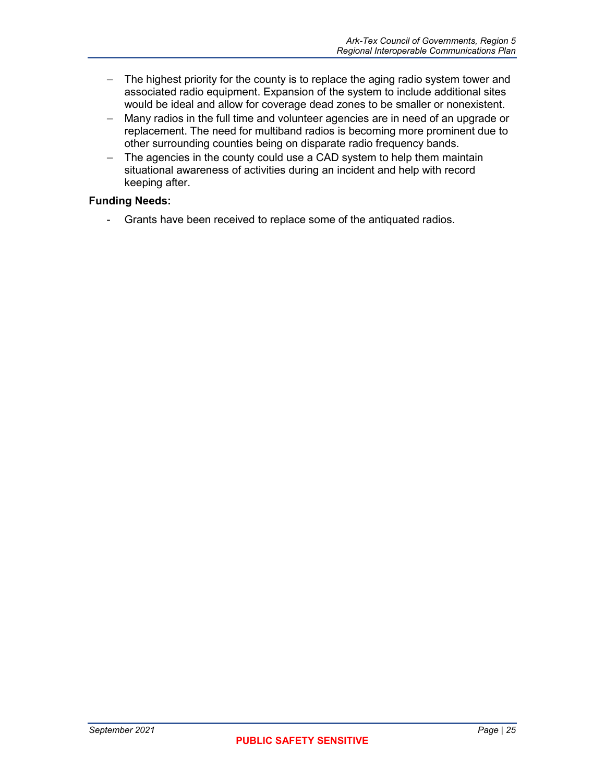- − The highest priority for the county is to replace the aging radio system tower and associated radio equipment. Expansion of the system to include additional sites would be ideal and allow for coverage dead zones to be smaller or nonexistent.
- − Many radios in the full time and volunteer agencies are in need of an upgrade or replacement. The need for multiband radios is becoming more prominent due to other surrounding counties being on disparate radio frequency bands.
- − The agencies in the county could use a CAD system to help them maintain situational awareness of activities during an incident and help with record keeping after.

#### **Funding Needs:**

- Grants have been received to replace some of the antiquated radios.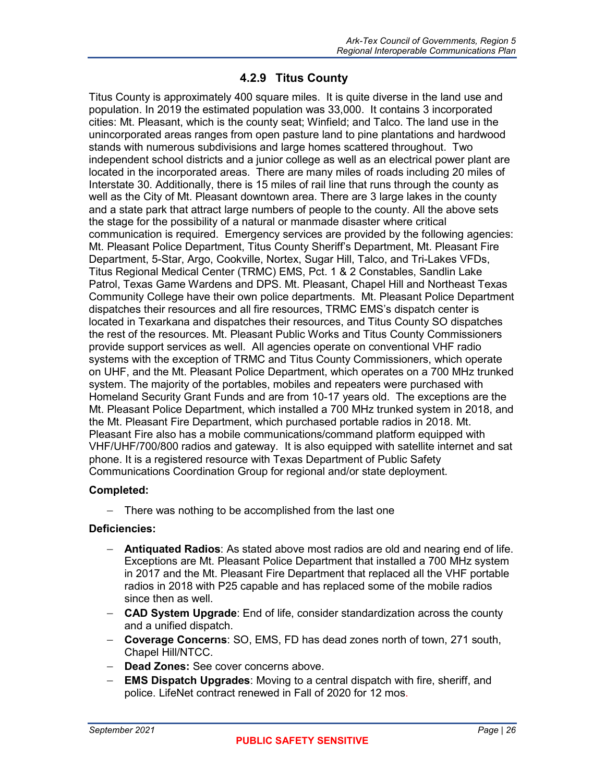### **4.2.9 Titus County**

<span id="page-37-0"></span>Titus County is approximately 400 square miles. It is quite diverse in the land use and population. In 2019 the estimated population was 33,000. It contains 3 incorporated cities: Mt. Pleasant, which is the county seat; Winfield; and Talco. The land use in the unincorporated areas ranges from open pasture land to pine plantations and hardwood stands with numerous subdivisions and large homes scattered throughout. Two independent school districts and a junior college as well as an electrical power plant are located in the incorporated areas. There are many miles of roads including 20 miles of Interstate 30. Additionally, there is 15 miles of rail line that runs through the county as well as the City of Mt. Pleasant downtown area. There are 3 large lakes in the county and a state park that attract large numbers of people to the county. All the above sets the stage for the possibility of a natural or manmade disaster where critical communication is required. Emergency services are provided by the following agencies: Mt. Pleasant Police Department, Titus County Sheriff's Department, Mt. Pleasant Fire Department, 5-Star, Argo, Cookville, Nortex, Sugar Hill, Talco, and Tri-Lakes VFDs, Titus Regional Medical Center (TRMC) EMS, Pct. 1 & 2 Constables, Sandlin Lake Patrol, Texas Game Wardens and DPS. Mt. Pleasant, Chapel Hill and Northeast Texas Community College have their own police departments. Mt. Pleasant Police Department dispatches their resources and all fire resources, TRMC EMS's dispatch center is located in Texarkana and dispatches their resources, and Titus County SO dispatches the rest of the resources. Mt. Pleasant Public Works and Titus County Commissioners provide support services as well. All agencies operate on conventional VHF radio systems with the exception of TRMC and Titus County Commissioners, which operate on UHF, and the Mt. Pleasant Police Department, which operates on a 700 MHz trunked system. The majority of the portables, mobiles and repeaters were purchased with Homeland Security Grant Funds and are from 10-17 years old. The exceptions are the Mt. Pleasant Police Department, which installed a 700 MHz trunked system in 2018, and the Mt. Pleasant Fire Department, which purchased portable radios in 2018. Mt. Pleasant Fire also has a mobile communications/command platform equipped with VHF/UHF/700/800 radios and gateway. It is also equipped with satellite internet and sat phone. It is a registered resource with Texas Department of Public Safety Communications Coordination Group for regional and/or state deployment.

#### **Completed:**

− There was nothing to be accomplished from the last one

#### **Deficiencies:**

- − **Antiquated Radios**: As stated above most radios are old and nearing end of life. Exceptions are Mt. Pleasant Police Department that installed a 700 MHz system in 2017 and the Mt. Pleasant Fire Department that replaced all the VHF portable radios in 2018 with P25 capable and has replaced some of the mobile radios since then as well.
- − **CAD System Upgrade**: End of life, consider standardization across the county and a unified dispatch.
- − **Coverage Concerns**: SO, EMS, FD has dead zones north of town, 271 south, Chapel Hill/NTCC.
- − **Dead Zones:** See cover concerns above.
- − **EMS Dispatch Upgrades**: Moving to a central dispatch with fire, sheriff, and police. LifeNet contract renewed in Fall of 2020 for 12 mos.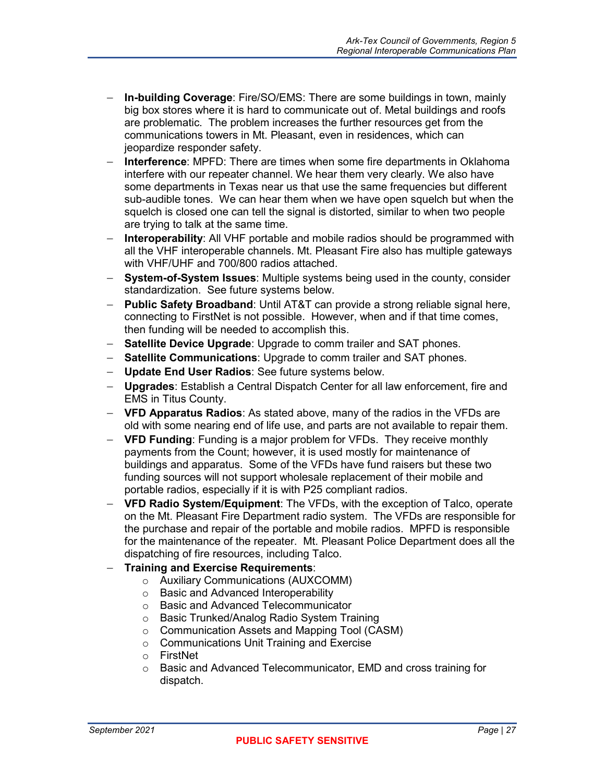- − **In-building Coverage**: Fire/SO/EMS: There are some buildings in town, mainly big box stores where it is hard to communicate out of. Metal buildings and roofs are problematic. The problem increases the further resources get from the communications towers in Mt. Pleasant, even in residences, which can jeopardize responder safety.
- − **Interference**: MPFD: There are times when some fire departments in Oklahoma interfere with our repeater channel. We hear them very clearly. We also have some departments in Texas near us that use the same frequencies but different sub-audible tones. We can hear them when we have open squelch but when the squelch is closed one can tell the signal is distorted, similar to when two people are trying to talk at the same time.
- − **Interoperability**: All VHF portable and mobile radios should be programmed with all the VHF interoperable channels. Mt. Pleasant Fire also has multiple gateways with VHF/UHF and 700/800 radios attached.
- − **System-of-System Issues**: Multiple systems being used in the county, consider standardization. See future systems below.
- − **Public Safety Broadband**: Until AT&T can provide a strong reliable signal here, connecting to FirstNet is not possible. However, when and if that time comes, then funding will be needed to accomplish this.
- − **Satellite Device Upgrade**: Upgrade to comm trailer and SAT phones.
- − **Satellite Communications**: Upgrade to comm trailer and SAT phones.
- − **Update End User Radios**: See future systems below.
- − **Upgrades**: Establish a Central Dispatch Center for all law enforcement, fire and EMS in Titus County.
- − **VFD Apparatus Radios**: As stated above, many of the radios in the VFDs are old with some nearing end of life use, and parts are not available to repair them.
- − **VFD Funding**: Funding is a major problem for VFDs. They receive monthly payments from the Count; however, it is used mostly for maintenance of buildings and apparatus. Some of the VFDs have fund raisers but these two funding sources will not support wholesale replacement of their mobile and portable radios, especially if it is with P25 compliant radios.
- − **VFD Radio System/Equipment**: The VFDs, with the exception of Talco, operate on the Mt. Pleasant Fire Department radio system. The VFDs are responsible for the purchase and repair of the portable and mobile radios. MPFD is responsible for the maintenance of the repeater. Mt. Pleasant Police Department does all the dispatching of fire resources, including Talco.
- − **Training and Exercise Requirements**:
	- o Auxiliary Communications (AUXCOMM)
	- o Basic and Advanced Interoperability
	- o Basic and Advanced Telecommunicator
	- o Basic Trunked/Analog Radio System Training
	- o Communication Assets and Mapping Tool (CASM)
	- o Communications Unit Training and Exercise
	- o FirstNet
	- o Basic and Advanced Telecommunicator, EMD and cross training for dispatch.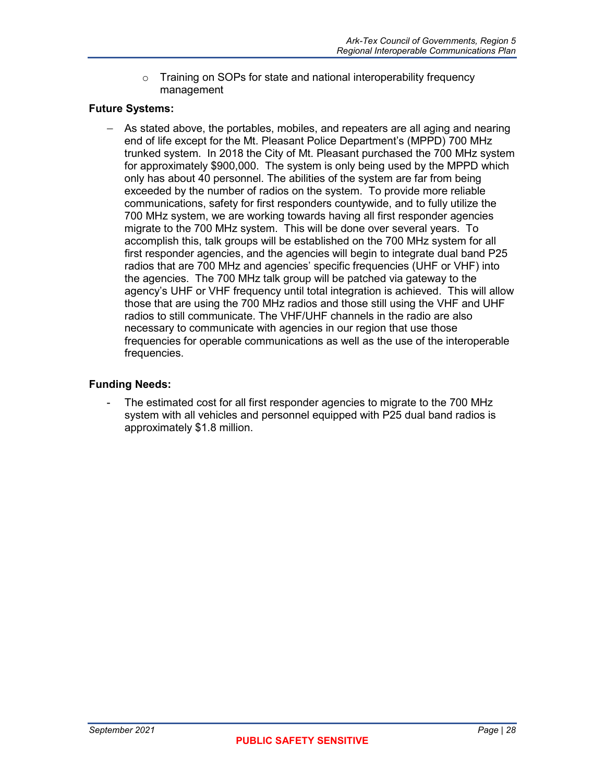o Training on SOPs for state and national interoperability frequency management

#### **Future Systems:**

− As stated above, the portables, mobiles, and repeaters are all aging and nearing end of life except for the Mt. Pleasant Police Department's (MPPD) 700 MHz trunked system. In 2018 the City of Mt. Pleasant purchased the 700 MHz system for approximately \$900,000. The system is only being used by the MPPD which only has about 40 personnel. The abilities of the system are far from being exceeded by the number of radios on the system. To provide more reliable communications, safety for first responders countywide, and to fully utilize the 700 MHz system, we are working towards having all first responder agencies migrate to the 700 MHz system. This will be done over several years. To accomplish this, talk groups will be established on the 700 MHz system for all first responder agencies, and the agencies will begin to integrate dual band P25 radios that are 700 MHz and agencies' specific frequencies (UHF or VHF) into the agencies. The 700 MHz talk group will be patched via gateway to the agency's UHF or VHF frequency until total integration is achieved. This will allow those that are using the 700 MHz radios and those still using the VHF and UHF radios to still communicate. The VHF/UHF channels in the radio are also necessary to communicate with agencies in our region that use those frequencies for operable communications as well as the use of the interoperable frequencies.

#### **Funding Needs:**

The estimated cost for all first responder agencies to migrate to the 700 MHz system with all vehicles and personnel equipped with P25 dual band radios is approximately \$1.8 million.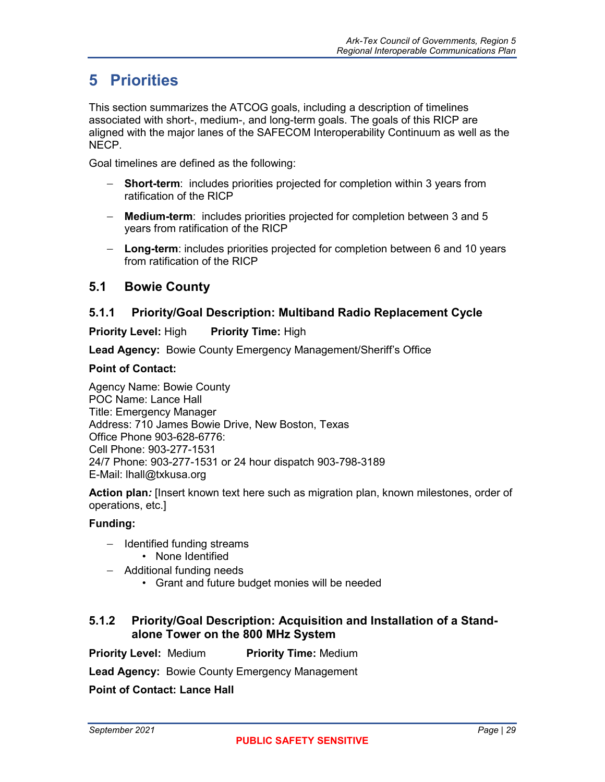## <span id="page-40-0"></span>**5 Priorities**

This section summarizes the ATCOG goals, including a description of timelines associated with short-, medium-, and long-term goals. The goals of this RICP are aligned with the major lanes of the SAFECOM Interoperability Continuum as well as the NECP.

Goal timelines are defined as the following:

- − **Short-term**: includes priorities projected for completion within 3 years from ratification of the RICP
- − **Medium-term**: includes priorities projected for completion between 3 and 5 years from ratification of the RICP
- − **Long-term**: includes priorities projected for completion between 6 and 10 years from ratification of the RICP

### <span id="page-40-1"></span>**5.1 Bowie County**

#### <span id="page-40-2"></span>**5.1.1 Priority/Goal Description: Multiband Radio Replacement Cycle**

**Priority Level: High Priority Time: High** 

**Lead Agency:** Bowie County Emergency Management/Sheriff's Office

#### **Point of Contact:**

Agency Name: Bowie County POC Name: Lance Hall Title: Emergency Manager Address: 710 James Bowie Drive, New Boston, Texas Office Phone 903-628-6776: Cell Phone: 903-277-1531 24/7 Phone: 903-277-1531 or 24 hour dispatch 903-798-3189 E-Mail: lhall@txkusa.org

**Action plan***:* [Insert known text here such as migration plan, known milestones, order of operations, etc.]

#### **Funding:**

- − Identified funding streams
	- None Identified
- − Additional funding needs
	- Grant and future budget monies will be needed

#### <span id="page-40-3"></span>**5.1.2 Priority/Goal Description: Acquisition and Installation of a Standalone Tower on the 800 MHz System**

**Priority Level: Medium Priority Time: Medium** 

**Lead Agency:** Bowie County Emergency Management

**Point of Contact: Lance Hall**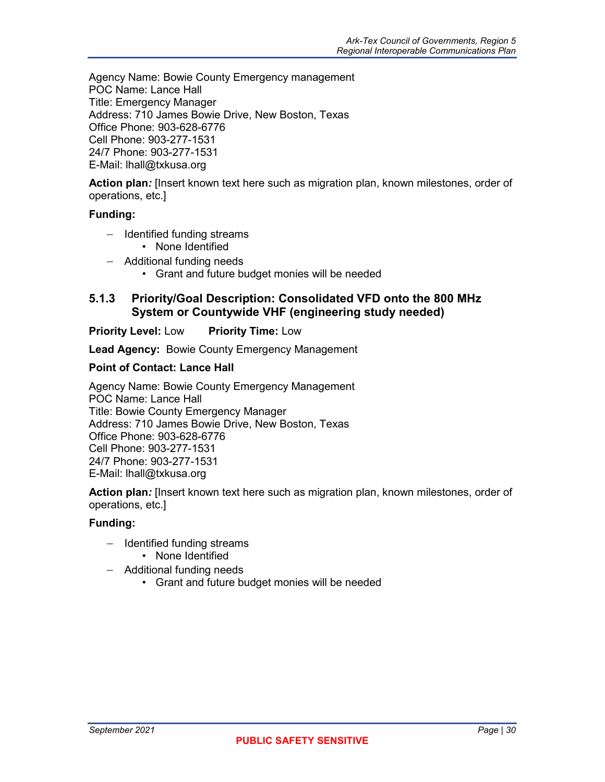Agency Name: Bowie County Emergency management POC Name: Lance Hall Title: Emergency Manager Address: 710 James Bowie Drive, New Boston, Texas Office Phone: 903-628-6776 Cell Phone: 903-277-1531 24/7 Phone: 903-277-1531 E-Mail: lhall@txkusa.org

**Action plan***:* [Insert known text here such as migration plan, known milestones, order of operations, etc.]

#### **Funding:**

- − Identified funding streams
	- None Identified
- − Additional funding needs
	- Grant and future budget monies will be needed

#### <span id="page-41-0"></span>**5.1.3 Priority/Goal Description: Consolidated VFD onto the 800 MHz System or Countywide VHF (engineering study needed)**

#### **Priority Level: Low Priority Time: Low**

**Lead Agency:** Bowie County Emergency Management

#### **Point of Contact: Lance Hall**

Agency Name: Bowie County Emergency Management POC Name: Lance Hall Title: Bowie County Emergency Manager Address: 710 James Bowie Drive, New Boston, Texas Office Phone: 903-628-6776 Cell Phone: 903-277-1531 24/7 Phone: 903-277-1531 E-Mail: lhall@txkusa.org

**Action plan***:* [Insert known text here such as migration plan, known milestones, order of operations, etc.]

- − Identified funding streams
	- None Identified
- − Additional funding needs
	- Grant and future budget monies will be needed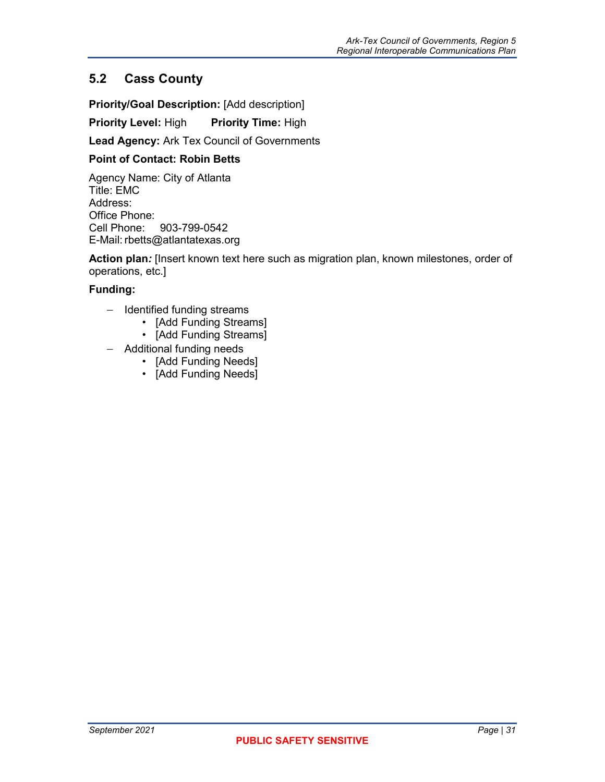## <span id="page-42-0"></span>**5.2 Cass County**

**Priority/Goal Description:** [Add description]

**Priority Level:** High **Priority Time:** High

**Lead Agency:** Ark Tex Council of Governments

#### **Point of Contact: Robin Betts**

Agency Name: City of Atlanta Title: EMC Address: Office Phone:<br>Cell Phone: 903-799-0542 E-Mail: rbetts@atlantatexas.org

**Action plan***:* [Insert known text here such as migration plan, known milestones, order of operations, etc.]

- − Identified funding streams
	- [Add Funding Streams]
	- [Add Funding Streams]
- − Additional funding needs
	- [Add Funding Needs]
	- [Add Funding Needs]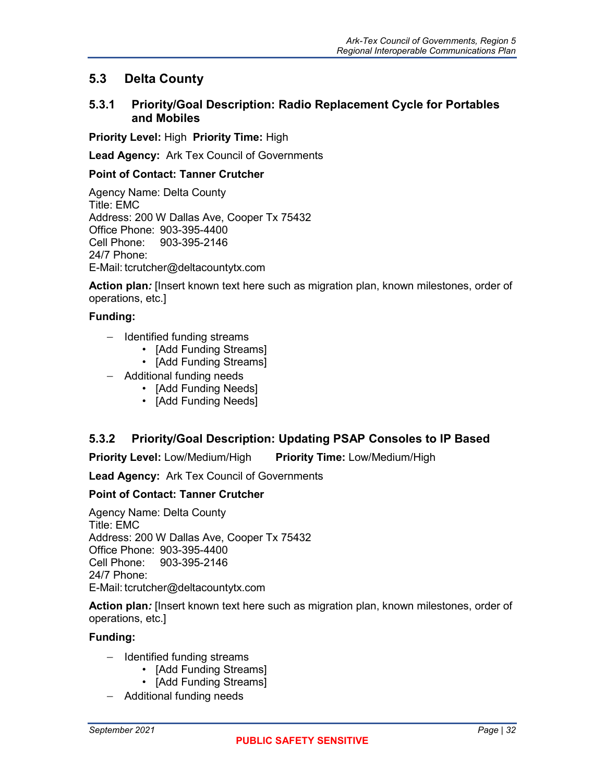## <span id="page-43-0"></span>**5.3 Delta County**

#### <span id="page-43-1"></span>**5.3.1 Priority/Goal Description: Radio Replacement Cycle for Portables and Mobiles**

**Priority Level:** High **Priority Time:** High

**Lead Agency:** Ark Tex Council of Governments

#### **Point of Contact: Tanner Crutcher**

Agency Name: Delta County Title: EMC Address: 200 W Dallas Ave, Cooper Tx 75432 Office Phone: 903-395-4400 Cell Phone: 903-395-2146 24/7 Phone: E-Mail: tcrutcher@deltacountytx.com

**Action plan***:* [Insert known text here such as migration plan, known milestones, order of operations, etc.]

#### **Funding:**

- − Identified funding streams
	- [Add Funding Streams]
	- [Add Funding Streams]
- − Additional funding needs
	- [Add Funding Needs]
	- [Add Funding Needs]

#### <span id="page-43-2"></span>**5.3.2 Priority/Goal Description: Updating PSAP Consoles to IP Based**

**Priority Level:** Low/Medium/High **Priority Time:** Low/Medium/High

**Lead Agency:** Ark Tex Council of Governments

#### **Point of Contact: Tanner Crutcher**

Agency Name: Delta County Title: EMC Address: 200 W Dallas Ave, Cooper Tx 75432 Office Phone: 903-395-4400 Cell Phone: 903-395-2146 24/7 Phone: E-Mail: tcrutcher@deltacountytx.com

**Action plan***:* [Insert known text here such as migration plan, known milestones, order of operations, etc.]

- − Identified funding streams
	- [Add Funding Streams]
	- [Add Funding Streams]
- − Additional funding needs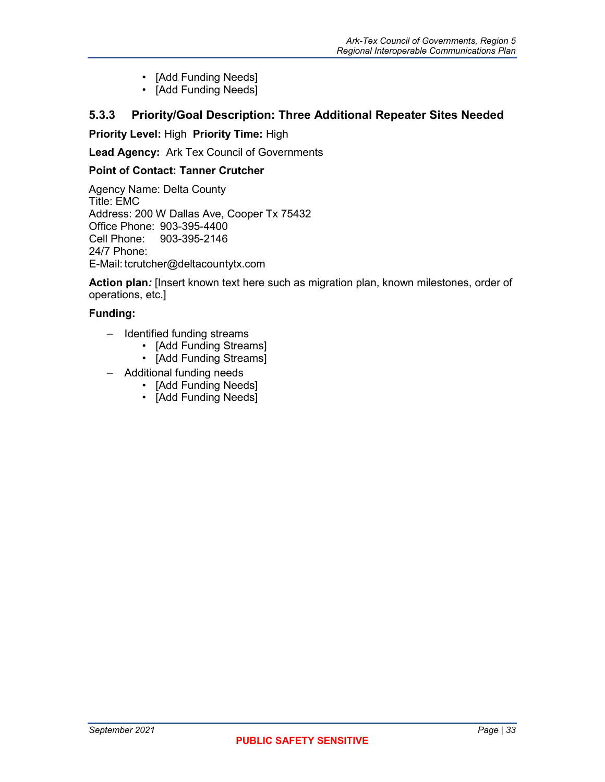- [Add Funding Needs]
- [Add Funding Needs]

### <span id="page-44-0"></span>**5.3.3 Priority/Goal Description: Three Additional Repeater Sites Needed**

**Priority Level:** High **Priority Time:** High

**Lead Agency:** Ark Tex Council of Governments

#### **Point of Contact: Tanner Crutcher**

Agency Name: Delta County Title: EMC Address: 200 W Dallas Ave, Cooper Tx 75432 Office Phone: 903-395-4400<br>Cell Phone: 903-395-2146 Cell Phone: 903-395-2146 24/7 Phone: E-Mail: tcrutcher@deltacountytx.com

**Action plan***:* [Insert known text here such as migration plan, known milestones, order of operations, etc.]

- − Identified funding streams
	- [Add Funding Streams]
	- [Add Funding Streams]
- − Additional funding needs
	- [Add Funding Needs]
	- [Add Funding Needs]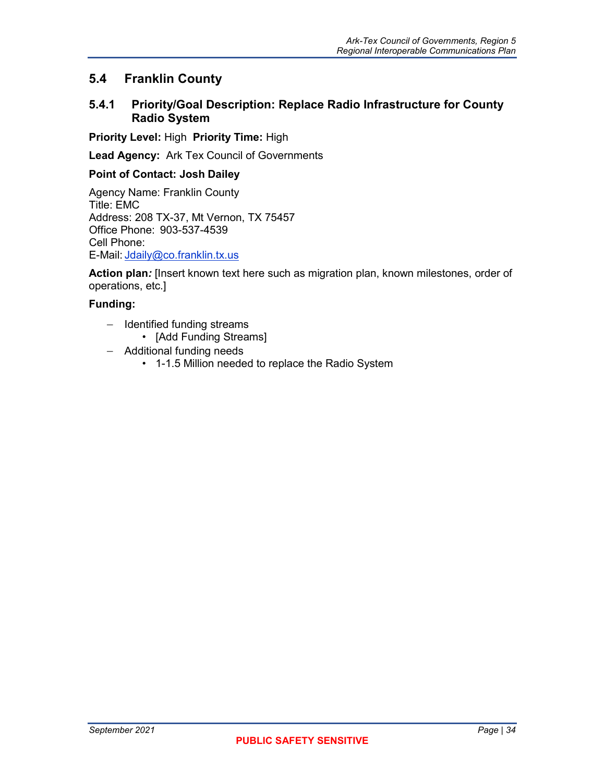### <span id="page-45-0"></span>**5.4 Franklin County**

#### <span id="page-45-1"></span>**5.4.1 Priority/Goal Description: Replace Radio Infrastructure for County Radio System**

**Priority Level:** High **Priority Time:** High

**Lead Agency:** Ark Tex Council of Governments

#### **Point of Contact: Josh Dailey**

Agency Name: Franklin County Title: EMC Address: 208 TX-37, Mt Vernon, TX 75457 Office Phone: 903-537-4539 Cell Phone: E-Mail: [Jdaily@co.franklin.tx.us](mailto:Jdaily@co.franklin.tx.us) 

**Action plan***:* [Insert known text here such as migration plan, known milestones, order of operations, etc.]

- − Identified funding streams
	- [Add Funding Streams]
- − Additional funding needs
	- 1-1.5 Million needed to replace the Radio System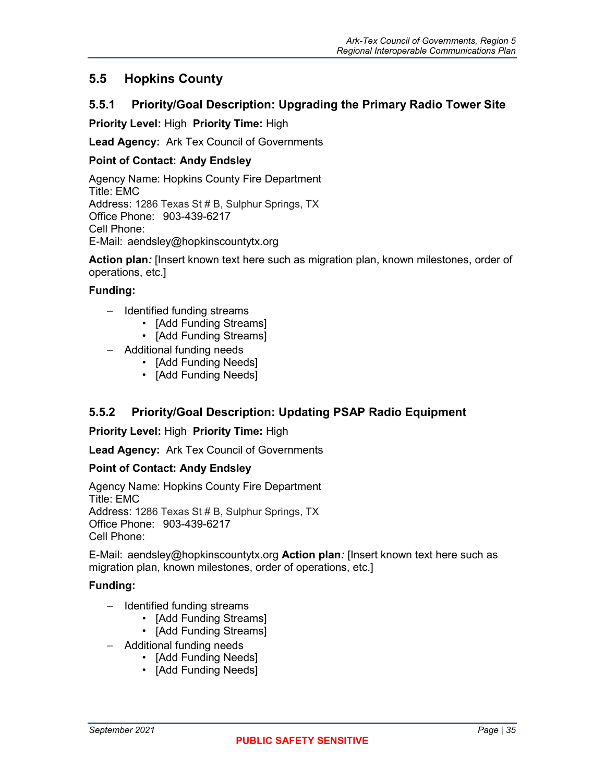## <span id="page-46-0"></span>**5.5 Hopkins County**

### <span id="page-46-1"></span>**5.5.1 Priority/Goal Description: Upgrading the Primary Radio Tower Site**

**Priority Level:** High **Priority Time:** High

**Lead Agency:** Ark Tex Council of Governments

#### **Point of Contact: Andy Endsley**

Agency Name: Hopkins County Fire Department Title: EMC Address: 1286 Texas St # B, Sulphur Springs, TX Office Phone: 903-439-6217 Cell Phone: E-Mail: aendsley@hopkinscountytx.org

**Action plan***:* [Insert known text here such as migration plan, known milestones, order of operations, etc.]

#### **Funding:**

- − Identified funding streams
	- [Add Funding Streams]
	- [Add Funding Streams]
- − Additional funding needs
	- [Add Funding Needs]
	- [Add Funding Needs]

### <span id="page-46-2"></span>**5.5.2 Priority/Goal Description: Updating PSAP Radio Equipment**

**Priority Level:** High **Priority Time:** High

**Lead Agency:** Ark Tex Council of Governments

#### **Point of Contact: Andy Endsley**

Agency Name: Hopkins County Fire Department Title: EMC Address: 1286 Texas St # B, Sulphur Springs, TX Office Phone: 903-439-6217 Cell Phone:

E-Mail: aendsley@hopkinscountytx.org **Action plan***:* [Insert known text here such as migration plan, known milestones, order of operations, etc.]

- − Identified funding streams
	- [Add Funding Streams]
	- [Add Funding Streams]
- − Additional funding needs
	- [Add Funding Needs]
	- [Add Funding Needs]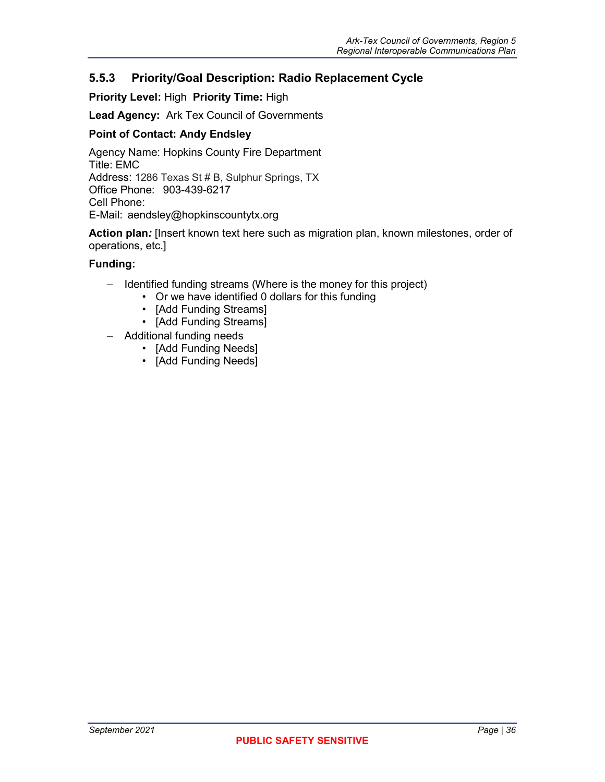#### <span id="page-47-0"></span>**5.5.3 Priority/Goal Description: Radio Replacement Cycle**

#### **Priority Level:** High **Priority Time:** High

**Lead Agency:** Ark Tex Council of Governments

#### **Point of Contact: Andy Endsley**

Agency Name: Hopkins County Fire Department Title: EMC Address: 1286 Texas St # B, Sulphur Springs, TX Office Phone: 903-439-6217 Cell Phone: E-Mail: aendsley@hopkinscountytx.org

**Action plan***:* [Insert known text here such as migration plan, known milestones, order of operations, etc.]

- − Identified funding streams (Where is the money for this project)
	- Or we have identified 0 dollars for this funding
	- [Add Funding Streams]
	- [Add Funding Streams]
- − Additional funding needs
	- [Add Funding Needs]
	- [Add Funding Needs]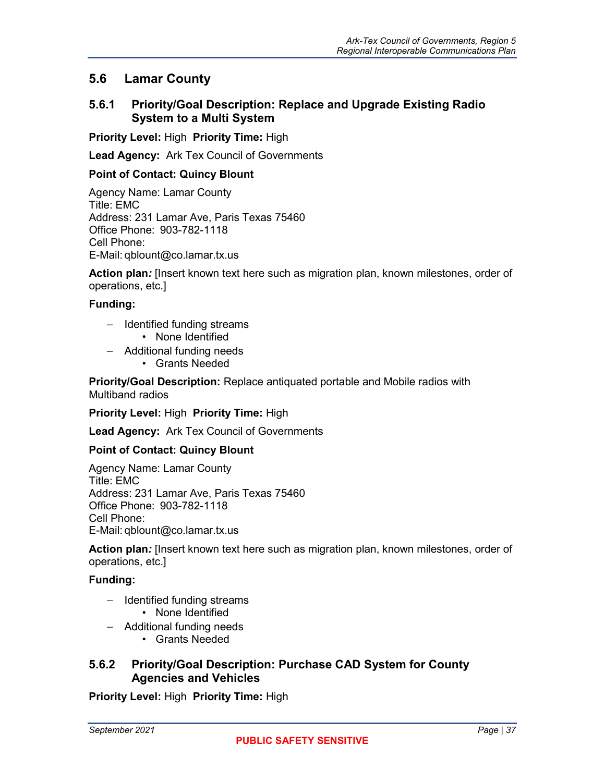### <span id="page-48-0"></span>**5.6 Lamar County**

#### <span id="page-48-1"></span>**5.6.1 Priority/Goal Description: Replace and Upgrade Existing Radio System to a Multi System**

**Priority Level:** High **Priority Time:** High

**Lead Agency:** Ark Tex Council of Governments

#### **Point of Contact: Quincy Blount**

Agency Name: Lamar County Title: EMC Address: 231 Lamar Ave, Paris Texas 75460 Office Phone: 903-782-1118 Cell Phone: E-Mail: qblount@co.lamar.tx.us

**Action plan***:* [Insert known text here such as migration plan, known milestones, order of operations, etc.]

#### **Funding:**

- − Identified funding streams
	- None Identified
- − Additional funding needs
	- Grants Needed

**Priority/Goal Description:** Replace antiquated portable and Mobile radios with Multiband radios

**Priority Level:** High **Priority Time:** High

**Lead Agency:** Ark Tex Council of Governments

#### **Point of Contact: Quincy Blount**

Agency Name: Lamar County Title: EMC Address: 231 Lamar Ave, Paris Texas 75460 Office Phone: 903-782-1118 Cell Phone: E-Mail: qblount@co.lamar.tx.us

**Action plan***:* [Insert known text here such as migration plan, known milestones, order of operations, etc.]

#### **Funding:**

- − Identified funding streams
	- None Identified
- − Additional funding needs
	- Grants Needed

#### <span id="page-48-2"></span>**5.6.2 Priority/Goal Description: Purchase CAD System for County Agencies and Vehicles**

**Priority Level:** High **Priority Time:** High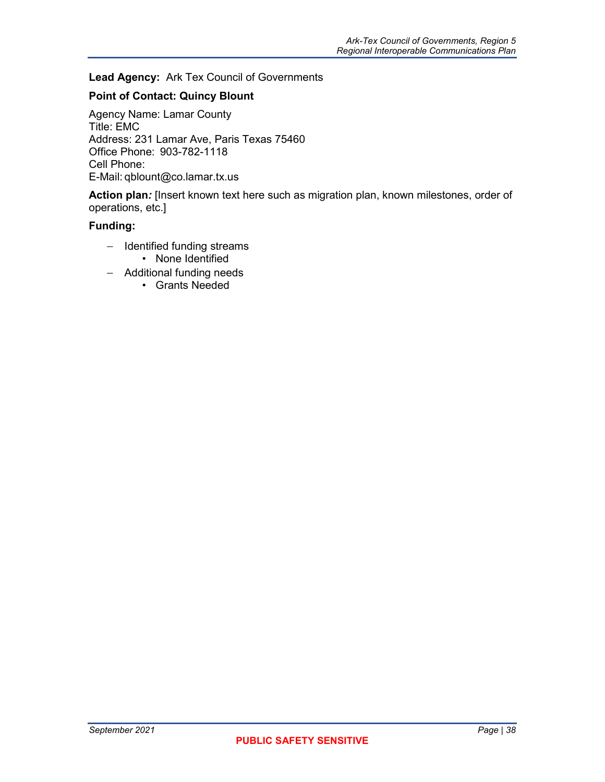#### **Lead Agency:** Ark Tex Council of Governments

#### **Point of Contact: Quincy Blount**

Agency Name: Lamar County Title: EMC Address: 231 Lamar Ave, Paris Texas 75460 Office Phone: 903-782-1118 Cell Phone: E-Mail: qblount@co.lamar.tx.us

**Action plan***:* [Insert known text here such as migration plan, known milestones, order of operations, etc.]

- − Identified funding streams • None Identified
	-
- − Additional funding needs
	- Grants Needed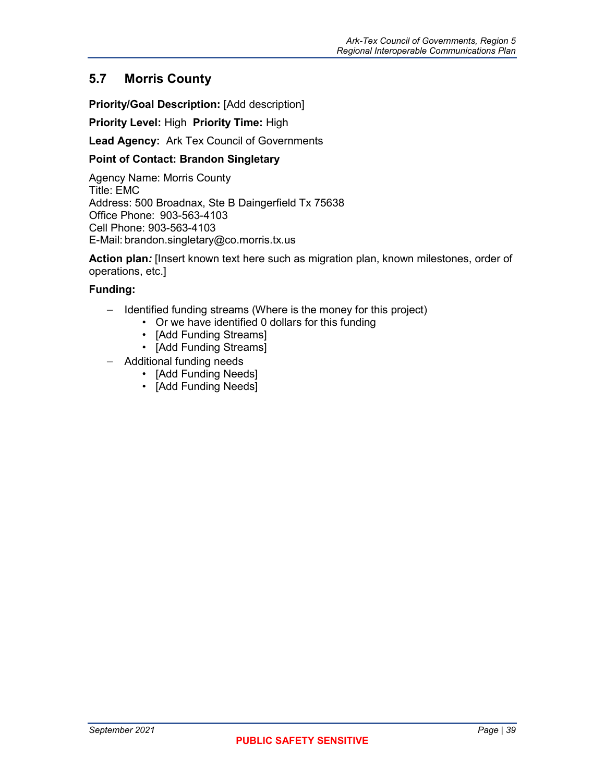## <span id="page-50-0"></span>**5.7 Morris County**

**Priority/Goal Description:** [Add description]

**Priority Level:** High **Priority Time:** High

**Lead Agency:** Ark Tex Council of Governments

#### **Point of Contact: Brandon Singletary**

Agency Name: Morris County Title: EMC Address: 500 Broadnax, Ste B Daingerfield Tx 75638 Office Phone: 903-563-4103 Cell Phone: 903-563-4103 E-Mail: brandon.singletary@co.morris.tx.us

**Action plan***:* [Insert known text here such as migration plan, known milestones, order of operations, etc.]

- − Identified funding streams (Where is the money for this project)
	- Or we have identified 0 dollars for this funding
	- [Add Funding Streams]
	- [Add Funding Streams]
- − Additional funding needs
	- [Add Funding Needs]
	- [Add Funding Needs]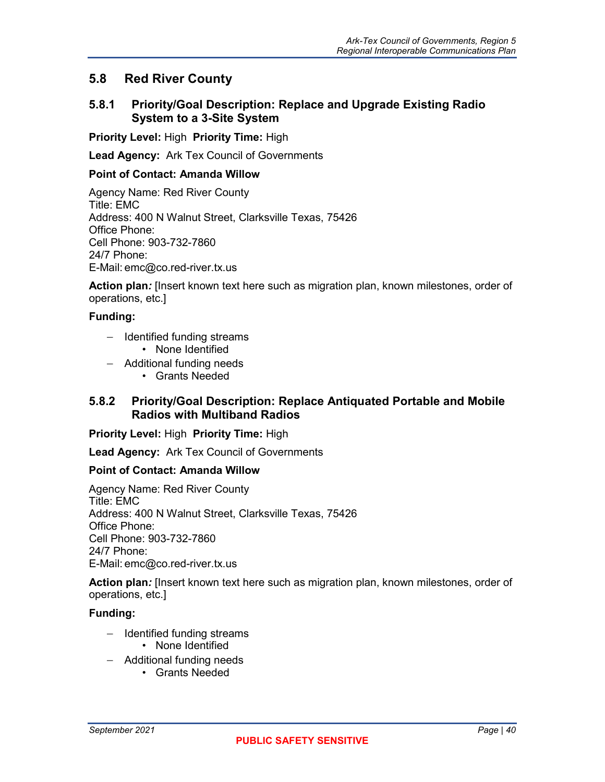## <span id="page-51-0"></span>**5.8 Red River County**

#### <span id="page-51-1"></span>**5.8.1 Priority/Goal Description: Replace and Upgrade Existing Radio System to a 3-Site System**

**Priority Level:** High **Priority Time:** High

**Lead Agency:** Ark Tex Council of Governments

#### **Point of Contact: Amanda Willow**

Agency Name: Red River County Title: EMC Address: 400 N Walnut Street, Clarksville Texas, 75426 Office Phone: Cell Phone: 903-732-7860 24/7 Phone: E-Mail: emc@co.red-river.tx.us

**Action plan***:* [Insert known text here such as migration plan, known milestones, order of operations, etc.]

#### **Funding:**

- − Identified funding streams
	- None Identified
- − Additional funding needs
	- Grants Needed

#### <span id="page-51-2"></span>**5.8.2 Priority/Goal Description: Replace Antiquated Portable and Mobile Radios with Multiband Radios**

**Priority Level:** High **Priority Time:** High

**Lead Agency:** Ark Tex Council of Governments

#### **Point of Contact: Amanda Willow**

Agency Name: Red River County Title: EMC Address: 400 N Walnut Street, Clarksville Texas, 75426 Office Phone: Cell Phone: 903-732-7860 24/7 Phone: E-Mail: emc@co.red-river.tx.us

**Action plan***:* [Insert known text here such as migration plan, known milestones, order of operations, etc.]

- − Identified funding streams
	- None Identified
- − Additional funding needs
	- Grants Needed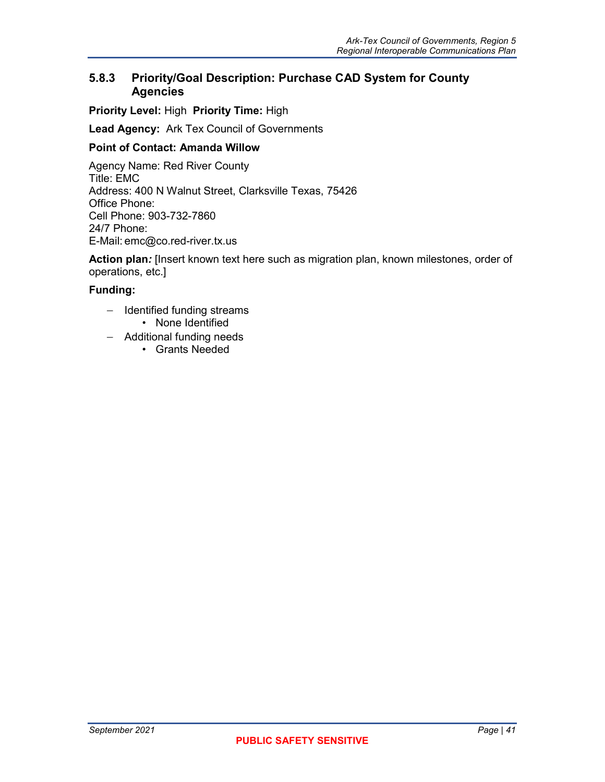### <span id="page-52-0"></span>**5.8.3 Priority/Goal Description: Purchase CAD System for County Agencies**

**Priority Level:** High **Priority Time:** High

**Lead Agency:** Ark Tex Council of Governments

#### **Point of Contact: Amanda Willow**

Agency Name: Red River County Title: EMC Address: 400 N Walnut Street, Clarksville Texas, 75426 Office Phone: Cell Phone: 903-732-7860 24/7 Phone: E-Mail: emc@co.red-river.tx.us

**Action plan***:* [Insert known text here such as migration plan, known milestones, order of operations, etc.]

- − Identified funding streams • None Identified
- − Additional funding needs
	- Grants Needed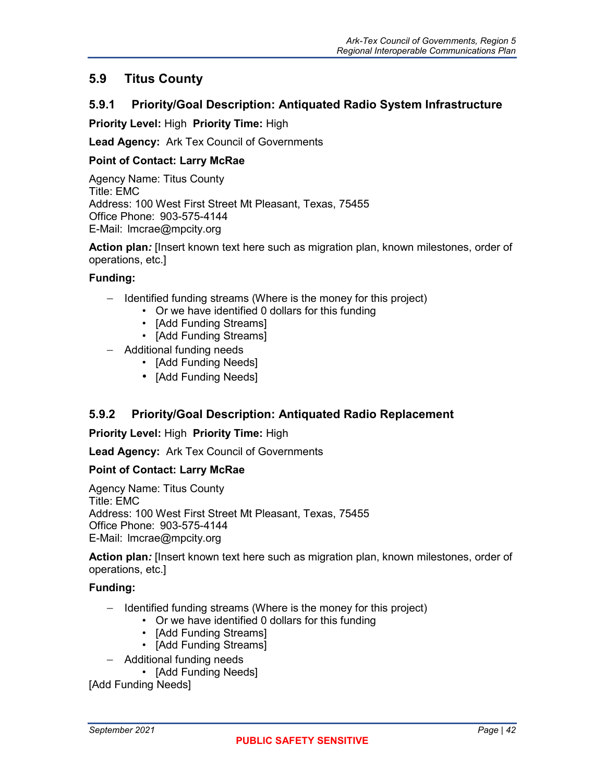## <span id="page-53-0"></span>**5.9 Titus County**

#### <span id="page-53-1"></span>**5.9.1 Priority/Goal Description: Antiquated Radio System Infrastructure**

**Priority Level:** High **Priority Time:** High

**Lead Agency:** Ark Tex Council of Governments

#### **Point of Contact: Larry McRae**

Agency Name: Titus County Title: EMC Address: 100 West First Street Mt Pleasant, Texas, 75455 Office Phone: 903-575-4144 E-Mail: lmcrae@mpcity.org

**Action plan***:* [Insert known text here such as migration plan, known milestones, order of operations, etc.]

#### **Funding:**

- − Identified funding streams (Where is the money for this project)
	- Or we have identified 0 dollars for this funding
	- [Add Funding Streams]
	- [Add Funding Streams]
- − Additional funding needs
	- [Add Funding Needs]
	- [Add Funding Needs]

### <span id="page-53-2"></span>**5.9.2 Priority/Goal Description: Antiquated Radio Replacement**

**Priority Level:** High **Priority Time:** High

**Lead Agency:** Ark Tex Council of Governments

#### **Point of Contact: Larry McRae**

Agency Name: Titus County Title: EMC Address: 100 West First Street Mt Pleasant, Texas, 75455 Office Phone: 903-575-4144 E-Mail: lmcrae@mpcity.org

**Action plan***:* [Insert known text here such as migration plan, known milestones, order of operations, etc.]

#### **Funding:**

- − Identified funding streams (Where is the money for this project)
	- Or we have identified 0 dollars for this funding
	- [Add Funding Streams]
	- [Add Funding Streams]
- − Additional funding needs
	- [Add Funding Needs]

[Add Funding Needs]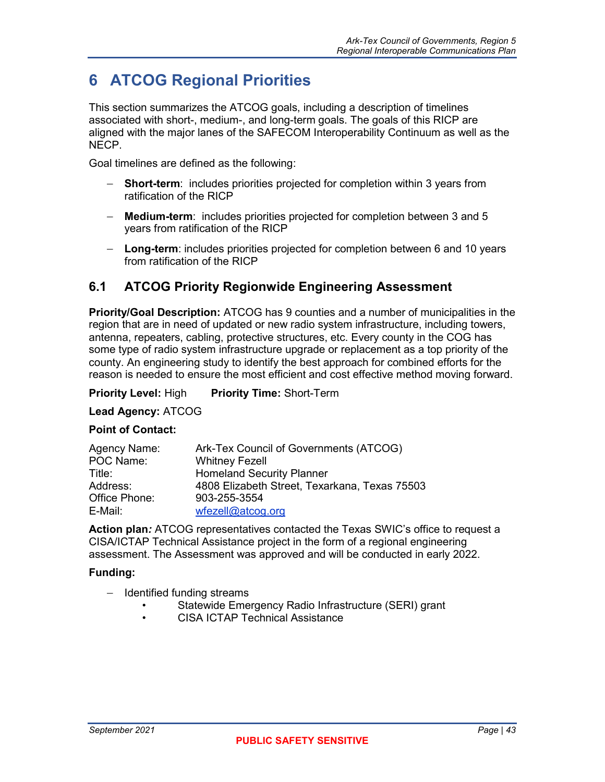## <span id="page-54-0"></span>**6 ATCOG Regional Priorities**

This section summarizes the ATCOG goals, including a description of timelines associated with short-, medium-, and long-term goals. The goals of this RICP are aligned with the major lanes of the SAFECOM Interoperability Continuum as well as the NECP.

Goal timelines are defined as the following:

- − **Short-term**: includes priorities projected for completion within 3 years from ratification of the RICP
- − **Medium-term**: includes priorities projected for completion between 3 and 5 years from ratification of the RICP
- − **Long-term**: includes priorities projected for completion between 6 and 10 years from ratification of the RICP

## <span id="page-54-1"></span>**6.1 ATCOG Priority Regionwide Engineering Assessment**

**Priority/Goal Description:** ATCOG has 9 counties and a number of municipalities in the region that are in need of updated or new radio system infrastructure, including towers, antenna, repeaters, cabling, protective structures, etc. Every county in the COG has some type of radio system infrastructure upgrade or replacement as a top priority of the county. An engineering study to identify the best approach for combined efforts for the reason is needed to ensure the most efficient and cost effective method moving forward.

**Priority Level:** High **Priority Time:** Short-Term

**Lead Agency:** ATCOG

#### **Point of Contact:**

| Agency Name:  | Ark-Tex Council of Governments (ATCOG)        |
|---------------|-----------------------------------------------|
| POC Name:     | <b>Whitney Fezell</b>                         |
| Title:        | <b>Homeland Security Planner</b>              |
| Address:      | 4808 Elizabeth Street, Texarkana, Texas 75503 |
| Office Phone: | 903-255-3554                                  |
| E-Mail:       | wfezel@atcog.org                              |

**Action plan***:* ATCOG representatives contacted the Texas SWIC's office to request a CISA/ICTAP Technical Assistance project in the form of a regional engineering assessment. The Assessment was approved and will be conducted in early 2022.

- − Identified funding streams
	- Statewide Emergency Radio Infrastructure (SERI) grant
	- CISA ICTAP Technical Assistance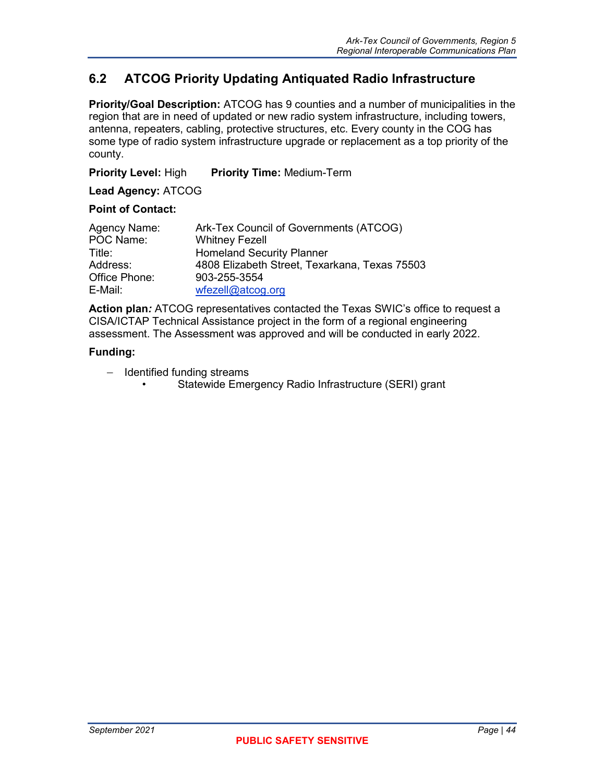## <span id="page-55-0"></span>**6.2 ATCOG Priority Updating Antiquated Radio Infrastructure**

**Priority/Goal Description:** ATCOG has 9 counties and a number of municipalities in the region that are in need of updated or new radio system infrastructure, including towers, antenna, repeaters, cabling, protective structures, etc. Every county in the COG has some type of radio system infrastructure upgrade or replacement as a top priority of the county.

**Priority Level:** High **Priority Time:** Medium-Term

**Lead Agency:** ATCOG

#### **Point of Contact:**

| Agency Name:  | Ark-Tex Council of Governments (ATCOG)        |
|---------------|-----------------------------------------------|
| POC Name:     | <b>Whitney Fezell</b>                         |
| Title:        | <b>Homeland Security Planner</b>              |
| Address:      | 4808 Elizabeth Street, Texarkana, Texas 75503 |
| Office Phone: | 903-255-3554                                  |
| E-Mail:       | wfezel@atcog.org                              |

**Action plan***:* ATCOG representatives contacted the Texas SWIC's office to request a CISA/ICTAP Technical Assistance project in the form of a regional engineering assessment. The Assessment was approved and will be conducted in early 2022.

- − Identified funding streams
	- Statewide Emergency Radio Infrastructure (SERI) grant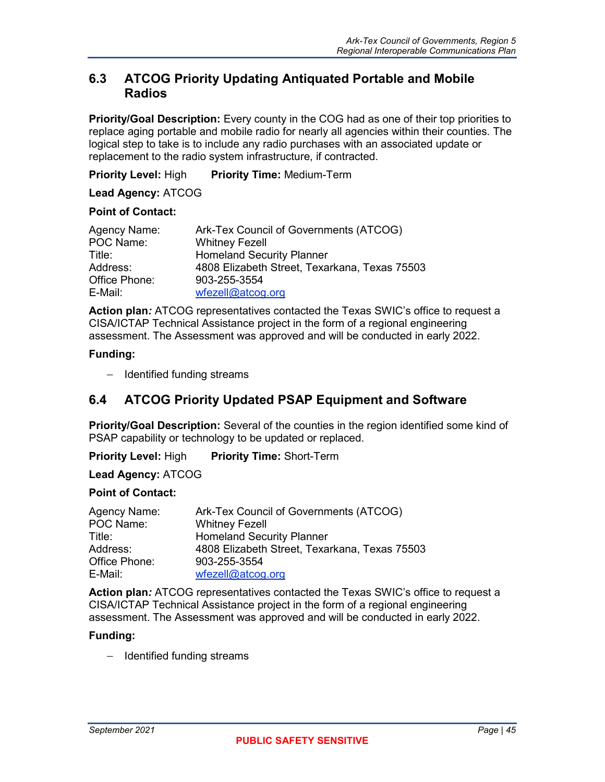### <span id="page-56-0"></span>**6.3 ATCOG Priority Updating Antiquated Portable and Mobile Radios**

**Priority/Goal Description:** Every county in the COG had as one of their top priorities to replace aging portable and mobile radio for nearly all agencies within their counties. The logical step to take is to include any radio purchases with an associated update or replacement to the radio system infrastructure, if contracted.

**Priority Level:** High **Priority Time:** Medium-Term

**Lead Agency:** ATCOG

#### **Point of Contact:**

| Agency Name:  | Ark-Tex Council of Governments (ATCOG)        |
|---------------|-----------------------------------------------|
| POC Name:     | <b>Whitney Fezell</b>                         |
| Title:        | <b>Homeland Security Planner</b>              |
| Address:      | 4808 Elizabeth Street, Texarkana, Texas 75503 |
| Office Phone: | 903-255-3554                                  |
| E-Mail:       | wfezell@atcog.org                             |

**Action plan***:* ATCOG representatives contacted the Texas SWIC's office to request a CISA/ICTAP Technical Assistance project in the form of a regional engineering assessment. The Assessment was approved and will be conducted in early 2022.

#### **Funding:**

− Identified funding streams

### <span id="page-56-1"></span>**6.4 ATCOG Priority Updated PSAP Equipment and Software**

**Priority/Goal Description:** Several of the counties in the region identified some kind of PSAP capability or technology to be updated or replaced.

**Priority Level:** High **Priority Time:** Short-Term

#### **Lead Agency:** ATCOG

#### **Point of Contact:**

| Agency Name:  | Ark-Tex Council of Governments (ATCOG)        |
|---------------|-----------------------------------------------|
| POC Name:     | <b>Whitney Fezell</b>                         |
| Title:        | <b>Homeland Security Planner</b>              |
| Address:      | 4808 Elizabeth Street, Texarkana, Texas 75503 |
| Office Phone: | 903-255-3554                                  |
| E-Mail:       | wfezel@atcog.org                              |

**Action plan***:* ATCOG representatives contacted the Texas SWIC's office to request a CISA/ICTAP Technical Assistance project in the form of a regional engineering assessment. The Assessment was approved and will be conducted in early 2022.

#### **Funding:**

− Identified funding streams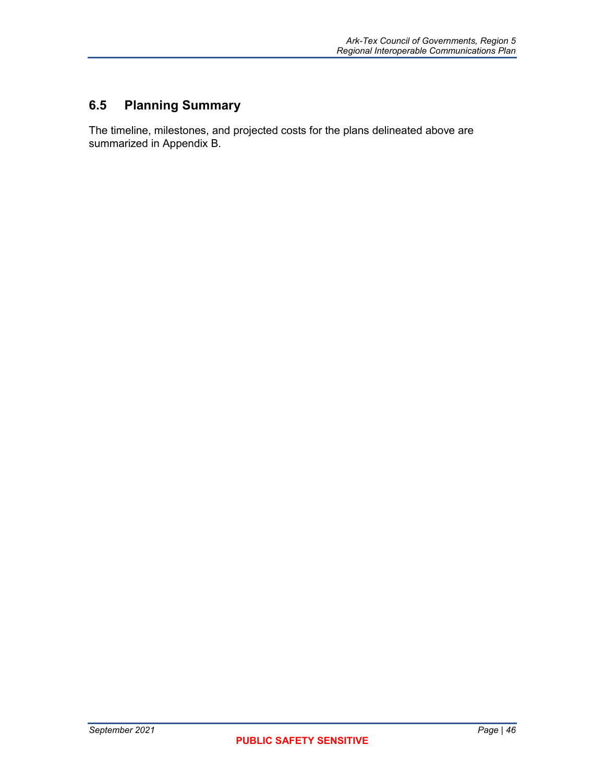## <span id="page-57-0"></span>**6.5 Planning Summary**

The timeline, milestones, and projected costs for the plans delineated above are summarized in Appendix B.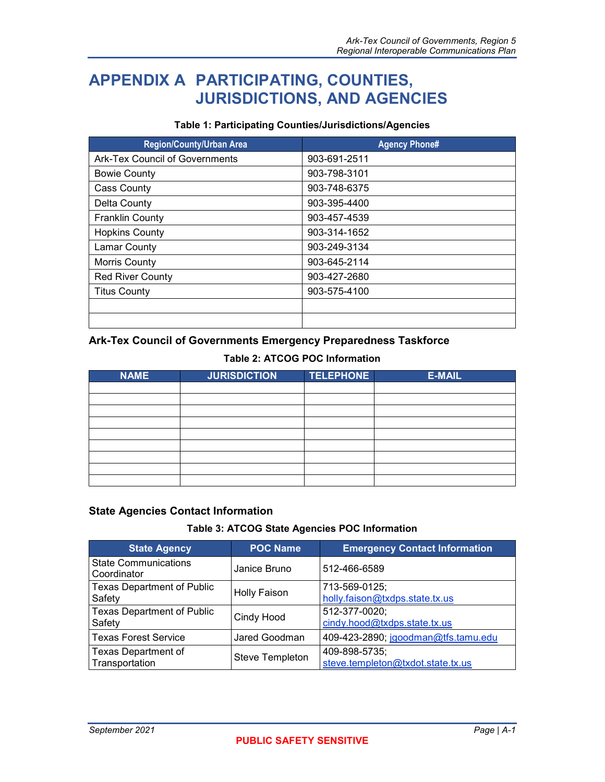## <span id="page-58-0"></span>**APPENDIX A PARTICIPATING, COUNTIES, JURISDICTIONS, AND AGENCIES**

#### **Table 1: Participating Counties/Jurisdictions/Agencies**

<span id="page-58-1"></span>

| <b>Region/County/Urban Area</b> | <b>Agency Phone#</b> |
|---------------------------------|----------------------|
| Ark-Tex Council of Governments  | 903-691-2511         |
| <b>Bowie County</b>             | 903-798-3101         |
| <b>Cass County</b>              | 903-748-6375         |
| Delta County                    | 903-395-4400         |
| <b>Franklin County</b>          | 903-457-4539         |
| <b>Hopkins County</b>           | 903-314-1652         |
| <b>Lamar County</b>             | 903-249-3134         |
| Morris County                   | 903-645-2114         |
| <b>Red River County</b>         | 903-427-2680         |
| <b>Titus County</b>             | 903-575-4100         |
|                                 |                      |
|                                 |                      |

### **Ark-Tex Council of Governments Emergency Preparedness Taskforce**

#### **Table 2: ATCOG POC Information**

<span id="page-58-2"></span>

| <b>NAME</b> | <b>JURISDICTION</b> | <b>TELEPHONE</b> | <b>E-MAIL</b> |
|-------------|---------------------|------------------|---------------|
|             |                     |                  |               |
|             |                     |                  |               |
|             |                     |                  |               |
|             |                     |                  |               |
|             |                     |                  |               |
|             |                     |                  |               |
|             |                     |                  |               |
|             |                     |                  |               |
|             |                     |                  |               |

#### **State Agencies Contact Information**

#### **Table 3: ATCOG State Agencies POC Information**

<span id="page-58-3"></span>

| <b>State Agency</b>                          | <b>POC Name</b>     | <b>Emergency Contact Information</b>               |
|----------------------------------------------|---------------------|----------------------------------------------------|
| <b>State Communications</b><br>Coordinator   | Janice Bruno        | 512-466-6589                                       |
| <b>Texas Department of Public</b><br>Safety  | <b>Holly Faison</b> | 713-569-0125;<br>holly.faison@txdps.state.tx.us    |
| <b>Texas Department of Public</b><br>Safety  | Cindy Hood          | 512-377-0020;<br>cindy.hood@txdps.state.tx.us      |
| <b>Texas Forest Service</b>                  | Jared Goodman       | 409-423-2890; jgoodman@tfs.tamu.edu                |
| <b>Texas Department of</b><br>Transportation | Steve Templeton     | 409-898-5735;<br>steve.templeton@txdot.state.tx.us |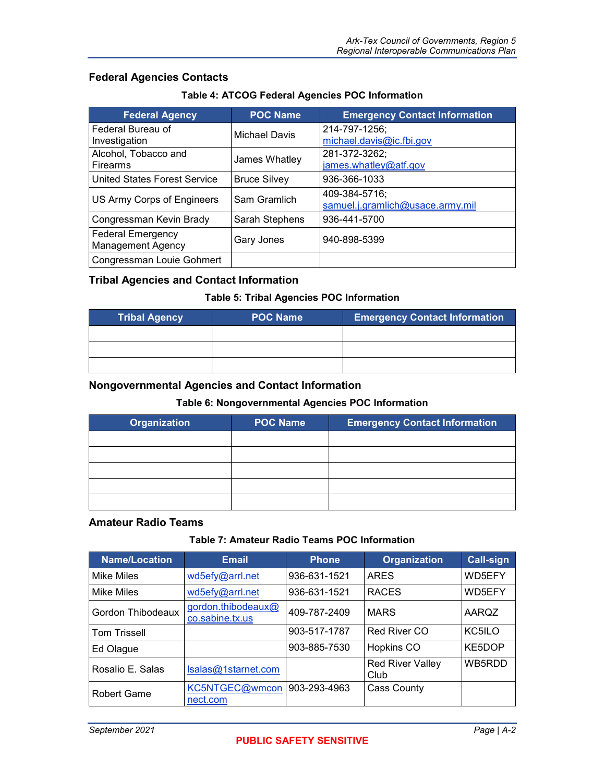#### **Federal Agencies Contacts**

#### **Table 4: ATCOG Federal Agencies POC Information**

<span id="page-59-0"></span>

| <b>Federal Agency</b>                                | <b>POC Name</b>     | <b>Emergency Contact Information</b>              |
|------------------------------------------------------|---------------------|---------------------------------------------------|
| Federal Bureau of<br>Investigation                   | Michael Davis       | 214-797-1256;<br>michael.davis@ic.fbi.gov         |
| Alcohol, Tobacco and<br><b>Firearms</b>              | James Whatley       | 281-372-3262;<br>james.whatley@atf.gov            |
| <b>United States Forest Service</b>                  | <b>Bruce Silvey</b> | 936-366-1033                                      |
| US Army Corps of Engineers                           | Sam Gramlich        | 409-384-5716;<br>samuel.j.gramlich@usace.army.mil |
| Congressman Kevin Brady                              | Sarah Stephens      | 936-441-5700                                      |
| <b>Federal Emergency</b><br><b>Management Agency</b> | Gary Jones          | 940-898-5399                                      |
| Congressman Louie Gohmert                            |                     |                                                   |

#### **Tribal Agencies and Contact Information**

#### **Table 5: Tribal Agencies POC Information**

<span id="page-59-1"></span>

| <b>Tribal Agency</b> | <b>POC Name</b> | <b>Emergency Contact Information</b> |
|----------------------|-----------------|--------------------------------------|
|                      |                 |                                      |
|                      |                 |                                      |
|                      |                 |                                      |

#### <span id="page-59-2"></span>**Nongovernmental Agencies and Contact Information**

### **Table 6: Nongovernmental Agencies POC Information**

| <b>Organization</b> | <b>POC Name</b> | <b>Emergency Contact Information</b> |
|---------------------|-----------------|--------------------------------------|
|                     |                 |                                      |
|                     |                 |                                      |
|                     |                 |                                      |
|                     |                 |                                      |
|                     |                 |                                      |

#### **Amateur Radio Teams**

#### **Table 7: Amateur Radio Teams POC Information**

<span id="page-59-3"></span>

| Name/Location       | <b>Email</b>                          | <b>Phone</b> | <b>Organization</b>             | <b>Call-sign</b> |
|---------------------|---------------------------------------|--------------|---------------------------------|------------------|
| Mike Miles          | wd5efy@arrl.net                       | 936-631-1521 | <b>ARES</b>                     | WD5EFY           |
| <b>Mike Miles</b>   | wd5efy@arrl.net                       | 936-631-1521 | <b>RACES</b>                    | WD5EFY           |
| Gordon Thibodeaux   | gordon.thibodeaux@<br>co.sabine.tx.us | 409-787-2409 | <b>MARS</b>                     | AARQZ            |
| <b>Tom Trissell</b> |                                       | 903-517-1787 | Red River CO                    | KC5ILO           |
| Ed Olague           |                                       | 903-885-7530 | Hopkins CO                      | KE5DOP           |
| Rosalio E. Salas    | Isalas@1starnet.com                   |              | <b>Red River Valley</b><br>Club | WB5RDD           |
| <b>Robert Game</b>  | KC5NTGEC@wmcon                        | 903-293-4963 | <b>Cass County</b>              |                  |
|                     | nect.com                              |              |                                 |                  |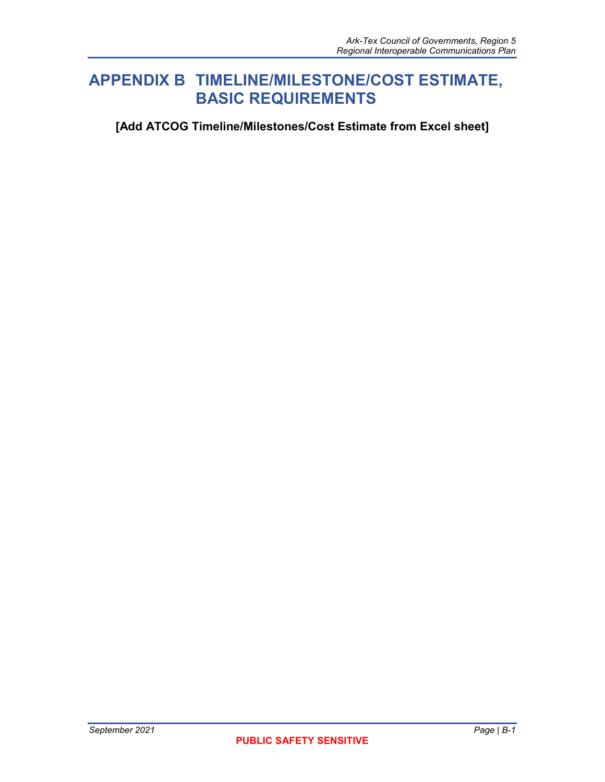## <span id="page-60-0"></span>**APPENDIX B TIMELINE/MILESTONE/COST ESTIMATE, BASIC REQUIREMENTS**

**[Add ATCOG Timeline/Milestones/Cost Estimate from Excel sheet]**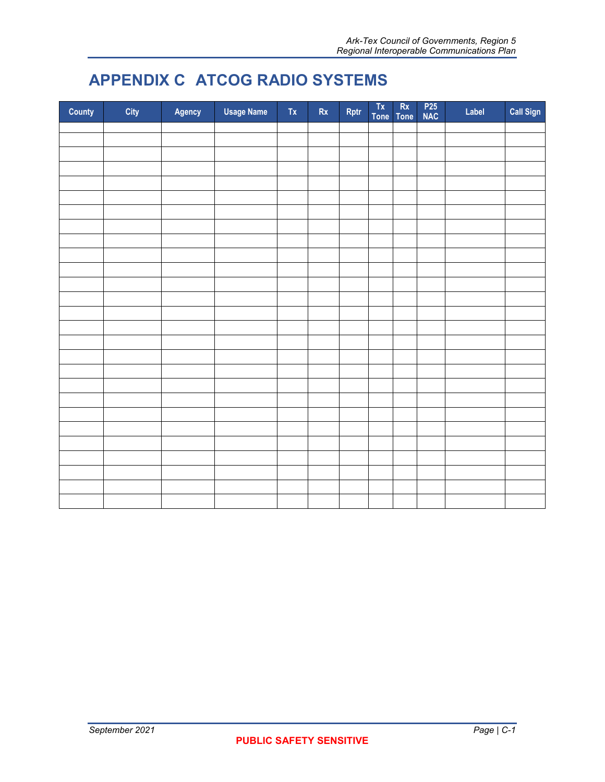## <span id="page-61-0"></span>**APPENDIX C ATCOG RADIO SYSTEMS**

| County | City | Agency | <b>Usage Name</b> | $\mathsf{Tx}$ | $\mathsf{Rx}$ | Rptr | Tx<br>Tone | $\mathsf{Rx}$<br><b>Tone</b> | P <sub>25</sub><br>NAC | Label | Call Sign |
|--------|------|--------|-------------------|---------------|---------------|------|------------|------------------------------|------------------------|-------|-----------|
|        |      |        |                   |               |               |      |            |                              |                        |       |           |
|        |      |        |                   |               |               |      |            |                              |                        |       |           |
|        |      |        |                   |               |               |      |            |                              |                        |       |           |
|        |      |        |                   |               |               |      |            |                              |                        |       |           |
|        |      |        |                   |               |               |      |            |                              |                        |       |           |
|        |      |        |                   |               |               |      |            |                              |                        |       |           |
|        |      |        |                   |               |               |      |            |                              |                        |       |           |
|        |      |        |                   |               |               |      |            |                              |                        |       |           |
|        |      |        |                   |               |               |      |            |                              |                        |       |           |
|        |      |        |                   |               |               |      |            |                              |                        |       |           |
|        |      |        |                   |               |               |      |            |                              |                        |       |           |
|        |      |        |                   |               |               |      |            |                              |                        |       |           |
|        |      |        |                   |               |               |      |            |                              |                        |       |           |
|        |      |        |                   |               |               |      |            |                              |                        |       |           |
|        |      |        |                   |               |               |      |            |                              |                        |       |           |
|        |      |        |                   |               |               |      |            |                              |                        |       |           |
|        |      |        |                   |               |               |      |            |                              |                        |       |           |
|        |      |        |                   |               |               |      |            |                              |                        |       |           |
|        |      |        |                   |               |               |      |            |                              |                        |       |           |
|        |      |        |                   |               |               |      |            |                              |                        |       |           |
|        |      |        |                   |               |               |      |            |                              |                        |       |           |
|        |      |        |                   |               |               |      |            |                              |                        |       |           |
|        |      |        |                   |               |               |      |            |                              |                        |       |           |
|        |      |        |                   |               |               |      |            |                              |                        |       |           |
|        |      |        |                   |               |               |      |            |                              |                        |       |           |
|        |      |        |                   |               |               |      |            |                              |                        |       |           |
|        |      |        |                   |               |               |      |            |                              |                        |       |           |
|        |      |        |                   |               |               |      |            |                              |                        |       |           |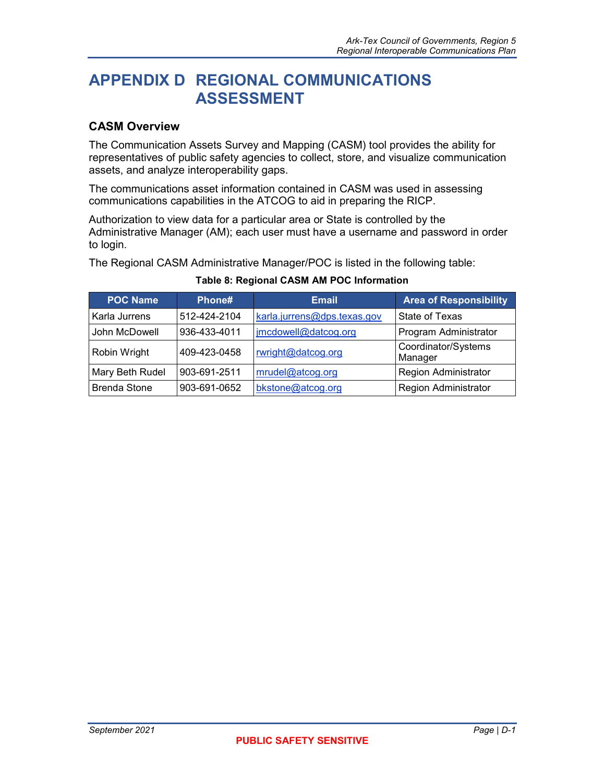## <span id="page-62-0"></span>**APPENDIX D REGIONAL COMMUNICATIONS ASSESSMENT**

### **CASM Overview**

The Communication Assets Survey and Mapping (CASM) tool provides the ability for representatives of public safety agencies to collect, store, and visualize communication assets, and analyze interoperability gaps.

The communications asset information contained in CASM was used in assessing communications capabilities in the ATCOG to aid in preparing the RICP.

Authorization to view data for a particular area or State is controlled by the Administrative Manager (AM); each user must have a username and password in order to login.

<span id="page-62-1"></span>The Regional CASM Administrative Manager/POC is listed in the following table:

| <b>POC Name</b>     | Phone#       | <b>Email</b>                | <b>Area of Responsibility</b>  |
|---------------------|--------------|-----------------------------|--------------------------------|
| Karla Jurrens       | 512-424-2104 | karla.jurrens@dps.texas.gov | State of Texas                 |
| John McDowell       | 936-433-4011 | jmcdowell@datcog.org        | Program Administrator          |
| Robin Wright        | 409-423-0458 | rwright@datcog.org          | Coordinator/Systems<br>Manager |
| Mary Beth Rudel     | 903-691-2511 | mrudel@atcog.org            | <b>Region Administrator</b>    |
| <b>Brenda Stone</b> | 903-691-0652 | bkstone@atcog.org           | <b>Region Administrator</b>    |

#### **Table 8: Regional CASM AM POC Information**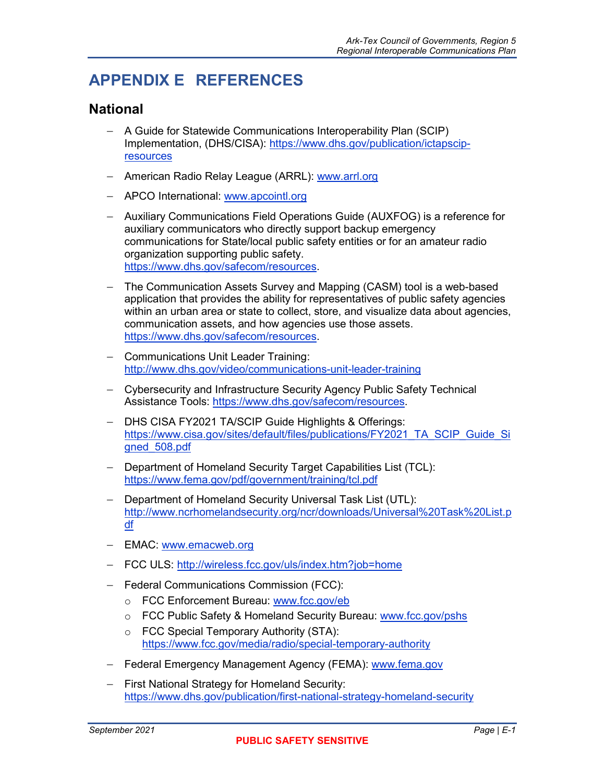## <span id="page-63-0"></span>**APPENDIX E REFERENCES**

## **National**

- − A Guide for Statewide Communications Interoperability Plan (SCIP) Implementation, (DHS/CISA): [https://www.dhs.gov/publication/ictapscip](https://www.dhs.gov/publication/ictapscip-resources)[resources](https://www.dhs.gov/publication/ictapscip-resources)
- − American Radio Relay League (ARRL): [www.arrl.org](http://www.arrl.org/)
- − APCO International: [www.apcointl.org](http://www.apcointl.org/)
- − Auxiliary Communications Field Operations Guide (AUXFOG) is a reference for auxiliary communicators who directly support backup emergency communications for State/local public safety entities or for an amateur radio organization supporting public safety. [https://www.dhs.gov/safecom/resources.](https://www.dhs.gov/safecom/resources)
- − The Communication Assets Survey and Mapping (CASM) tool is a web-based application that provides the ability for representatives of public safety agencies within an urban area or state to collect, store, and visualize data about agencies, communication assets, and how agencies use those assets. [https://www.dhs.gov/safecom/resources.](https://www.dhs.gov/safecom/resources)
- − Communications Unit Leader Training: <http://www.dhs.gov/video/communications-unit-leader-training>
- − Cybersecurity and Infrastructure Security Agency Public Safety Technical Assistance Tools: [https://www.dhs.gov/safecom/resources.](https://www.dhs.gov/safecom/resources)
- − DHS CISA FY2021 TA/SCIP Guide Highlights & Offerings: [https://www.cisa.gov/sites/default/files/publications/FY2021\\_TA\\_SCIP\\_Guide\\_Si](https://www.cisa.gov/sites/default/files/publications/FY2021_TA_SCIP_Guide_Signed_508.pdf) [gned\\_508.pdf](https://www.cisa.gov/sites/default/files/publications/FY2021_TA_SCIP_Guide_Signed_508.pdf)
- − Department of Homeland Security Target Capabilities List (TCL): <https://www.fema.gov/pdf/government/training/tcl.pdf>
- − Department of Homeland Security Universal Task List (UTL): [http://www.ncrhomelandsecurity.org/ncr/downloads/Universal%20Task%20List.p](http://www.ncrhomelandsecurity.org/ncr/downloads/Universal%20Task%20List.pdf) [df](http://www.ncrhomelandsecurity.org/ncr/downloads/Universal%20Task%20List.pdf)
- − EMAC: [www.emacweb.org](http://www.emacweb.org/)
- − FCC ULS:<http://wireless.fcc.gov/uls/index.htm?job=home>
- − Federal Communications Commission (FCC):
	- o FCC Enforcement Bureau: [www.fcc.gov/eb](http://www.fcc.gov/eb)
	- o FCC Public Safety & Homeland Security Bureau: [www.fcc.gov/pshs](http://www.fcc.gov/pshs)
	- o FCC Special Temporary Authority (STA): <https://www.fcc.gov/media/radio/special-temporary-authority>
- − Federal Emergency Management Agency (FEMA): [www.fema.gov](http://www.fema.gov/)
- − First National Strategy for Homeland Security: <https://www.dhs.gov/publication/first-national-strategy-homeland-security>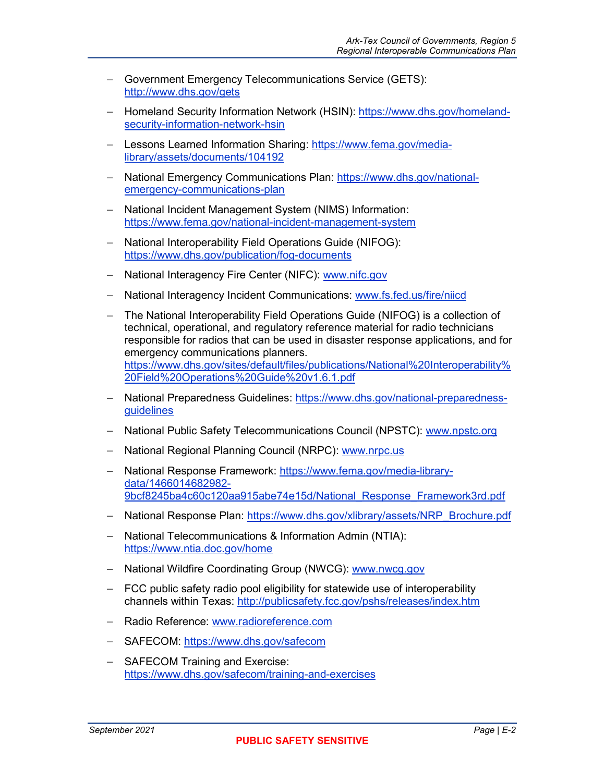- − Government Emergency Telecommunications Service (GETS): <http://www.dhs.gov/gets>
- − Homeland Security Information Network (HSIN): [https://www.dhs.gov/homeland](https://www.dhs.gov/homeland-security-information-network-hsin)[security-information-network-hsin](https://www.dhs.gov/homeland-security-information-network-hsin)
- − Lessons Learned Information Sharing: [https://www.fema.gov/media](https://www.fema.gov/media-library/assets/documents/104192)[library/assets/documents/104192](https://www.fema.gov/media-library/assets/documents/104192)
- − National Emergency Communications Plan: [https://www.dhs.gov/national](https://www.dhs.gov/national-emergency-communications-plan)[emergency-communications-plan](https://www.dhs.gov/national-emergency-communications-plan)
- − National Incident Management System (NIMS) Information: <https://www.fema.gov/national-incident-management-system>
- − National Interoperability Field Operations Guide (NIFOG): <https://www.dhs.gov/publication/fog-documents>
- − National Interagency Fire Center (NIFC): [www.nifc.gov](http://www.nifc.gov/)
- − National Interagency Incident Communications: [www.fs.fed.us/fire/niicd](http://www.fs.fed.us/fire/niicd)
- − The National Interoperability Field Operations Guide (NIFOG) is a collection of technical, operational, and regulatory reference material for radio technicians responsible for radios that can be used in disaster response applications, and for emergency communications planners. [https://www.dhs.gov/sites/default/files/publications/National%20Interoperability%](https://www.dhs.gov/sites/default/files/publications/National%20Interoperability%20Field%20Operations%20Guide%20v1.6.1.pdf) [20Field%20Operations%20Guide%20v1.6.1.pdf](https://www.dhs.gov/sites/default/files/publications/National%20Interoperability%20Field%20Operations%20Guide%20v1.6.1.pdf)
- − National Preparedness Guidelines: [https://www.dhs.gov/national-preparedness](https://www.dhs.gov/national-preparedness-guidelines)[guidelines](https://www.dhs.gov/national-preparedness-guidelines)
- − National Public Safety Telecommunications Council (NPSTC): [www.npstc.org](http://www.npstc.org/)
- − National Regional Planning Council (NRPC): [www.nrpc.us](http://www.nrpc.us/)
- − National Response Framework: [https://www.fema.gov/media-library](https://www.fema.gov/media-library-data/1466014682982-9bcf8245ba4c60c120aa915abe74e15d/National_Response_Framework3rd.pdf)[data/1466014682982-](https://www.fema.gov/media-library-data/1466014682982-9bcf8245ba4c60c120aa915abe74e15d/National_Response_Framework3rd.pdf) [9bcf8245ba4c60c120aa915abe74e15d/National\\_Response\\_Framework3rd.pdf](https://www.fema.gov/media-library-data/1466014682982-9bcf8245ba4c60c120aa915abe74e15d/National_Response_Framework3rd.pdf)
- − National Response Plan: [https://www.dhs.gov/xlibrary/assets/NRP\\_Brochure.pdf](https://www.dhs.gov/xlibrary/assets/NRP_Brochure.pdf)
- − National Telecommunications & Information Admin (NTIA): <https://www.ntia.doc.gov/home>
- − National Wildfire Coordinating Group (NWCG): [www.nwcg.gov](http://www.nwcg.gov/)
- − FCC public safety radio pool eligibility for statewide use of interoperability channels within Texas:<http://publicsafety.fcc.gov/pshs/releases/index.htm>
- − Radio Reference: [www.radioreference.com](http://www.radioreference.com/)
- − SAFECOM:<https://www.dhs.gov/safecom>
- − SAFECOM Training and Exercise: <https://www.dhs.gov/safecom/training-and-exercises>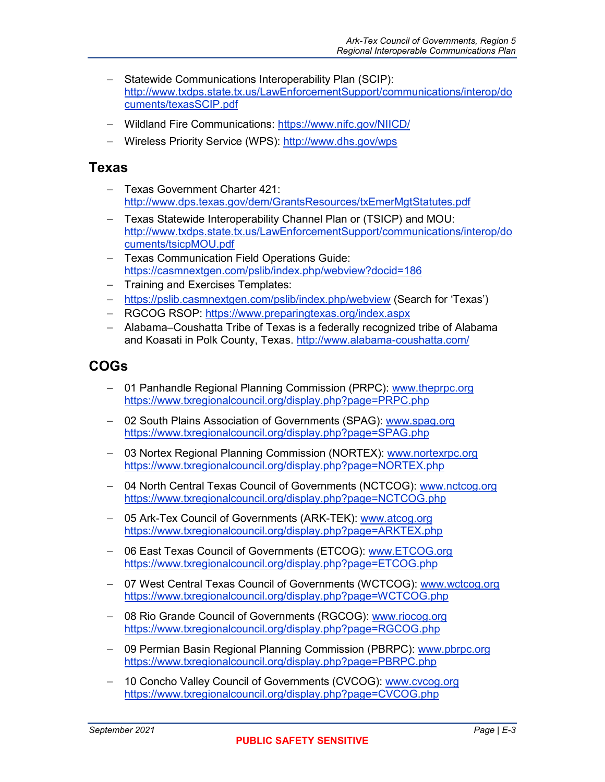- − Statewide Communications Interoperability Plan (SCIP): [http://www.txdps.state.tx.us/LawEnforcementSupport/communications/interop/do](http://www.txdps.state.tx.us/LawEnforcementSupport/communications/interop/documents/texasSCIP.pdf) [cuments/texasSCIP.pdf](http://www.txdps.state.tx.us/LawEnforcementSupport/communications/interop/documents/texasSCIP.pdf)
- − Wildland Fire Communications: <https://www.nifc.gov/NIICD/>
- − Wireless Priority Service (WPS):<http://www.dhs.gov/wps>

### **Texas**

- − Texas Government Charter 421: <http://www.dps.texas.gov/dem/GrantsResources/txEmerMgtStatutes.pdf>
- − Texas Statewide Interoperability Channel Plan or (TSICP) and MOU: [http://www.txdps.state.tx.us/LawEnforcementSupport/communications/interop/do](http://www.txdps.state.tx.us/LawEnforcementSupport/communications/interop/documents/tsicpMOU.pdf) [cuments/tsicpMOU.pdf](http://www.txdps.state.tx.us/LawEnforcementSupport/communications/interop/documents/tsicpMOU.pdf)
- − Texas Communication Field Operations Guide: <https://casmnextgen.com/pslib/index.php/webview?docid=186>
- − Training and Exercises Templates:
- − <https://pslib.casmnextgen.com/pslib/index.php/webview> (Search for 'Texas')
- − RGCOG RSOP: <https://www.preparingtexas.org/index.aspx>
- − Alabama–Coushatta Tribe of Texas is a federally recognized tribe of Alabama and Koasati in Polk County, Texas. http://www.alabama-coushatta.com/

## **COGs**

- − 01 Panhandle Regional Planning Commission (PRPC): [www.theprpc.org](http://www.theprpc.org/)  <https://www.txregionalcouncil.org/display.php?page=PRPC.php>
- − 02 South Plains Association of Governments (SPAG): [www.spag.org](http://www.spag.org/)  <https://www.txregionalcouncil.org/display.php?page=SPAG.php>
- − 03 Nortex Regional Planning Commission (NORTEX): [www.nortexrpc.org](http://www.nortexrpc.org/)  <https://www.txregionalcouncil.org/display.php?page=NORTEX.php>
- − 04 North Central Texas Council of Governments (NCTCOG): [www.nctcog.org](http://www.nctcog.org/)  <https://www.txregionalcouncil.org/display.php?page=NCTCOG.php>
- − 05 Ark-Tex Council of Governments (ARK-TEK): [www.atcog.org](http://www.atcog.org/)  <https://www.txregionalcouncil.org/display.php?page=ARKTEX.php>
- − 06 East Texas Council of Governments (ETCOG): [www.ETCOG.org](http://www.etcog.org/)  <https://www.txregionalcouncil.org/display.php?page=ETCOG.php>
- − 07 West Central Texas Council of Governments (WCTCOG): [www.wctcog.org](http://www.wctcog.org/)  <https://www.txregionalcouncil.org/display.php?page=WCTCOG.php>
- − 08 Rio Grande Council of Governments (RGCOG): [www.riocog.org](http://www.riocog.org/)  <https://www.txregionalcouncil.org/display.php?page=RGCOG.php>
- − 09 Permian Basin Regional Planning Commission (PBRPC): [www.pbrpc.org](http://www.pbrpc.org/)  <https://www.txregionalcouncil.org/display.php?page=PBRPC.php>
- − 10 Concho Valley Council of Governments (CVCOG): [www.cvcog.org](http://www.cvcog.org/)  <https://www.txregionalcouncil.org/display.php?page=CVCOG.php>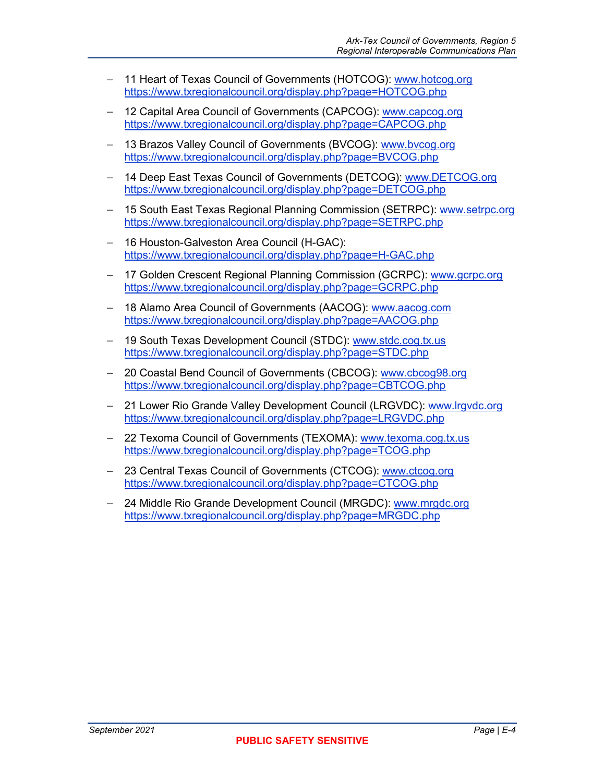- − 11 Heart of Texas Council of Governments (HOTCOG): [www.hotcog.org](http://www.hotcog.org/)  <https://www.txregionalcouncil.org/display.php?page=HOTCOG.php>
- − 12 Capital Area Council of Governments (CAPCOG): [www.capcog.org](http://www.capcog.org/)  <https://www.txregionalcouncil.org/display.php?page=CAPCOG.php>
- − 13 Brazos Valley Council of Governments (BVCOG): [www.bvcog.org](http://www.bvcog.org/)  <https://www.txregionalcouncil.org/display.php?page=BVCOG.php>
- − 14 Deep East Texas Council of Governments (DETCOG): [www.DETCOG.org](http://www.detcog.org/)  <https://www.txregionalcouncil.org/display.php?page=DETCOG.php>
- − 15 South East Texas Regional Planning Commission (SETRPC): [www.setrpc.org](http://www.setrpc.org/)  <https://www.txregionalcouncil.org/display.php?page=SETRPC.php>
- − 16 Houston-Galveston Area Council (H-GAC): <https://www.txregionalcouncil.org/display.php?page=H-GAC.php>
- − 17 Golden Crescent Regional Planning Commission (GCRPC): [www.gcrpc.org](http://www.gcrpc.org/)  <https://www.txregionalcouncil.org/display.php?page=GCRPC.php>
- − 18 Alamo Area Council of Governments (AACOG): [www.aacog.com](http://www.aacog.com/)  <https://www.txregionalcouncil.org/display.php?page=AACOG.php>
- − 19 South Texas Development Council (STDC): [www.stdc.cog.tx.us](http://www.stdc.cog.tx.us/)  <https://www.txregionalcouncil.org/display.php?page=STDC.php>
- − 20 Coastal Bend Council of Governments (CBCOG): [www.cbcog98.org](http://www.cbcog98.org/) <https://www.txregionalcouncil.org/display.php?page=CBTCOG.php>
- − 21 Lower Rio Grande Valley Development Council (LRGVDC): [www.lrgvdc.org](http://www.lrgvdc.org/)  <https://www.txregionalcouncil.org/display.php?page=LRGVDC.php>
- − 22 Texoma Council of Governments (TEXOMA): [www.texoma.cog.tx.us](http://www.texoma.cog.tx.us/)  <https://www.txregionalcouncil.org/display.php?page=TCOG.php>
- − 23 Central Texas Council of Governments (CTCOG): [www.ctcog.org](http://www.ctcog.org/)  <https://www.txregionalcouncil.org/display.php?page=CTCOG.php>
- − 24 Middle Rio Grande Development Council (MRGDC): [www.mrgdc.org](http://www.mrgdc.org/)  <https://www.txregionalcouncil.org/display.php?page=MRGDC.php>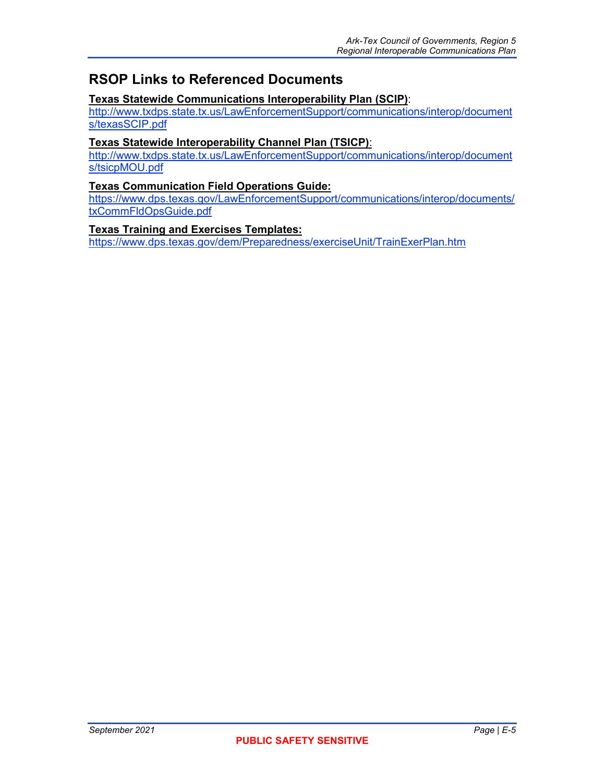## **RSOP Links to Referenced Documents**

#### **Texas Statewide Communications Interoperability Plan (SCIP)**:

[http://www.txdps.state.tx.us/LawEnforcementSupport/communications/interop/document](http://www.txdps.state.tx.us/LawEnforcementSupport/communications/interop/documents/texasSCIP.pdf) [s/texasSCIP.pdf](http://www.txdps.state.tx.us/LawEnforcementSupport/communications/interop/documents/texasSCIP.pdf) 

#### **Texas Statewide Interoperability Channel Plan (TSICP)**:

[http://www.txdps.state.tx.us/LawEnforcementSupport/communications/interop/document](http://www.txdps.state.tx.us/LawEnforcementSupport/communications/interop/documents/tsicpMOU.pdf) [s/tsicpMOU.pdf](http://www.txdps.state.tx.us/LawEnforcementSupport/communications/interop/documents/tsicpMOU.pdf) 

#### **Texas Communication Field Operations Guide:**

[https://www.dps.texas.gov/LawEnforcementSupport/communications/interop/documents/](https://www.dps.texas.gov/LawEnforcementSupport/communications/interop/documents/txCommFldOpsGuide.pdf) [txCommFldOpsGuide.pdf](https://www.dps.texas.gov/LawEnforcementSupport/communications/interop/documents/txCommFldOpsGuide.pdf) 

#### **Texas Training and Exercises Templates:**

<https://www.dps.texas.gov/dem/Preparedness/exerciseUnit/TrainExerPlan.htm>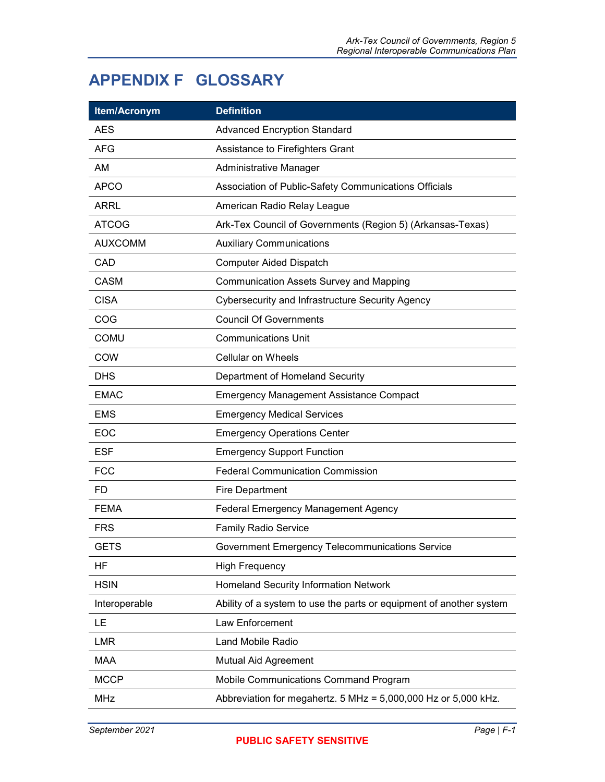## <span id="page-68-0"></span>**APPENDIX F GLOSSARY**

| Item/Acronym   | <b>Definition</b>                                                   |
|----------------|---------------------------------------------------------------------|
| <b>AES</b>     | <b>Advanced Encryption Standard</b>                                 |
| <b>AFG</b>     | Assistance to Firefighters Grant                                    |
| <b>AM</b>      | Administrative Manager                                              |
| <b>APCO</b>    | Association of Public-Safety Communications Officials               |
| <b>ARRL</b>    | American Radio Relay League                                         |
| <b>ATCOG</b>   | Ark-Tex Council of Governments (Region 5) (Arkansas-Texas)          |
| <b>AUXCOMM</b> | <b>Auxiliary Communications</b>                                     |
| CAD            | <b>Computer Aided Dispatch</b>                                      |
| <b>CASM</b>    | <b>Communication Assets Survey and Mapping</b>                      |
| <b>CISA</b>    | Cybersecurity and Infrastructure Security Agency                    |
| COG            | <b>Council Of Governments</b>                                       |
| <b>COMU</b>    | <b>Communications Unit</b>                                          |
| <b>COW</b>     | <b>Cellular on Wheels</b>                                           |
| <b>DHS</b>     | Department of Homeland Security                                     |
| <b>EMAC</b>    | <b>Emergency Management Assistance Compact</b>                      |
| <b>EMS</b>     | <b>Emergency Medical Services</b>                                   |
| <b>EOC</b>     | <b>Emergency Operations Center</b>                                  |
| <b>ESF</b>     | <b>Emergency Support Function</b>                                   |
| <b>FCC</b>     | <b>Federal Communication Commission</b>                             |
| FD.            | <b>Fire Department</b>                                              |
| <b>FEMA</b>    | <b>Federal Emergency Management Agency</b>                          |
| <b>FRS</b>     | <b>Family Radio Service</b>                                         |
| <b>GETS</b>    | Government Emergency Telecommunications Service                     |
| HF             | <b>High Frequency</b>                                               |
| <b>HSIN</b>    | <b>Homeland Security Information Network</b>                        |
| Interoperable  | Ability of a system to use the parts or equipment of another system |
| LE             | Law Enforcement                                                     |
| <b>LMR</b>     | Land Mobile Radio                                                   |
| <b>MAA</b>     | Mutual Aid Agreement                                                |
| <b>MCCP</b>    | Mobile Communications Command Program                               |
| <b>MHz</b>     | Abbreviation for megahertz. 5 MHz = 5,000,000 Hz or 5,000 kHz.      |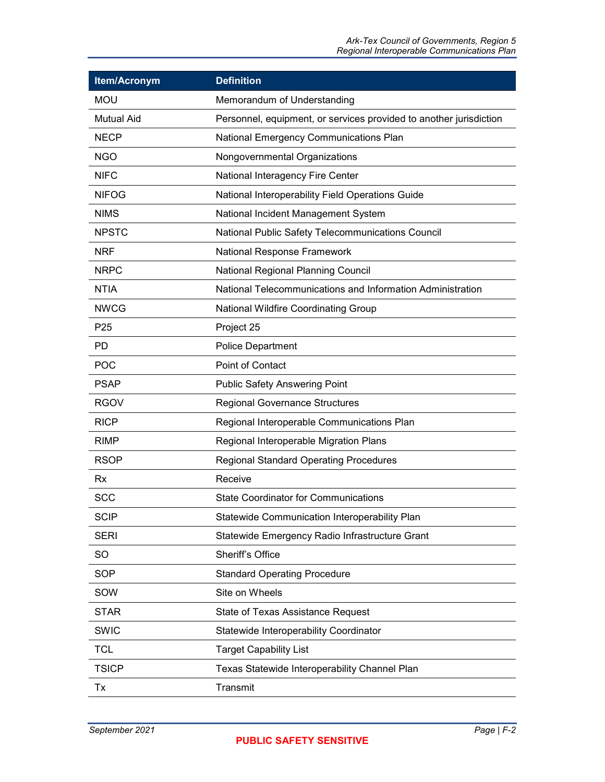| Item/Acronym      | <b>Definition</b>                                                  |
|-------------------|--------------------------------------------------------------------|
| <b>MOU</b>        | Memorandum of Understanding                                        |
| <b>Mutual Aid</b> | Personnel, equipment, or services provided to another jurisdiction |
| <b>NECP</b>       | <b>National Emergency Communications Plan</b>                      |
| <b>NGO</b>        | Nongovernmental Organizations                                      |
| <b>NIFC</b>       | National Interagency Fire Center                                   |
| <b>NIFOG</b>      | National Interoperability Field Operations Guide                   |
| <b>NIMS</b>       | National Incident Management System                                |
| <b>NPSTC</b>      | National Public Safety Telecommunications Council                  |
| <b>NRF</b>        | National Response Framework                                        |
| <b>NRPC</b>       | <b>National Regional Planning Council</b>                          |
| <b>NTIA</b>       | National Telecommunications and Information Administration         |
| <b>NWCG</b>       | National Wildfire Coordinating Group                               |
| P <sub>25</sub>   | Project 25                                                         |
| PD.               | <b>Police Department</b>                                           |
| <b>POC</b>        | Point of Contact                                                   |
| <b>PSAP</b>       | <b>Public Safety Answering Point</b>                               |
| <b>RGOV</b>       | <b>Regional Governance Structures</b>                              |
| <b>RICP</b>       | Regional Interoperable Communications Plan                         |
| <b>RIMP</b>       | Regional Interoperable Migration Plans                             |
| <b>RSOP</b>       | <b>Regional Standard Operating Procedures</b>                      |
| Rx                | Receive                                                            |
| <b>SCC</b>        | <b>State Coordinator for Communications</b>                        |
| <b>SCIP</b>       | Statewide Communication Interoperability Plan                      |
| <b>SERI</b>       | Statewide Emergency Radio Infrastructure Grant                     |
| <b>SO</b>         | Sheriff's Office                                                   |
| <b>SOP</b>        | <b>Standard Operating Procedure</b>                                |
| SOW               | Site on Wheels                                                     |
| <b>STAR</b>       | <b>State of Texas Assistance Request</b>                           |
| <b>SWIC</b>       | Statewide Interoperability Coordinator                             |
| <b>TCL</b>        | <b>Target Capability List</b>                                      |
| <b>TSICP</b>      | Texas Statewide Interoperability Channel Plan                      |
| Tx                | Transmit                                                           |